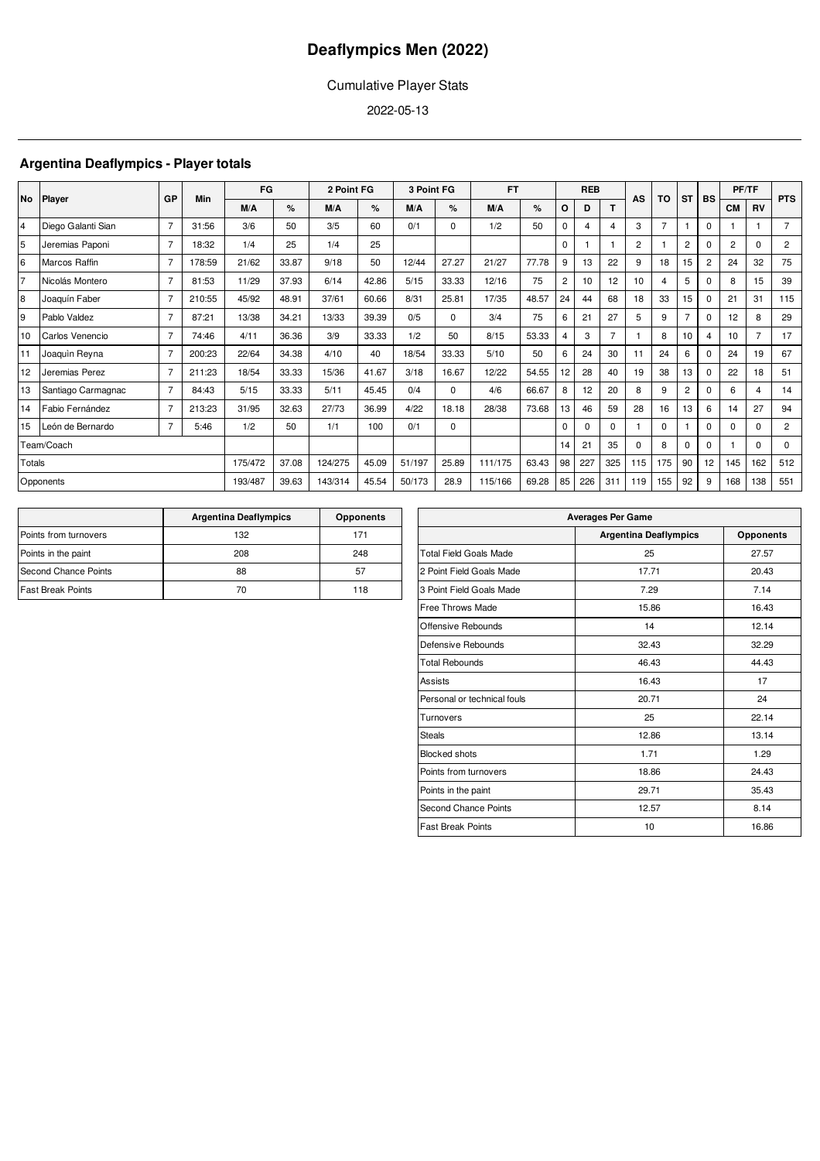## Cumulative Player Stats

2022-05-13

## **Argentina Deaflympics - Player totals**

|                |                    | GP             | Min    | FG      |       | 2 Point FG |       | 3 Point FG |          | <b>FT</b> |       |                | <b>REB</b> |                | AS             | TO             | <b>ST</b>        | <b>BS</b>      |                | PF/TF          | <b>PTS</b>     |
|----------------|--------------------|----------------|--------|---------|-------|------------|-------|------------|----------|-----------|-------|----------------|------------|----------------|----------------|----------------|------------------|----------------|----------------|----------------|----------------|
| No             | Player             |                |        | M/A     | %     | M/A        | $\%$  | M/A        | %        | M/A       | %     | O              | D          | т              |                |                |                  |                | <b>CM</b>      | <b>RV</b>      |                |
| $\overline{4}$ | Diego Galanti Sian | 7              | 31:56  | 3/6     | 50    | 3/5        | 60    | 0/1        | 0        | 1/2       | 50    | $\mathbf 0$    | 4          | 4              | 3              | $\overline{7}$ |                  | $\Omega$       |                |                | $\overline{7}$ |
| 5              | Jeremias Paponi    | 7              | 18:32  | 1/4     | 25    | 1/4        | 25    |            |          |           |       | $\Omega$       |            |                | $\overline{2}$ |                | $\overline{2}$   | $\Omega$       | $\overline{2}$ | $\Omega$       | $\overline{2}$ |
| 6              | Marcos Raffin      | $\overline{7}$ | 178:59 | 21/62   | 33.87 | 9/18       | 50    | 12/44      | 27.27    | 21/27     | 77.78 | 9              | 13         | 22             | 9              | 18             | 15 <sub>15</sub> | $\overline{2}$ | 24             | 32             | 75             |
| $\overline{7}$ | Nicolás Montero    | 7              | 81:53  | 11/29   | 37.93 | 6/14       | 42.86 | 5/15       | 33.33    | 12/16     | 75    | $\overline{2}$ | 10         | 12             | 10             | 4              | 5                | $\Omega$       | 8              | 15             | 39             |
| 8              | Joaquín Faber      | 7              | 210:55 | 45/92   | 48.91 | 37/61      | 60.66 | 8/31       | 25.81    | 17/35     | 48.57 | 24             | 44         | 68             | 18             | 33             | 15 <sup>15</sup> | $\Omega$       | 21             | 31             | 115            |
| 9              | Pablo Valdez       | $\overline{7}$ | 87:21  | 13/38   | 34.21 | 13/33      | 39.39 | 0/5        | $\Omega$ | 3/4       | 75    | 6              | 21         | 27             | 5              | 9              | 7                | $\Omega$       | 12             | 8              | 29             |
| 10             | Carlos Venencio    | 7              | 74:46  | 4/11    | 36.36 | 3/9        | 33.33 | 1/2        | 50       | 8/15      | 53.33 | $\overline{4}$ | 3          | $\overline{7}$ |                | 8              | 10 <sup>1</sup>  | 4              | 10             | $\overline{ }$ | 17             |
| 11             | Joaquin Reyna      | $\overline{7}$ | 200:23 | 22/64   | 34.38 | 4/10       | 40    | 18/54      | 33.33    | 5/10      | 50    | 6              | 24         | 30             | 11             | 24             | 6                | $\Omega$       | 24             | 19             | 67             |
| 12             | Jeremias Perez     | 7              | 211:23 | 18/54   | 33.33 | 15/36      | 41.67 | 3/18       | 16.67    | 12/22     | 54.55 | 12             | 28         | 40             | 19             | 38             | 13               | $\Omega$       | 22             | 18             | 51             |
| 13             | Santiago Carmagnac | $\overline{7}$ | 84:43  | 5/15    | 33.33 | 5/11       | 45.45 | 0/4        | $\Omega$ | 4/6       | 66.67 | 8              | 12         | 20             | 8              | 9              | $\overline{2}$   | $\Omega$       | 6              | 4              | 14             |
| 14             | Fabio Fernández    | $\overline{7}$ | 213:23 | 31/95   | 32.63 | 27/73      | 36.99 | 4/22       | 18.18    | 28/38     | 73.68 | 13             | 46         | 59             | 28             | 16             | 13               | 6              | 14             | 27             | 94             |
| 15             | León de Bernardo   | $\overline{7}$ | 5:46   | 1/2     | 50    | 1/1        | 100   | 0/1        | 0        |           |       | 0              | $\Omega$   | $\Omega$       | $\overline{1}$ | $\Omega$       |                  | $\Omega$       | $\Omega$       | $\Omega$       | $\overline{2}$ |
|                | Team/Coach         |                |        |         |       |            |       |            |          |           |       | 14             | 21         | 35             | $\Omega$       | 8              | 0                | $\Omega$       |                | $\Omega$       | $\Omega$       |
| Totals         |                    |                |        | 175/472 | 37.08 | 124/275    | 45.09 | 51/197     | 25.89    | 111/175   | 63.43 | 98             | 227        | 325            | 115            | 175            | 90               | 12             | 145            | 162            | 512            |
|                | Opponents          |                |        | 193/487 | 39.63 | 143/314    | 45.54 | 50/173     | 28.9     | 115/166   | 69.28 | 85             | 226        | 311            | 119            | 155            | 92               | 9              | 168            | 138            | 551            |

|                          | <b>Argentina Deaflympics</b> | <b>Opponents</b> |
|--------------------------|------------------------------|------------------|
| Points from turnovers    | 132                          | 171              |
| Points in the paint      | 208                          | 248              |
| Second Chance Points     | 88                           | 57               |
| <b>Fast Break Points</b> | 70                           | 118              |

| <b>Averages Per Game</b>      |                              |                  |  |  |  |  |  |  |  |  |
|-------------------------------|------------------------------|------------------|--|--|--|--|--|--|--|--|
|                               | <b>Argentina Deaflympics</b> | <b>Opponents</b> |  |  |  |  |  |  |  |  |
| <b>Total Field Goals Made</b> | 25                           | 27.57            |  |  |  |  |  |  |  |  |
| 2 Point Field Goals Made      | 17.71                        | 20.43            |  |  |  |  |  |  |  |  |
| 3 Point Field Goals Made      | 7.29                         | 7.14             |  |  |  |  |  |  |  |  |
| Free Throws Made              | 15.86                        | 16.43            |  |  |  |  |  |  |  |  |
| Offensive Rebounds            | 14                           | 12.14            |  |  |  |  |  |  |  |  |
| Defensive Rebounds            | 32.43                        | 32.29            |  |  |  |  |  |  |  |  |
| <b>Total Rebounds</b>         | 46.43                        | 44.43            |  |  |  |  |  |  |  |  |
| Assists                       | 16.43                        | 17               |  |  |  |  |  |  |  |  |
| Personal or technical fouls   | 20.71                        | 24               |  |  |  |  |  |  |  |  |
| Turnovers                     | 25                           | 22.14            |  |  |  |  |  |  |  |  |
| <b>Steals</b>                 | 12.86                        | 13.14            |  |  |  |  |  |  |  |  |
| <b>Blocked shots</b>          | 1.71                         | 1.29             |  |  |  |  |  |  |  |  |
| Points from turnovers         | 18.86                        | 24.43            |  |  |  |  |  |  |  |  |
| Points in the paint           | 29.71                        | 35.43            |  |  |  |  |  |  |  |  |
| <b>Second Chance Points</b>   | 12.57                        | 8.14             |  |  |  |  |  |  |  |  |
| <b>Fast Break Points</b>      | 10                           | 16.86            |  |  |  |  |  |  |  |  |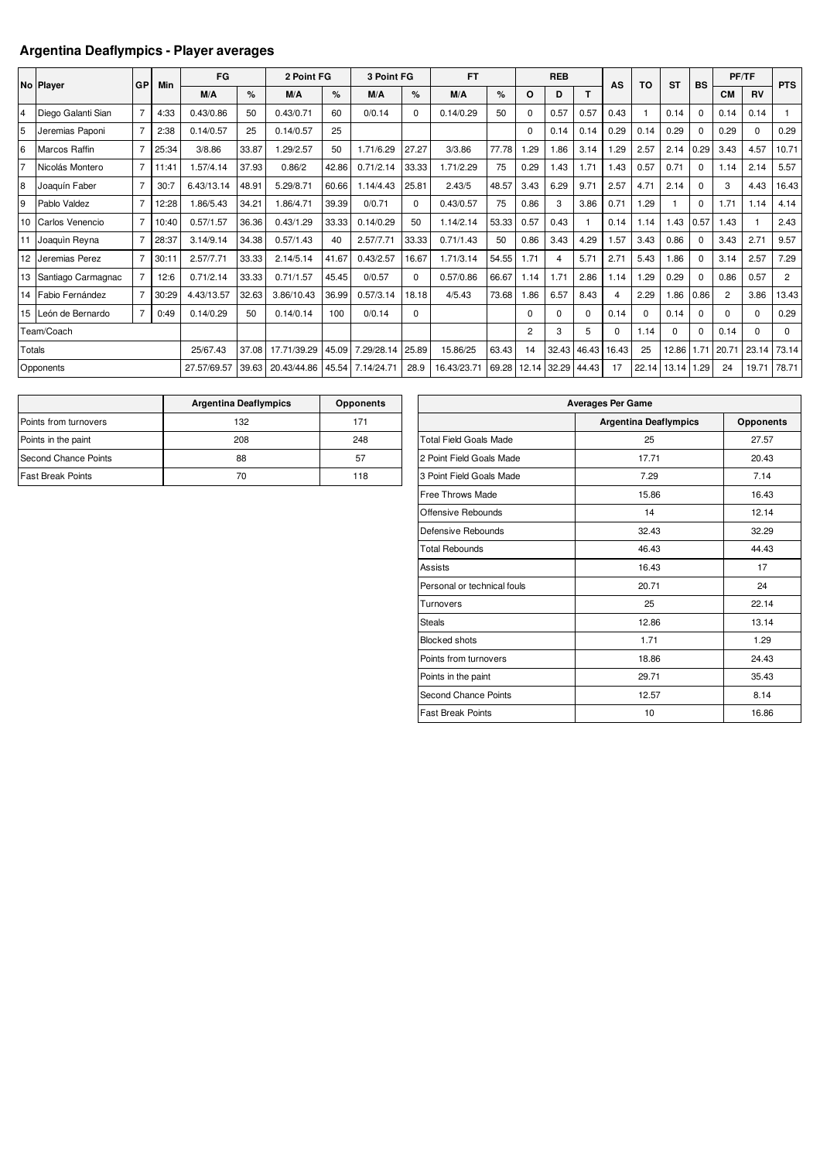## **Argentina Deaflympics - Player averages**

|                |                     |                |       | FG          |       | 2 Point FG  |       | 3 Point FG |          | <b>FT</b>   |       |                | <b>REB</b> |       |             |       |           |             |                | PF/TF     |                |
|----------------|---------------------|----------------|-------|-------------|-------|-------------|-------|------------|----------|-------------|-------|----------------|------------|-------|-------------|-------|-----------|-------------|----------------|-----------|----------------|
|                | No Player           | GP             | Min   | M/A         | %     | M/A         | %     | M/A        | %        | M/A         | %     | O              | D          | T     | AS          | TO    | <b>ST</b> | <b>BS</b>   | <b>CM</b>      | <b>RV</b> | <b>PTS</b>     |
| $\overline{4}$ |                     |                |       |             |       |             |       |            |          |             |       |                |            |       |             |       |           |             |                |           |                |
|                | Diego Galanti Sian  |                | 4:33  | 0.43/0.86   | 50    | 0.43/0.71   | 60    | 0/0.14     | 0        | 0.14/0.29   | 50    | $\Omega$       | 0.57       | 0.57  | 0.43        |       | 0.14      | $\mathbf 0$ | 0.14           | 0.14      |                |
| 5              | Jeremias Paponi     | 7              | 2:38  | 0.14/0.57   | 25    | 0.14/0.57   | 25    |            |          |             |       | $\Omega$       | 0.14       | 0.14  | 0.29        | 0.14  | 0.29      | $\Omega$    | 0.29           | $\Omega$  | 0.29           |
| 6              | Marcos Raffin       | $\overline{7}$ | 25:34 | 3/8.86      | 33.87 | 1.29/2.57   | 50    | 1.71/6.29  | 27.27    | 3/3.86      | 77.78 | .29            | 1.86       | 3.14  | .29         | 2.57  | 2.14      | 0.29        | 3.43           | 4.57      | 10.71          |
| 17             | Nicolás Montero     | $\overline{7}$ | 1:41  | 1.57/4.14   | 37.93 | 0.86/2      | 42.86 | 0.71/2.14  | 33.33    | 1.71/2.29   | 75    | 0.29           | 1.43       | 1.71  | .43         | 0.57  | 0.71      | $\mathbf 0$ | 1.14           | 2.14      | 5.57           |
| l8             | Joaquín Faber       | $\overline{7}$ | 30:7  | 6.43/13.14  | 48.91 | 5.29/8.71   | 60.66 | 1.14/4.43  | 25.81    | 2.43/5      | 48.57 | 3.43           | 6.29       | 9.71  | 2.57        | 4.71  | 2.14      | $\Omega$    | 3              | 4.43      | 16.43          |
| $\overline{9}$ | Pablo Valdez        | $\overline{7}$ | 2:28  | 1.86/5.43   | 34.21 | 1.86/4.71   | 39.39 | 0/0.71     | 0        | 0.43/0.57   | 75    | 0.86           | 3          | 3.86  | 0.71        | .29   |           | $\Omega$    | 1.71           | 1.14      | 4.14           |
| 10             | Carlos Venencio     | $\overline{7}$ | 10:40 | 0.57/1.57   | 36.36 | 0.43/1.29   | 33.33 | 0.14/0.29  | 50       | 1.14/2.14   | 53.33 | 0.57           | 0.43       |       | 0.14        | 1.14  | 1.43      | 0.57        | 1.43           |           | 2.43           |
|                | 11 Joaquin Reyna    | $\overline{7}$ | 28:37 | 3.14/9.14   | 34.38 | 0.57/1.43   | 40    | 2.57/7.71  | 33.33    | 0.71/1.43   | 50    | 0.86           | 3.43       | 4.29  | .57         | 3.43  | 0.86      | $\mathbf 0$ | 3.43           | 2.71      | 9.57           |
|                | 12 Jeremias Perez   | $\overline{7}$ | 30:11 | 2.57/7.71   | 33.33 | 2.14/5.14   | 41.67 | 0.43/2.57  | 16.67    | 1.71/3.14   | 54.55 | 1.71           |            | 5.71  | 2.71        | 5.43  | .86       | $\mathbf 0$ | 3.14           | 2.57      | 7.29           |
| 13             | Santiago Carmagnac  |                | 12:6  | 0.71/2.14   | 33.33 | 0.71/1.57   | 45.45 | 0/0.57     | $\Omega$ | 0.57/0.86   | 66.67 | 1.14           | 1.71       | 2.86  | 1.14        | .29   | 0.29      | $\Omega$    | 0.86           | 0.57      | $\overline{2}$ |
|                | 14 Fabio Fernández  |                | 30:29 | 4.43/13.57  | 32.63 | 3.86/10.43  | 36.99 | 0.57/3.14  | 18.18    | 4/5.43      | 73.68 | 1.86           | 6.57       | 8.43  | 4           | 2.29  | 86.1      | 0.86        | $\overline{2}$ | 3.86      | 13.43          |
|                | 15 León de Bernardo | $\overline{7}$ | 0:49  | 0.14/0.29   | 50    | 0.14/0.14   | 100   | 0/0.14     | 0        |             |       | $\Omega$       | 0          | 0     | 0.14        | 0     | 0.14      | $\Omega$    | $\Omega$       | $\Omega$  | 0.29           |
|                | Team/Coach          |                |       |             |       |             |       |            |          |             |       | $\overline{2}$ | 3          | 5     | $\mathbf 0$ | 1.14  | $\Omega$  | $\Omega$    | 0.14           | $\Omega$  | 0              |
| Totals         |                     |                |       | 25/67.43    | 37.08 | 17.71/39.29 | 45.09 | 7.29/28.14 | 25.89    | 15.86/25    | 63.43 | 14             | 32.43      | 46.43 | 16.43       | 25    | 12.86     | 1.71        | 20.71          | 23.14     | 73.14          |
|                | Opponents           |                |       | 27.57/69.57 | 39.63 | 20.43/44.86 | 45.54 | 7.14/24.71 | 28.9     | 16.43/23.71 | 69.28 | 12.14          | 32.29      | 44.43 | 17          | 22.14 | 13.14     | 1.29        | 24             | 19.71     | 78.71          |

|                          | <b>Argentina Deaflympics</b> | <b>Opponents</b> |
|--------------------------|------------------------------|------------------|
| Points from turnovers    | 132                          | 171              |
| Points in the paint      | 208                          | 248              |
| Second Chance Points     | 88                           | 57               |
| <b>Fast Break Points</b> | 70                           | 118              |

| <b>Averages Per Game</b>      |                              |                  |  |  |  |  |  |  |  |  |
|-------------------------------|------------------------------|------------------|--|--|--|--|--|--|--|--|
|                               | <b>Argentina Deaflympics</b> | <b>Opponents</b> |  |  |  |  |  |  |  |  |
| <b>Total Field Goals Made</b> | 25                           | 27.57            |  |  |  |  |  |  |  |  |
| 2 Point Field Goals Made      | 17.71                        | 20.43            |  |  |  |  |  |  |  |  |
| 3 Point Field Goals Made      | 7.29                         | 7.14             |  |  |  |  |  |  |  |  |
| Free Throws Made              | 15.86                        | 16.43            |  |  |  |  |  |  |  |  |
| Offensive Rebounds            | 14                           | 12.14            |  |  |  |  |  |  |  |  |
| Defensive Rebounds            | 32.43                        | 32.29            |  |  |  |  |  |  |  |  |
| <b>Total Rebounds</b>         | 46.43                        | 44.43            |  |  |  |  |  |  |  |  |
| Assists                       | 16.43                        | 17               |  |  |  |  |  |  |  |  |
| Personal or technical fouls   | 20.71                        | 24               |  |  |  |  |  |  |  |  |
| Turnovers                     | 25                           | 22.14            |  |  |  |  |  |  |  |  |
| <b>Steals</b>                 | 12.86                        | 13.14            |  |  |  |  |  |  |  |  |
| <b>Blocked shots</b>          | 1.71                         | 1.29             |  |  |  |  |  |  |  |  |
| Points from turnovers         | 18.86                        | 24.43            |  |  |  |  |  |  |  |  |
| Points in the paint           | 29.71                        | 35.43            |  |  |  |  |  |  |  |  |
| Second Chance Points          | 12.57                        | 8.14             |  |  |  |  |  |  |  |  |
| <b>Fast Break Points</b>      | 10                           | 16.86            |  |  |  |  |  |  |  |  |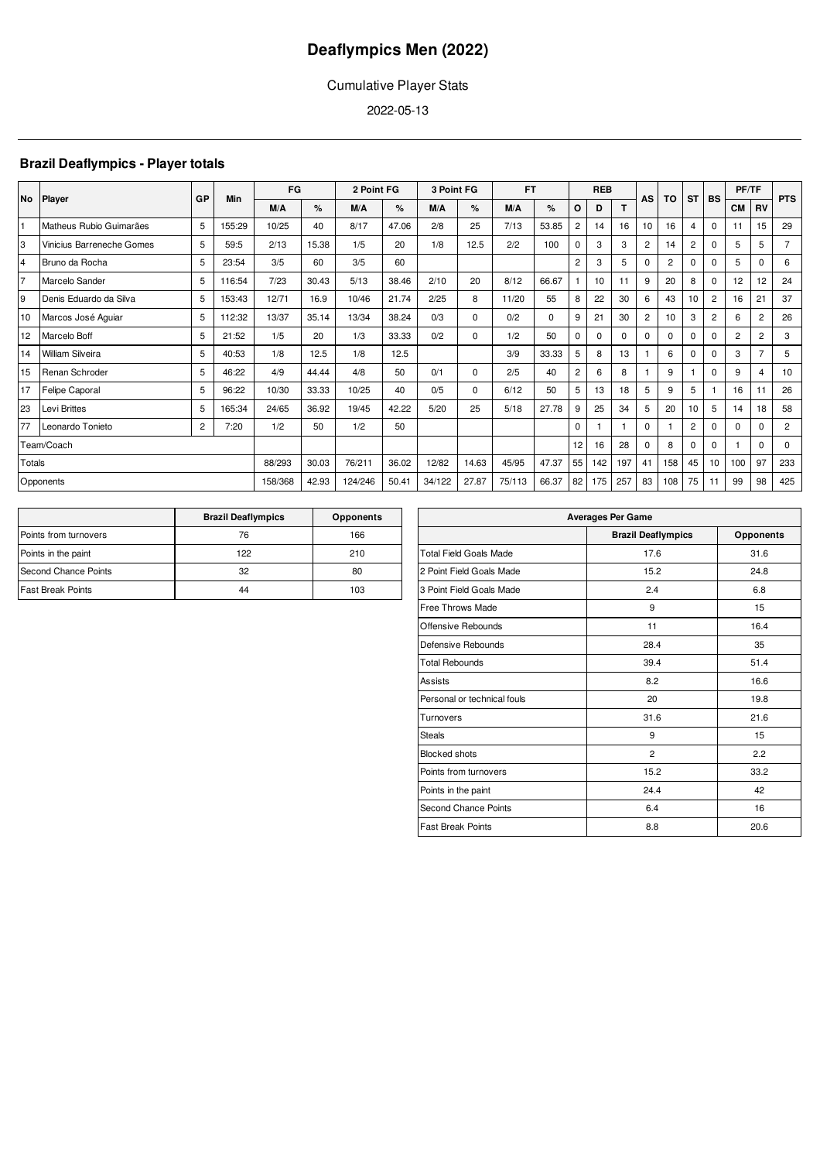## Cumulative Player Stats

2022-05-13

## **Brazil Deaflympics - Player totals**

|        |                           | GP             |        | FG      |       | 2 Point FG |       | 3 Point FG |             | <b>FT</b> |       | <b>REB</b>     |          |          |                |                |                  |                |                |                |                |  |  | TO | <b>ST</b> | <b>BS</b> | PF/TF |  | <b>PTS</b> |
|--------|---------------------------|----------------|--------|---------|-------|------------|-------|------------|-------------|-----------|-------|----------------|----------|----------|----------------|----------------|------------------|----------------|----------------|----------------|----------------|--|--|----|-----------|-----------|-------|--|------------|
|        | No Player                 |                | Min    | M/A     | %     | M/A        | %     | M/A        | %           | M/A       | %     | O              | D        |          | <b>AS</b>      |                |                  |                | <b>CM</b>      | <b>RV</b>      |                |  |  |    |           |           |       |  |            |
| İ1     | Matheus Rubio Guimarães   | 5              | 155:29 | 10/25   | 40    | 8/17       | 47.06 | 2/8        | 25          | 7/13      | 53.85 | $\overline{c}$ | 14       | 16       | 10             | 16             | 4                | $\Omega$       | 11             | 15             | 29             |  |  |    |           |           |       |  |            |
| 3      | Vinicius Barreneche Gomes | 5              | 59:5   | 2/13    | 15.38 | 1/5        | 20    | 1/8        | 12.5        | 2/2       | 100   | $\mathbf 0$    | 3        | 3        | $\overline{2}$ | 14             | $\overline{2}$   | $\Omega$       | 5.             | 5              | $\overline{7}$ |  |  |    |           |           |       |  |            |
| 4      | Bruno da Rocha            | 5              | 23:54  | 3/5     | 60    | 3/5        | 60    |            |             |           |       | $\overline{2}$ | 3        | 5        | 0              | $\overline{2}$ | 0                | 0              | 5              | 0              | 6              |  |  |    |           |           |       |  |            |
| 17     | Marcelo Sander            | 5              | 116:54 | 7/23    | 30.43 | 5/13       | 38.46 | 2/10       | 20          | 8/12      | 66.67 |                | 10       | 11       | 9              | 20             | 8                | $\Omega$       | 12             | 12             | 24             |  |  |    |           |           |       |  |            |
| 9      | Denis Eduardo da Silva    | 5              | 153:43 | 12/71   | 16.9  | 10/46      | 21.74 | 2/25       | 8           | 11/20     | 55    | 8              | 22       | 30       | 6              | 43             | 10 <sup>10</sup> | $\overline{2}$ | 16             | 21             | 37             |  |  |    |           |           |       |  |            |
| 10     | Marcos José Aguiar        | 5              | 112:32 | 13/37   | 35.14 | 13/34      | 38.24 | 0/3        | $\mathbf 0$ | 0/2       | 0     | 9              | 21       | 30       | $\overline{c}$ | 10             | 3                | $\overline{c}$ | 6              | $\overline{c}$ | 26             |  |  |    |           |           |       |  |            |
| 12     | Marcelo Boff              | 5              | 21:52  | 1/5     | 20    | 1/3        | 33.33 | 0/2        | 0           | 1/2       | 50    | $\mathbf 0$    | $\Omega$ | $\Omega$ | $\mathbf 0$    | $\mathbf 0$    | $\Omega$         | $\Omega$       | $\overline{2}$ | $\overline{c}$ | 3              |  |  |    |           |           |       |  |            |
| 14     | William Silveira          | 5              | 40:53  | 1/8     | 12.5  | 1/8        | 12.5  |            |             | 3/9       | 33.33 | 5              | 8        | 13       |                | 6              | $\Omega$         | $\Omega$       | 3              | $\overline{7}$ | 5              |  |  |    |           |           |       |  |            |
| 15     | Renan Schroder            | 5              | 46:22  | 4/9     | 44.44 | 4/8        | 50    | 0/1        | $\mathbf 0$ | 2/5       | 40    | $\overline{c}$ | 6        | 8        |                | 9              |                  | 0              | 9              | 4              | 10             |  |  |    |           |           |       |  |            |
| 17     | <b>Felipe Caporal</b>     | 5              | 96:22  | 10/30   | 33.33 | 10/25      | 40    | 0/5        | $\Omega$    | 6/12      | 50    | 5              | 13       | 18       | 5              | 9              | 5                |                | 16             | 11             | 26             |  |  |    |           |           |       |  |            |
| 23     | Levi Brittes              | 5              | 165:34 | 24/65   | 36.92 | 19/45      | 42.22 | 5/20       | 25          | 5/18      | 27.78 | 9              | 25       | 34       | 5              | 20             | 10 <sup>10</sup> | 5              | 14             | 18             | 58             |  |  |    |           |           |       |  |            |
| 77     | Leonardo Tonieto          | $\overline{2}$ | 7:20   | 1/2     | 50    | 1/2        | 50    |            |             |           |       | $\Omega$       |          |          | 0              | $\mathbf{1}$   | $\overline{2}$   | $\Omega$       | 0              | 0              | $\overline{2}$ |  |  |    |           |           |       |  |            |
|        | Team/Coach                |                |        |         |       |            |       |            |             |           |       | 12             | 16       | 28       | 0              | 8              | $\Omega$         | $\Omega$       |                | 0              | $\mathbf 0$    |  |  |    |           |           |       |  |            |
| Totals |                           |                |        | 88/293  | 30.03 | 76/211     | 36.02 | 12/82      | 14.63       | 45/95     | 47.37 | 55             | 142      | 197      | 41             | 158            | 45               | 10             | 100            | 97             | 233            |  |  |    |           |           |       |  |            |
|        | Opponents                 |                |        | 158/368 | 42.93 | 124/246    | 50.41 | 34/122     | 27.87       | 75/113    | 66.37 | 82             | 175      | 257      | 83             | 108            | 75               | 11             | 99             | 98             | 425            |  |  |    |           |           |       |  |            |

|                          | <b>Brazil Deaflympics</b> | <b>Opponents</b> |
|--------------------------|---------------------------|------------------|
| Points from turnovers    | 76                        | 166              |
| Points in the paint      | 122                       | 210              |
| Second Chance Points     | 32                        | 80               |
| <b>Fast Break Points</b> | 44                        | 103              |

| <b>Averages Per Game</b>      |                           |                  |  |  |  |  |  |  |  |  |
|-------------------------------|---------------------------|------------------|--|--|--|--|--|--|--|--|
|                               | <b>Brazil Deaflympics</b> | <b>Opponents</b> |  |  |  |  |  |  |  |  |
| <b>Total Field Goals Made</b> | 17.6                      | 31.6             |  |  |  |  |  |  |  |  |
| 2 Point Field Goals Made      | 15.2                      | 24.8             |  |  |  |  |  |  |  |  |
| 3 Point Field Goals Made      | 2.4                       | 6.8              |  |  |  |  |  |  |  |  |
| Free Throws Made              | 9                         | 15               |  |  |  |  |  |  |  |  |
| Offensive Rebounds            | 11                        | 16.4             |  |  |  |  |  |  |  |  |
| Defensive Rebounds            | 28.4                      | 35               |  |  |  |  |  |  |  |  |
| <b>Total Rebounds</b>         | 39.4                      | 51.4             |  |  |  |  |  |  |  |  |
| Assists                       | 8.2                       | 16.6             |  |  |  |  |  |  |  |  |
| Personal or technical fouls   | 20                        | 19.8             |  |  |  |  |  |  |  |  |
| Turnovers                     | 31.6                      | 21.6             |  |  |  |  |  |  |  |  |
| <b>Steals</b>                 | 9                         | 15               |  |  |  |  |  |  |  |  |
| <b>Blocked shots</b>          | $\overline{2}$            | 2.2              |  |  |  |  |  |  |  |  |
| Points from turnovers         | 15.2                      | 33.2             |  |  |  |  |  |  |  |  |
| Points in the paint           | 24.4                      | 42               |  |  |  |  |  |  |  |  |
| Second Chance Points          | 6.4                       | 16               |  |  |  |  |  |  |  |  |
| <b>Fast Break Points</b>      | 8.8                       | 20.6             |  |  |  |  |  |  |  |  |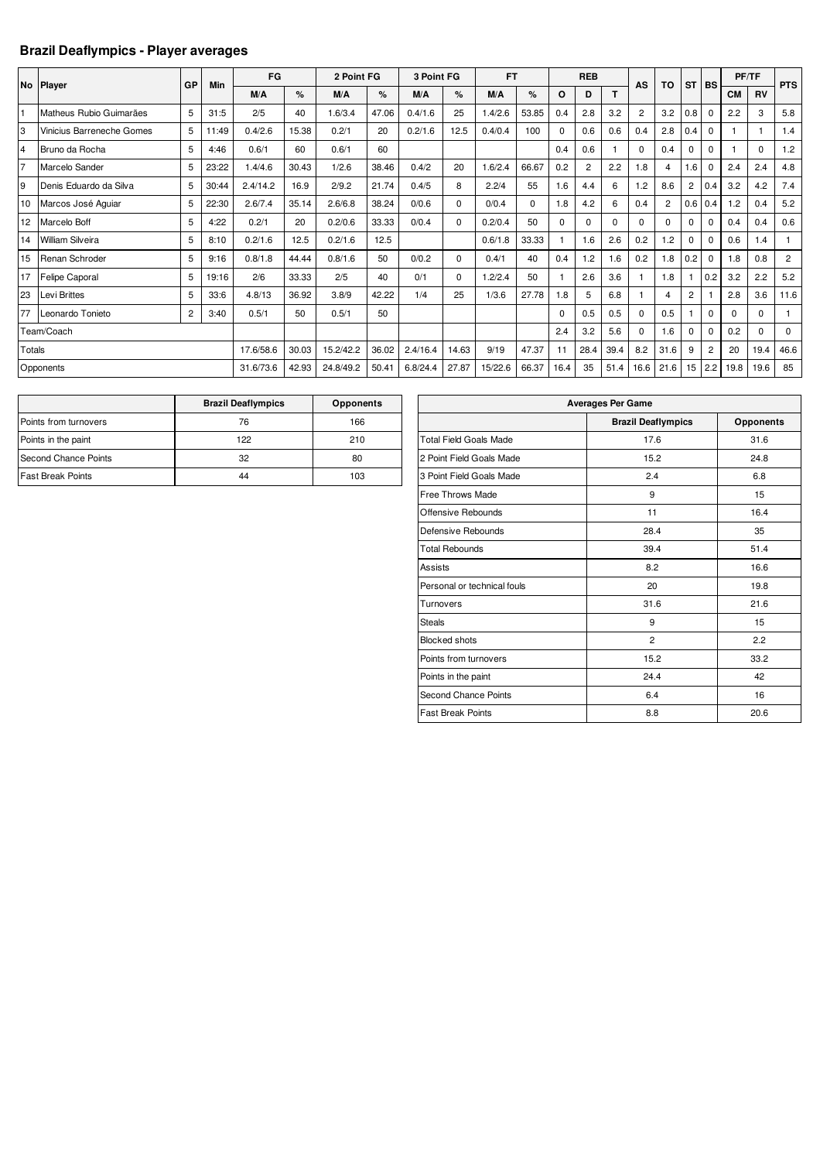## **Brazil Deaflympics - Player averages**

|                | No Player                 | GP             | Min   | FG        |       | 2 Point FG |       | 3 Point FG |       | <b>FT</b> |          | <b>REB</b> |                |          | AS             | TO             | <b>ST</b>      | <b>BS</b>      |           | PF/TF    | <b>PTS</b>     |
|----------------|---------------------------|----------------|-------|-----------|-------|------------|-------|------------|-------|-----------|----------|------------|----------------|----------|----------------|----------------|----------------|----------------|-----------|----------|----------------|
|                |                           |                |       | M/A       | %     | M/A        | %     | M/A        | %     | M/A       | ℅        | O          | D              | т        |                |                |                |                | <b>CM</b> | RV       |                |
|                | Matheus Rubio Guimarães   | 5              | 31:5  | 2/5       | 40    | 1.6/3.4    | 47.06 | 0.4/1.6    | 25    | 1.4/2.6   | 53.85    | 0.4        | 2.8            | 3.2      | $\overline{2}$ | 3.2            | 0.8            | $\Omega$       | 2.2       | 3        | 5.8            |
| 3              | Vinicius Barreneche Gomes | 5              | 11:49 | 0.4/2.6   | 15.38 | 0.2/1      | 20    | 0.2/1.6    | 12.5  | 0.4/0.4   | 100      | $\Omega$   | 0.6            | 0.6      | 0.4            | 2.8            | 0.4            | $\mathbf 0$    |           |          | 1.4            |
| $\overline{4}$ | Bruno da Rocha            | 5              | 4:46  | 0.6/1     | 60    | 0.6/1      | 60    |            |       |           |          | 0.4        | 0.6            |          | 0              | 0.4            | 0              | $\mathbf 0$    |           | $\Omega$ | 1.2            |
| 17             | Marcelo Sander            | 5              | 23:22 | 1.4/4.6   | 30.43 | 1/2.6      | 38.46 | 0.4/2      | 20    | 1.6/2.4   | 66.67    | 0.2        | $\overline{2}$ | 2.2      | 1.8            | 4              | 1.6            | $\mathbf 0$    | 2.4       | 2.4      | 4.8            |
| 9              | Denis Eduardo da Silva    | 5              | 30:44 | 2.4/14.2  | 16.9  | 2/9.2      | 21.74 | 0.4/5      | 8     | 2.2/4     | 55       | 1.6        | 4.4            | 6        | 1.2            | 8.6            | $\overline{c}$ | 0.4            | 3.2       | 4.2      | 7.4            |
| 10             | Marcos José Aquiar        | 5              | 22:30 | 2.6/7.4   | 35.14 | 2.6/6.8    | 38.24 | 0/0.6      | 0     | 0/0.4     | $\Omega$ | 1.8        | 4.2            | 6        | 0.4            | $\overline{2}$ | 0.6            | 0.4            | 1.2       | 0.4      | 5.2            |
| 12             | Marcelo Boff              | 5              | 4:22  | 0.2/1     | 20    | 0.2/0.6    | 33.33 | 0/0.4      | 0     | 0.2/0.4   | 50       | 0          | $\mathbf 0$    | $\Omega$ | 0              | 0              | 0              | $\mathbf 0$    | 0.4       | 0.4      | 0.6            |
| 14             | <b>William Silveira</b>   | 5              | 8:10  | 0.2/1.6   | 12.5  | 0.2/1.6    | 12.5  |            |       | 0.6/1.8   | 33.33    |            | 1.6            | 2.6      | 0.2            | 1.2            | 0              | $\Omega$       | 0.6       | 1.4      |                |
| 15             | Renan Schroder            | 5              | 9:16  | 0.8/1.8   | 44.44 | 0.8/1.6    | 50    | 0/0.2      | 0     | 0.4/1     | 40       | 0.4        | 1.2            | 1.6      | 0.2            | 1.8            | 0.2            | $\mathbf 0$    | 1.8       | 0.8      | $\overline{2}$ |
| 17             | Felipe Caporal            | 5              | 19:16 | 2/6       | 33.33 | 2/5        | 40    | 0/1        | 0     | 1.2/2.4   | 50       |            | 2.6            | 3.6      |                | 1.8            |                | 0.2            | 3.2       | 2.2      | 5.2            |
| 23             | Levi Brittes              | 5              | 33:6  | 4.8/13    | 36.92 | 3.8/9      | 42.22 | 1/4        | 25    | 1/3.6     | 27.78    | 1.8        | 5              | 6.8      |                | 4              | $\overline{2}$ |                | 2.8       | 3.6      | 11.6           |
| 77             | Leonardo Tonieto          | $\overline{c}$ | 3:40  | 0.5/1     | 50    | 0.5/1      | 50    |            |       |           |          | $\Omega$   | 0.5            | 0.5      | $\Omega$       | 0.5            |                | $\Omega$       | $\Omega$  | $\Omega$ |                |
|                | Team/Coach                |                |       |           |       |            |       |            |       |           |          | 2.4        | 3.2            | 5.6      | 0              | 1.6            | 0              | $\mathbf 0$    | 0.2       | $\Omega$ | $\mathbf 0$    |
| Totals         |                           |                |       | 17.6/58.6 | 30.03 | 15.2/42.2  | 36.02 | 2.4/16.4   | 14.63 | 9/19      | 47.37    | 11         | 28.4           | 39.4     | 8.2            | 31.6           | 9              | $\overline{2}$ | 20        | 19.4     | 46.6           |
|                | Opponents                 |                |       | 31.6/73.6 | 42.93 | 24.8/49.2  | 50.41 | 6.8/24.4   | 27.87 | 15/22.6   | 66.37    | 16.4       | 35             | 51.4     | 16.6           | 21.6           | 15             | 2.2            | 19.8      | 19.6     | 85             |

|                          | <b>Brazil Deaflympics</b> | <b>Opponents</b> |
|--------------------------|---------------------------|------------------|
| Points from turnovers    | 76                        | 166              |
| Points in the paint      | 122                       | 210              |
| Second Chance Points     | 32                        | 80               |
| <b>Fast Break Points</b> | 44                        | 103              |

| <b>Averages Per Game</b>      |                           |                  |  |  |  |  |  |  |  |  |
|-------------------------------|---------------------------|------------------|--|--|--|--|--|--|--|--|
|                               | <b>Brazil Deaflympics</b> | <b>Opponents</b> |  |  |  |  |  |  |  |  |
| <b>Total Field Goals Made</b> | 17.6                      | 31.6             |  |  |  |  |  |  |  |  |
| 2 Point Field Goals Made      | 15.2                      | 24.8             |  |  |  |  |  |  |  |  |
| 3 Point Field Goals Made      | 2.4                       | 6.8              |  |  |  |  |  |  |  |  |
| Free Throws Made              | 9                         | 15               |  |  |  |  |  |  |  |  |
| Offensive Rebounds            | 11                        | 16.4             |  |  |  |  |  |  |  |  |
| Defensive Rebounds            | 28.4                      | 35               |  |  |  |  |  |  |  |  |
| <b>Total Rebounds</b>         | 39.4                      | 51.4             |  |  |  |  |  |  |  |  |
| Assists                       | 8.2                       | 16.6             |  |  |  |  |  |  |  |  |
| Personal or technical fouls   | 20                        | 19.8             |  |  |  |  |  |  |  |  |
| Turnovers                     | 31.6                      | 21.6             |  |  |  |  |  |  |  |  |
| <b>Steals</b>                 | 9                         | 15               |  |  |  |  |  |  |  |  |
| <b>Blocked shots</b>          | $\overline{2}$            | 2.2              |  |  |  |  |  |  |  |  |
| Points from turnovers         | 15.2                      | 33.2             |  |  |  |  |  |  |  |  |
| Points in the paint           | 24.4                      | 42               |  |  |  |  |  |  |  |  |
| Second Chance Points          | 6.4                       | 16               |  |  |  |  |  |  |  |  |
| <b>Fast Break Points</b>      | 8.8                       | 20.6             |  |  |  |  |  |  |  |  |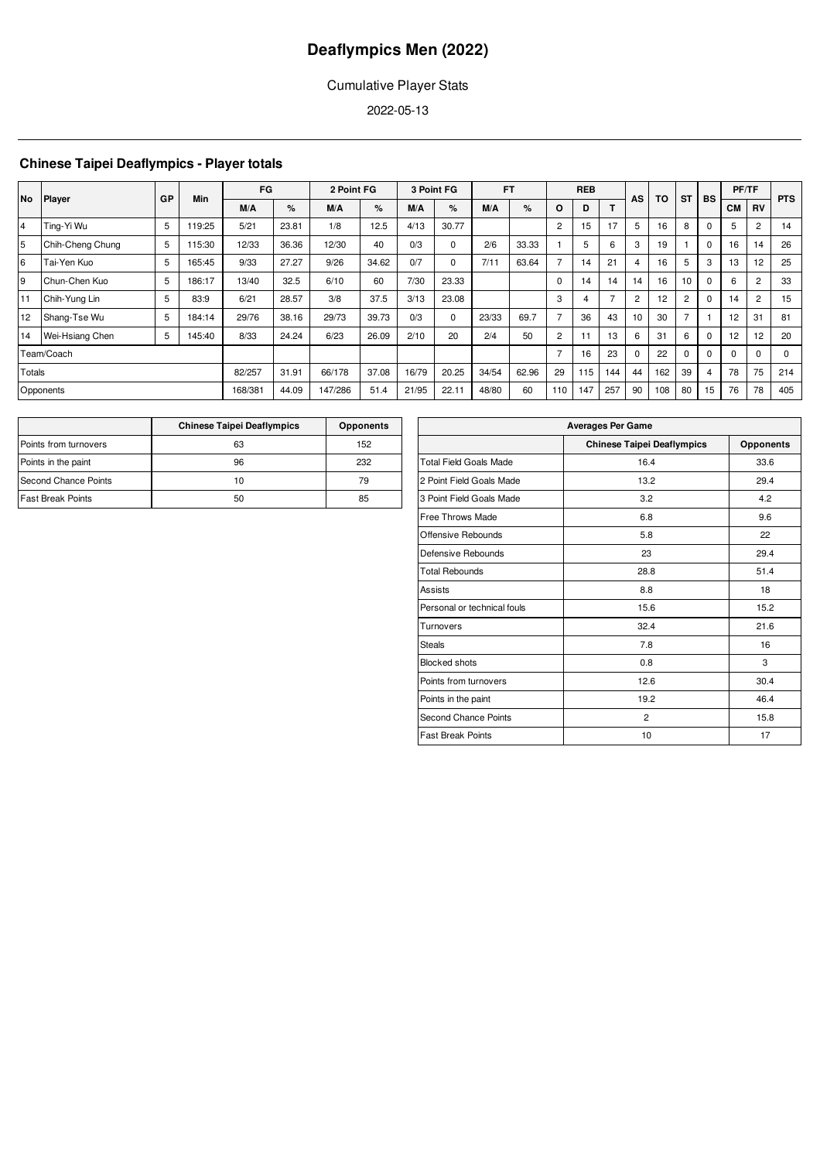## Cumulative Player Stats

2022-05-13

## **Chinese Taipei Deaflympics - Player totals**

|                |                  |    |        | FG      |       | 2 Point FG |       |       | 3 Point FG |       | <b>FT</b> |                | <b>REB</b> |     |                | <b>TO</b> |                |          | PF/TF     |                |            |
|----------------|------------------|----|--------|---------|-------|------------|-------|-------|------------|-------|-----------|----------------|------------|-----|----------------|-----------|----------------|----------|-----------|----------------|------------|
| <b>No</b>      | Player           | GP | Min    | M/A     | ℅     | M/A        | %     | M/A   | $\%$       | M/A   | $\%$      | O              | D          |     | AS             |           | <b>ST</b>      | BS       | <b>CM</b> | <b>RV</b>      | <b>PTS</b> |
| $\overline{4}$ | Ting-Yi Wu       | 5  | 119:25 | 5/21    | 23.81 | 1/8        | 12.5  | 4/13  | 30.77      |       |           | $\overline{2}$ | 15         | 17  | 5              | 16        | 8              | $\Omega$ | 5         | $\overline{2}$ | 14         |
| 5              | Chih-Cheng Chung | 5  | 115:30 | 12/33   | 36.36 | 12/30      | 40    | 0/3   | $\Omega$   | 2/6   | 33.33     |                | 5          | 6   | 3              | 19        |                | $\Omega$ | 16        | 14             | 26         |
| 6              | Tai-Yen Kuo      | 5  | 165:45 | 9/33    | 27.27 | 9/26       | 34.62 | 0/7   | $\Omega$   | 7/11  | 63.64     |                | 14         | 21  |                | 16        | 5              | 3        | 13        | 12             | 25         |
| 9              | Chun-Chen Kuo    | 5  | 186:17 | 13/40   | 32.5  | 6/10       | 60    | 7/30  | 23.33      |       |           | $\Omega$       | 14         | 14  | 14             | 16        | 10             | $\Omega$ | 6         | $\overline{c}$ | 33         |
| 11             | Chih-Yung Lin    | 5  | 83:9   | 6/21    | 28.57 | 3/8        | 37.5  | 3/13  | 23.08      |       |           | 3              | 4          |     | $\overline{2}$ | 12        | $\overline{c}$ | 0        | 14        | $\overline{2}$ | 15         |
| 12             | Shang-Tse Wu     | 5  | 184:14 | 29/76   | 38.16 | 29/73      | 39.73 | 0/3   | $\Omega$   | 23/33 | 69.7      |                | 36         | 43  | 10             | 30        |                |          | 12        | 31             | 81         |
| 14             | Wei-Hsiang Chen  | 5  | 145:40 | 8/33    | 24.24 | 6/23       | 26.09 | 2/10  | 20         | 2/4   | 50        | $\overline{2}$ | 11         | 13  | 6              | 31        | 6              | $\Omega$ | 12        | 12             | 20         |
|                | Team/Coach       |    |        |         |       |            |       |       |            |       |           |                | 16         | 23  | $\Omega$       | 22        | $\Omega$       | $\Omega$ | $\Omega$  | $\Omega$       | $\Omega$   |
| Totals         |                  |    |        | 82/257  | 31.91 | 66/178     | 37.08 | 16/79 | 20.25      | 34/54 | 62.96     | 29             | 115        | 144 | 44             | 162       | 39             | 4        | 78        | 75             | 214        |
|                | Opponents        |    |        | 168/381 | 44.09 | 147/286    | 51.4  | 21/95 | 22.11      | 48/80 | 60        | 110            | 147        | 257 | 90             | 108       | 80             | 15       | 76        | 78             | 405        |

|                          | <b>Chinese Taipei Deaflympics</b> | <b>Opponents</b> |
|--------------------------|-----------------------------------|------------------|
| Points from turnovers    | 63                                | 152              |
| Points in the paint      | 96                                | 232              |
| Second Chance Points     | 10                                | 79               |
| <b>Fast Break Points</b> | 50                                | 85               |

| <b>Averages Per Game</b>      |                                   |                  |  |  |  |  |  |  |  |  |
|-------------------------------|-----------------------------------|------------------|--|--|--|--|--|--|--|--|
|                               | <b>Chinese Taipei Deaflympics</b> | <b>Opponents</b> |  |  |  |  |  |  |  |  |
| <b>Total Field Goals Made</b> | 16.4                              | 33.6             |  |  |  |  |  |  |  |  |
| 2 Point Field Goals Made      | 13.2                              | 29.4             |  |  |  |  |  |  |  |  |
| 3 Point Field Goals Made      | 3.2                               | 4.2              |  |  |  |  |  |  |  |  |
| Free Throws Made              | 6.8                               | 9.6              |  |  |  |  |  |  |  |  |
| Offensive Rebounds            | 5.8                               | 22               |  |  |  |  |  |  |  |  |
| Defensive Rebounds            | 23                                | 29.4             |  |  |  |  |  |  |  |  |
| <b>Total Rebounds</b>         | 28.8                              | 51.4             |  |  |  |  |  |  |  |  |
| Assists                       | 8.8                               | 18               |  |  |  |  |  |  |  |  |
| Personal or technical fouls   | 15.6                              | 15.2             |  |  |  |  |  |  |  |  |
| Turnovers                     | 32.4                              | 21.6             |  |  |  |  |  |  |  |  |
| <b>Steals</b>                 | 7.8                               | 16               |  |  |  |  |  |  |  |  |
| <b>Blocked shots</b>          | 0.8                               | 3                |  |  |  |  |  |  |  |  |
| Points from turnovers         | 12.6                              | 30.4             |  |  |  |  |  |  |  |  |
| Points in the paint           | 19.2                              | 46.4             |  |  |  |  |  |  |  |  |
| <b>Second Chance Points</b>   | $\overline{2}$                    | 15.8             |  |  |  |  |  |  |  |  |
| <b>Fast Break Points</b>      | 10                                | 17               |  |  |  |  |  |  |  |  |
|                               |                                   |                  |  |  |  |  |  |  |  |  |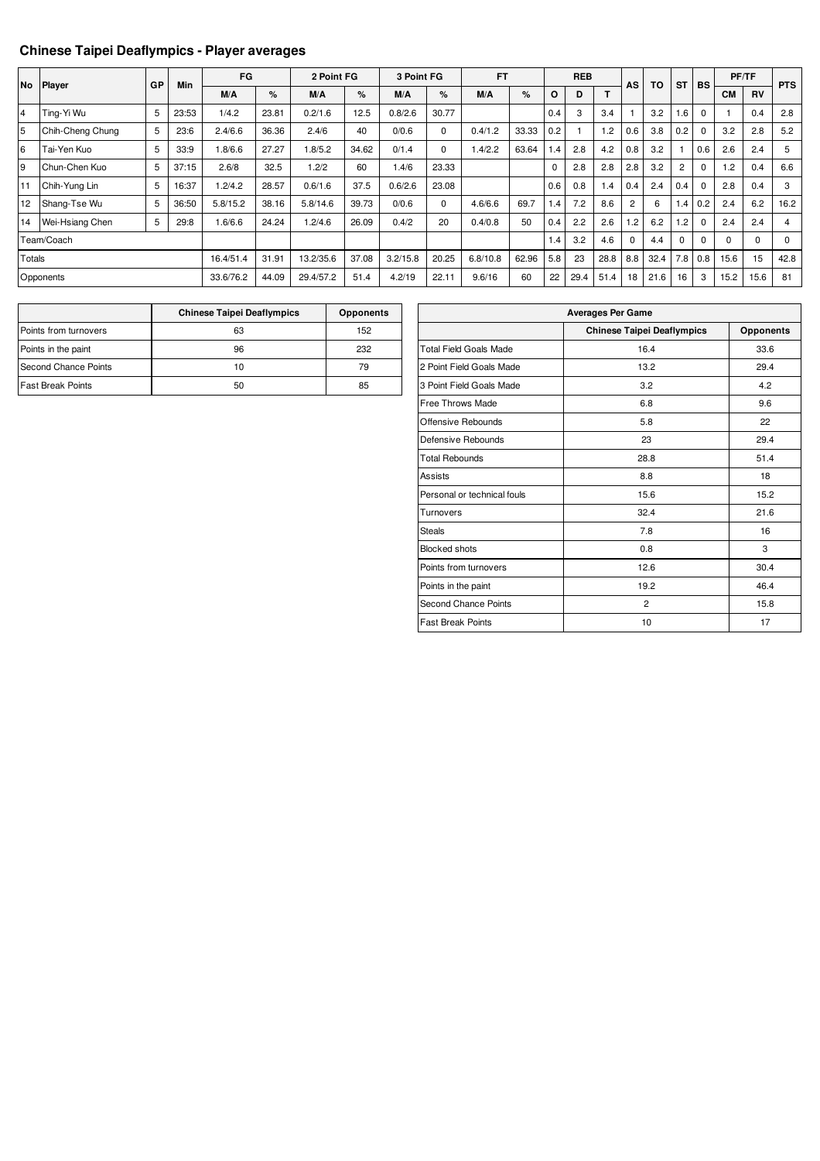## **Chinese Taipei Deaflympics - Player averages**

|               | No Player        | GP | Min   | FG        |       | 2 Point FG |       | 3 Point FG |             | <b>FT</b> |       | <b>REB</b> |      |      |          |      |             | TO          | <b>ST</b> | <b>BS</b> | PF/TF    |  | <b>PTS</b> |
|---------------|------------------|----|-------|-----------|-------|------------|-------|------------|-------------|-----------|-------|------------|------|------|----------|------|-------------|-------------|-----------|-----------|----------|--|------------|
|               |                  |    |       | M/A       | %     | M/A        | %     | M/A        | $\%$        | M/A       | %     | O          | D    | т    | AS       |      |             |             | <b>CM</b> | <b>RV</b> |          |  |            |
| 14            | Ting-Yi Wu       | 5  | 23:53 | 1/4.2     | 23.81 | 0.2/1.6    | 12.5  | 0.8/2.6    | 30.77       |           |       | 0.4        | 3    | 3.4  |          | 3.2  | 1.6         | $\mathbf 0$ |           | 0.4       | 2.8      |  |            |
| 5             | Chih-Cheng Chung | 5  | 23:6  | 2.4/6.6   | 36.36 | 2.4/6      | 40    | 0/0.6      | $\mathbf 0$ | 0.4/1.2   | 33.33 | 0.2        |      | 1.2  | 0.6      | 3.8  | 0.2         | $\mathbf 0$ | 3.2       | 2.8       | 5.2      |  |            |
| l6            | Tai-Yen Kuo      | 5  | 33:9  | 1.8/6.6   | 27.27 | 1.8/5.2    | 34.62 | 0/1.4      | $\mathbf 0$ | .4/2.2    | 63.64 | 1.4        | 2.8  | 4.2  | 0.8      | 3.2  |             | 0.6         | 2.6       | 2.4       | 5        |  |            |
| l9            | Chun-Chen Kuo    | 5  | 37:15 | 2.6/8     | 32.5  | 1.2/2      | 60    | 1.4/6      | 23.33       |           |       | 0          | 2.8  | 2.8  | 2.8      | 3.2  | 2           | $\Omega$    | 1.2       | 0.4       | 6.6      |  |            |
| 11            | Chih-Yung Lin    | 5  | 16:37 | 1.2/4.2   | 28.57 | 0.6/1.6    | 37.5  | 0.6/2.6    | 23.08       |           |       | 0.6        | 0.8  | 1.4  | 0.4      | 2.4  | 0.4         | $\mathbf 0$ | 2.8       | 0.4       | 3        |  |            |
| 12            | Shang-Tse Wu     | 5  | 36:50 | 5.8/15.2  | 38.16 | 5.8/14.6   | 39.73 | 0/0.6      | $\mathbf 0$ | 4.6/6.6   | 69.7  | 1.4        | 7.2  | 8.6  | 2        | 6    | 1.4         | 0.2         | 2.4       | 6.2       | 16.2     |  |            |
| 14            | Wei-Hsiang Chen  | 5  | 29:8  | 1.6/6.6   | 24.24 | 1.2/4.6    | 26.09 | 0.4/2      | 20          | 0.4/0.8   | 50    | 0.4        | 2.2  | 2.6  | 1.2      | 6.2  | 1.2         | $\mathbf 0$ | 2.4       | 2.4       | 4        |  |            |
|               | Team/Coach       |    |       |           |       |            |       |            |             |           |       | 1.4        | 3.2  | 4.6  | $\Omega$ | 4.4  | $\mathbf 0$ | $\Omega$    | $\Omega$  | 0         | $\Omega$ |  |            |
| <b>Totals</b> |                  |    |       | 16.4/51.4 | 31.91 | 13.2/35.6  | 37.08 | 3.2/15.8   | 20.25       | 6.8/10.8  | 62.96 | 5.8        | 23   | 28.8 | 8.8      | 32.4 | 7.8         | 0.8         | 15.6      | 15        | 42.8     |  |            |
|               | Opponents        |    |       | 33.6/76.2 | 44.09 | 29.4/57.2  | 51.4  | 4.2/19     | 22.11       | 9.6/16    | 60    | 22         | 29.4 | 51.4 | 18       | 21.6 | 16          | 3           | 15.2      | 15.6      | 81       |  |            |

|                          | <b>Chinese Taipei Deaflympics</b> | <b>Opponents</b> |
|--------------------------|-----------------------------------|------------------|
| Points from turnovers    | 63                                | 152              |
| Points in the paint      | 96                                | 232              |
| Second Chance Points     | 10                                | 79               |
| <b>Fast Break Points</b> | 50                                | 85               |

| <b>Averages Per Game</b>      |                                   |                  |  |  |  |  |  |  |  |
|-------------------------------|-----------------------------------|------------------|--|--|--|--|--|--|--|
|                               | <b>Chinese Taipei Deaflympics</b> | <b>Opponents</b> |  |  |  |  |  |  |  |
| <b>Total Field Goals Made</b> | 16.4                              | 33.6             |  |  |  |  |  |  |  |
| 2 Point Field Goals Made      | 13.2                              | 29.4             |  |  |  |  |  |  |  |
| 3 Point Field Goals Made      | 3.2                               | 4.2              |  |  |  |  |  |  |  |
| Free Throws Made              | 6.8                               | 9.6              |  |  |  |  |  |  |  |
| Offensive Rebounds            | 5.8                               | 22               |  |  |  |  |  |  |  |
| Defensive Rebounds            | 23                                | 29.4             |  |  |  |  |  |  |  |
| <b>Total Rebounds</b>         | 28.8                              | 51.4             |  |  |  |  |  |  |  |
| Assists                       | 8.8                               | 18               |  |  |  |  |  |  |  |
| Personal or technical fouls   | 15.6                              | 15.2             |  |  |  |  |  |  |  |
| Turnovers                     | 32.4                              | 21.6             |  |  |  |  |  |  |  |
| <b>Steals</b>                 | 7.8                               | 16               |  |  |  |  |  |  |  |
| <b>Blocked shots</b>          | 0.8                               | 3                |  |  |  |  |  |  |  |
| Points from turnovers         | 12.6                              | 30.4             |  |  |  |  |  |  |  |
| Points in the paint           | 19.2                              | 46.4             |  |  |  |  |  |  |  |
| Second Chance Points          | $\overline{2}$                    | 15.8             |  |  |  |  |  |  |  |
| <b>Fast Break Points</b>      | 10                                | 17               |  |  |  |  |  |  |  |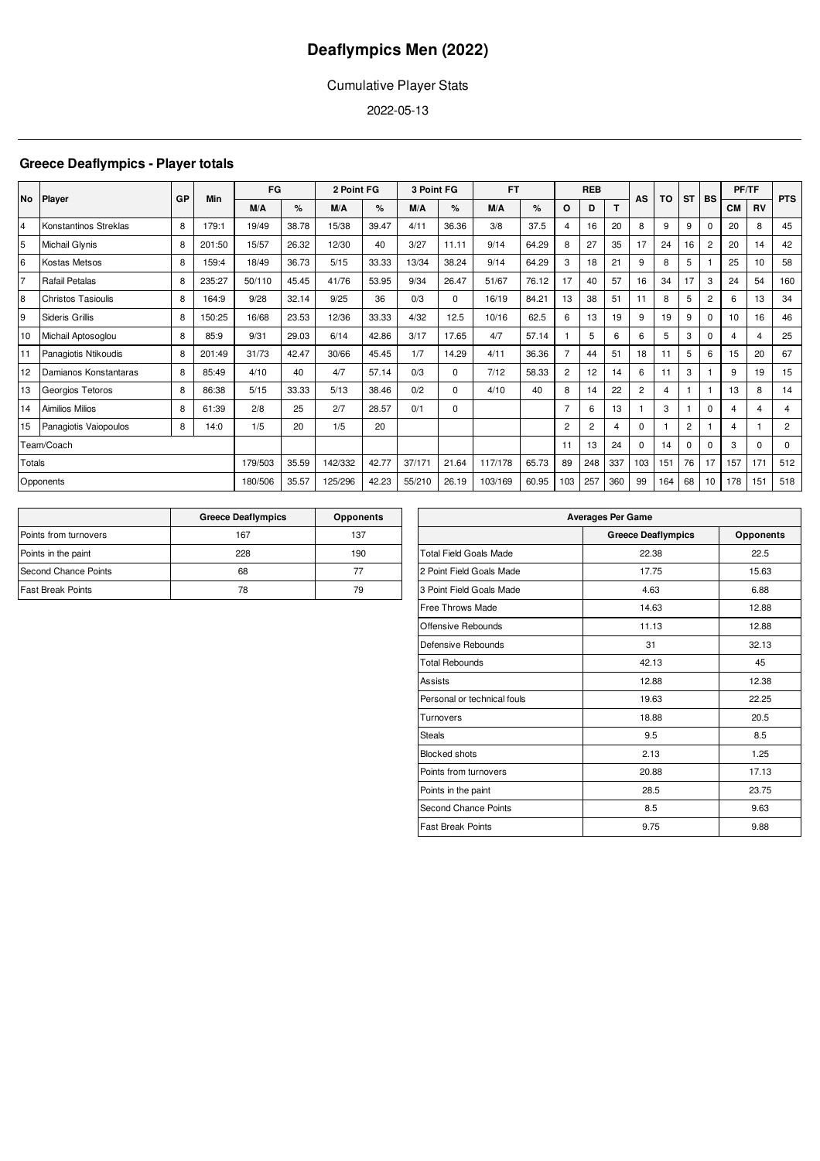## Cumulative Player Stats

2022-05-13

## **Greece Deaflympics - Player totals**

| No.    | Player                    | GP | Min    | FG      |       | 2 Point FG |       | 3 Point FG |          | <b>FT</b> |       |                | <b>REB</b>      |                | AS             | TO  | <b>ST</b> | BS             | PF/TF          |           | <b>PTS</b>     |
|--------|---------------------------|----|--------|---------|-------|------------|-------|------------|----------|-----------|-------|----------------|-----------------|----------------|----------------|-----|-----------|----------------|----------------|-----------|----------------|
|        |                           |    |        | M/A     | %     | M/A        | %     | M/A        | %        | M/A       | %     | O              | D               | T              |                |     |           |                | <b>CM</b>      | <b>RV</b> |                |
| 4      | Konstantinos Streklas     | 8  | 179:1  | 19/49   | 38.78 | 15/38      | 39.47 | 4/11       | 36.36    | 3/8       | 37.5  | 4              | 16              | 20             | 8              | 9   | 9         | $\Omega$       | 20             | 8         | 45             |
| 5      | Michail Glynis            | 8  | 201:50 | 15/57   | 26.32 | 12/30      | 40    | 3/27       | 11.11    | 9/14      | 64.29 | 8              | 27              | 35             | 17             | 24  | 16        | $\overline{c}$ | 20             | 14        | 42             |
| 6      | Kostas Metsos             | 8  | 159:4  | 18/49   | 36.73 | 5/15       | 33.33 | 13/34      | 38.24    | 9/14      | 64.29 | 3              | 18              | 21             | 9              | 8   | 5         |                | 25             | 10        | 58             |
| 17     | Rafail Petalas            | 8  | 235:27 | 50/110  | 45.45 | 41/76      | 53.95 | 9/34       | 26.47    | 51/67     | 76.12 | 17             | 40              | 57             | 16             | 34  | 17        | 3              | 24             | 54        | 160            |
| 8      | <b>Christos Tasioulis</b> | 8  | 164:9  | 9/28    | 32.14 | 9/25       | 36    | 0/3        | $\Omega$ | 16/19     | 84.21 | 13             | 38              | 51             | 11             | 8   | 5         | $\overline{c}$ | 6              | 13        | 34             |
| 9      | Sideris Grillis           | 8  | 150:25 | 16/68   | 23.53 | 12/36      | 33.33 | 4/32       | 12.5     | 10/16     | 62.5  | 6              | 13              | 19             | 9              | 19  | 9         | $\Omega$       | 10             | 16        | 46             |
| 10     | Michail Aptosoglou        | 8  | 85:9   | 9/31    | 29.03 | 6/14       | 42.86 | 3/17       | 17.65    | 4/7       | 57.14 |                | 5               | 6              | 6              | 5   | 3         | 0              | 4              | 4         | 25             |
| 11     | Panagiotis Ntikoudis      | 8  | 201:49 | 31/73   | 42.47 | 30/66      | 45.45 | 1/7        | 14.29    | 4/11      | 36.36 | $\overline{7}$ | 44              | 51             | 18             | 11  | 5         | 6              | 15             | 20        | 67             |
| 12     | Damianos Konstantaras     | 8  | 85:49  | 4/10    | 40    | 4/7        | 57.14 | 0/3        | $\Omega$ | 7/12      | 58.33 | $\overline{2}$ | 12 <sup>2</sup> | 14             | 6              | 11  | 3         |                | 9              | 19        | 15             |
| 13     | Georgios Tetoros          | 8  | 86:38  | 5/15    | 33.33 | 5/13       | 38.46 | 0/2        | $\Omega$ | 4/10      | 40    | 8              | 14              | 22             | $\overline{2}$ | 4   |           |                | 13             | 8         | 14             |
| 14     | Aimilios Milios           | 8  | 61:39  | 2/8     | 25    | 2/7        | 28.57 | 0/1        | $\Omega$ |           |       | $\overline{7}$ | 6               | 13             |                | 3   |           | 0              | 4              | 4         | 4              |
| 15     | Panagiotis Vaiopoulos     | 8  | 14:0   | 1/5     | 20    | 1/5        | 20    |            |          |           |       | $\overline{2}$ | $\overline{c}$  | $\overline{4}$ | $\Omega$       |     | 2         |                | $\overline{4}$ |           | $\overline{2}$ |
|        | Team/Coach                |    |        |         |       |            |       |            |          |           |       | 11             | 13              | 24             | $\Omega$       | 14  | 0         | 0              | 3              | $\Omega$  | $\mathbf 0$    |
| Totals |                           |    |        | 179/503 | 35.59 | 142/332    | 42.77 | 37/171     | 21.64    | 117/178   | 65.73 | 89             | 248             | 337            | 103            | 151 | 76        | 17             | 157            | 171       | 512            |
|        | Opponents                 |    |        | 180/506 | 35.57 | 125/296    | 42.23 | 55/210     | 26.19    | 103/169   | 60.95 | 103            | 257             | 360            | 99             | 164 | 68        | 10             | 178            | 151       | 518            |

|                          | <b>Greece Deaflympics</b> | <b>Opponents</b> |
|--------------------------|---------------------------|------------------|
| Points from turnovers    | 167                       | 137              |
| Points in the paint      | 228                       | 190              |
| Second Chance Points     | 68                        | 77               |
| <b>Fast Break Points</b> | 78                        | 79               |

| <b>Averages Per Game</b>      |                           |                  |  |  |  |  |  |  |  |  |
|-------------------------------|---------------------------|------------------|--|--|--|--|--|--|--|--|
|                               | <b>Greece Deaflympics</b> | <b>Opponents</b> |  |  |  |  |  |  |  |  |
| <b>Total Field Goals Made</b> | 22.38                     | 22.5             |  |  |  |  |  |  |  |  |
| 2 Point Field Goals Made      | 17.75                     | 15.63            |  |  |  |  |  |  |  |  |
| 3 Point Field Goals Made      | 4.63                      | 6.88             |  |  |  |  |  |  |  |  |
| <b>Free Throws Made</b>       | 14.63                     | 12.88            |  |  |  |  |  |  |  |  |
| Offensive Rebounds            | 11.13                     | 12.88            |  |  |  |  |  |  |  |  |
| Defensive Rebounds            | 31                        | 32.13            |  |  |  |  |  |  |  |  |
| <b>Total Rebounds</b>         | 42.13                     | 45               |  |  |  |  |  |  |  |  |
| Assists                       | 12.88                     | 12.38            |  |  |  |  |  |  |  |  |
| Personal or technical fouls   | 19.63                     | 22.25            |  |  |  |  |  |  |  |  |
| Turnovers                     | 18.88                     | 20.5             |  |  |  |  |  |  |  |  |
| <b>Steals</b>                 | 9.5                       | 8.5              |  |  |  |  |  |  |  |  |
| <b>Blocked shots</b>          | 2.13                      | 1.25             |  |  |  |  |  |  |  |  |
| Points from turnovers         | 20.88                     | 17.13            |  |  |  |  |  |  |  |  |
| Points in the paint           | 28.5                      | 23.75            |  |  |  |  |  |  |  |  |
| <b>Second Chance Points</b>   | 8.5                       | 9.63             |  |  |  |  |  |  |  |  |
| <b>Fast Break Points</b>      | 9.75                      | 9.88             |  |  |  |  |  |  |  |  |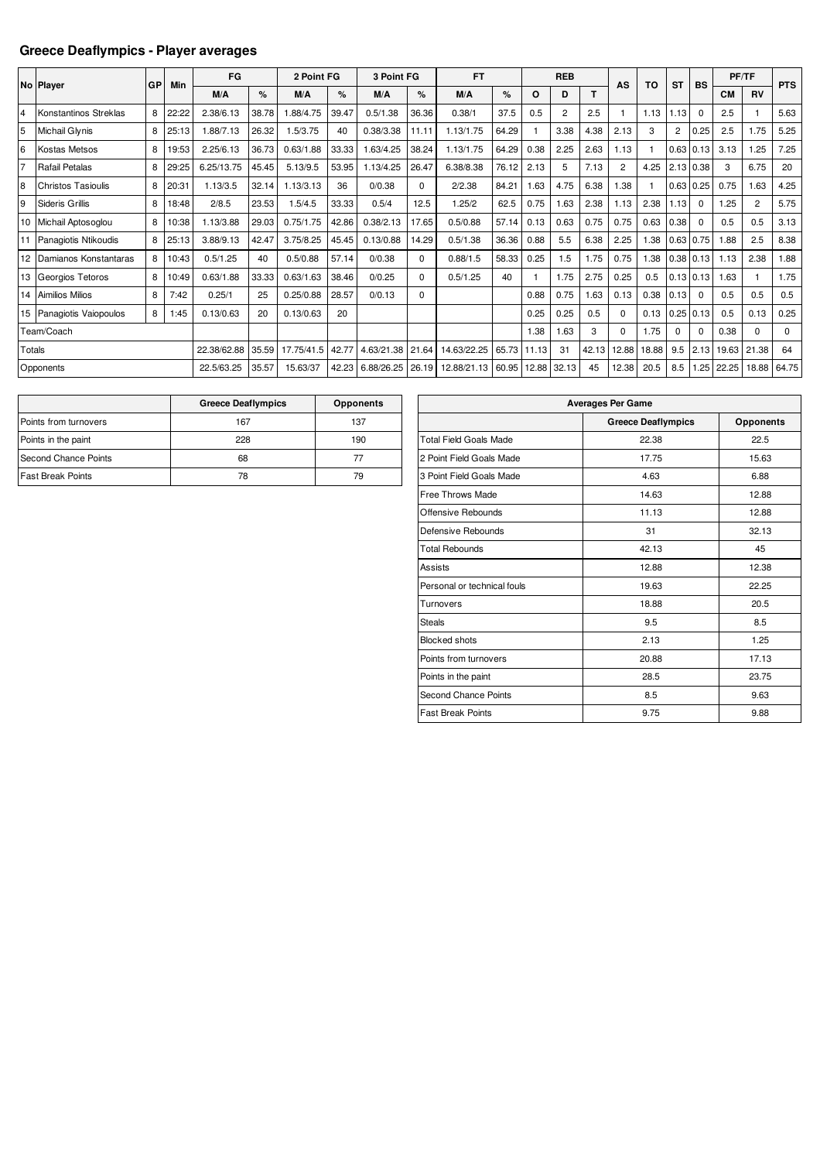## **Greece Deaflympics - Player averages**

|                | No Player                 | GP | Min   | FG          |       | 2 Point FG |       | 3 Point FG |          | <b>FT</b>   |       |       | <b>REB</b>     |       | AS             | TO    | <b>ST</b>        | <b>BS</b>     |           | PF/TF       | <b>PTS</b> |
|----------------|---------------------------|----|-------|-------------|-------|------------|-------|------------|----------|-------------|-------|-------|----------------|-------|----------------|-------|------------------|---------------|-----------|-------------|------------|
|                |                           |    |       | M/A         | %     | M/A        | %     | M/A        | %        | M/A         | %     | O     | D              | т     |                |       |                  |               | <b>CM</b> | <b>RV</b>   |            |
| $\overline{4}$ | Konstantinos Streklas     | 8  | 22:22 | 2.38/6.13   | 38.78 | .88/4.75   | 39.47 | 0.5/1.38   | 36.36    | 0.38/1      | 37.5  | 0.5   | $\overline{2}$ | 2.5   |                | 1.13  | 1.13             | $\mathbf 0$   | 2.5       |             | 5.63       |
| 5              | <b>Michail Glynis</b>     | 8  | 25:13 | 1.88/7.13   | 26.32 | 1.5/3.75   | 40    | 0.38/3.38  | 11.11    | 1.13/1.75   | 64.29 |       | 3.38           | 4.38  | 2.13           | 3     | $\overline{2}$   | 0.25          | 2.5       | 1.75        | 5.25       |
| 6              | Kostas Metsos             | 8  | 19:53 | 2.25/6.13   | 36.73 | 0.63/1.88  | 33.33 | .63/4.25   | 38.24    | 1.13/1.75   | 64.29 | 0.38  | 2.25           | 2.63  | 1.13           |       | 0.63             | 0.13          | 3.13      | 1.25        | 7.25       |
| 17             | Rafail Petalas            | 8  | 29:25 | 6.25/13.75  | 45.45 | 5.13/9.5   | 53.95 | .13/4.25   | 26.47    | 6.38/8.38   | 76.12 | 2.13  | 5              | 7.13  | $\overline{c}$ | 4.25  | $2.13 \mid 0.38$ |               | 3         | 6.75        | 20         |
| l8             | <b>Christos Tasioulis</b> | 8  | 20:31 | 1.13/3.5    | 32.14 | 1.13/3.13  | 36    | 0/0.38     | $\Omega$ | 2/2.38      | 84.21 | 1.63  | 4.75           | 6.38  | 1.38           |       |                  | $0.63$ 0.25   | 0.75      | 1.63        | 4.25       |
| 9              | Sideris Grillis           | 8  | 18:48 | 2/8.5       | 23.53 | 1.5/4.5    | 33.33 | 0.5/4      | 12.5     | 1.25/2      | 62.5  | 0.75  | 1.63           | 2.38  | 1.13           | 2.38  | 1.13             | $\Omega$      | 1.25      | 2           | 5.75       |
|                | 10 Michail Aptosoglou     | 8  | 10:38 | 1.13/3.88   | 29.03 | 0.75/1.75  | 42.86 | 0.38/2.13  | 17.65    | 0.5/0.88    | 57.14 | 0.13  | 0.63           | 0.75  | 0.75           | 0.63  | 0.38             | $\mathbf 0$   | 0.5       | 0.5         | 3.13       |
|                | Panagiotis Ntikoudis      | 8  | 25:13 | 3.88/9.13   | 42.47 | 3.75/8.25  | 45.45 | 0.13/0.88  | 14.29    | 0.5/1.38    | 36.36 | 0.88  | 5.5            | 6.38  | 2.25           | 1.38  |                  | $0.63$ 0.75   | 1.88      | 2.5         | 8.38       |
|                | 12 Damianos Konstantaras  | 8  | 10:43 | 0.5/1.25    | 40    | 0.5/0.88   | 57.14 | 0/0.38     | $\Omega$ | 0.88/1.5    | 58.33 | 0.25  | 1.5            | 1.75  | 0.75           | 1.38  |                  | $0.38$ $0.13$ | 1.13      | 2.38        | 1.88       |
|                | 13 Georgios Tetoros       | 8  | 10:49 | 0.63/1.88   | 33.33 | 0.63/1.63  | 38.46 | 0/0.25     | $\Omega$ | 0.5/1.25    | 40    |       | 1.75           | 2.75  | 0.25           | 0.5   |                  | $0.13$ 0.13   | 1.63      |             | 1.75       |
|                | 14 Aimilios Milios        | 8  | 7:42  | 0.25/1      | 25    | 0.25/0.88  | 28.57 | 0/0.13     | $\Omega$ |             |       | 0.88  | 0.75           | 1.63  | 0.13           | 0.38  | 0.13             | $\mathbf 0$   | 0.5       | 0.5         | 0.5        |
|                | 15 Panagiotis Vaiopoulos  | 8  | 1:45  | 0.13/0.63   | 20    | 0.13/0.63  | 20    |            |          |             |       | 0.25  | 0.25           | 0.5   | $\Omega$       | 0.13  |                  | $0.25$ 0.13   | 0.5       | 0.13        | 0.25       |
|                | Team/Coach                |    |       |             |       |            |       |            |          |             |       | 1.38  | 1.63           | 3     | $\Omega$       | 1.75  | $\Omega$         | $\Omega$      | 0.38      | $\Omega$    | $\Omega$   |
| Totals         |                           |    |       | 22.38/62.88 | 35.59 | 17.75/41.5 | 42.77 | 4.63/21.38 | 21.64    | 14.63/22.25 | 65.73 | 11.13 | 31             | 42.13 | 12.88          | 18.88 | 9.5              | 2.13          | 19.63     | 21.38       | 64         |
|                | Opponents                 |    |       | 22.5/63.25  | 35.57 | 15.63/37   | 42.23 | 6.88/26.25 | 26.19    | 12.88/21.13 | 60.95 | 12.88 | 32.13          | 45    | 12.38          | 20.5  | 8.5              | 1.25          | 22.25     | 18.88 64.75 |            |

|                          | <b>Greece Deaflympics</b> | <b>Opponents</b> |
|--------------------------|---------------------------|------------------|
| Points from turnovers    | 167                       | 137              |
| Points in the paint      | 228                       | 190              |
| Second Chance Points     | 68                        | 77               |
| <b>Fast Break Points</b> | 78                        | 79               |

| <b>Averages Per Game</b>      |                           |                  |  |  |  |  |  |  |  |  |
|-------------------------------|---------------------------|------------------|--|--|--|--|--|--|--|--|
|                               | <b>Greece Deaflympics</b> | <b>Opponents</b> |  |  |  |  |  |  |  |  |
| <b>Total Field Goals Made</b> | 22.38                     | 22.5             |  |  |  |  |  |  |  |  |
| 2 Point Field Goals Made      | 17.75                     | 15.63            |  |  |  |  |  |  |  |  |
| 3 Point Field Goals Made      | 4.63                      | 6.88             |  |  |  |  |  |  |  |  |
| Free Throws Made              | 14.63                     | 12.88            |  |  |  |  |  |  |  |  |
| Offensive Rebounds            | 11.13                     | 12.88            |  |  |  |  |  |  |  |  |
| Defensive Rebounds            | 31                        | 32.13            |  |  |  |  |  |  |  |  |
| <b>Total Rebounds</b>         | 42.13                     | 45               |  |  |  |  |  |  |  |  |
| Assists                       | 12.88                     | 12.38            |  |  |  |  |  |  |  |  |
| Personal or technical fouls   | 19.63                     | 22.25            |  |  |  |  |  |  |  |  |
| Turnovers                     | 18.88                     | 20.5             |  |  |  |  |  |  |  |  |
| <b>Steals</b>                 | 9.5                       | 8.5              |  |  |  |  |  |  |  |  |
| <b>Blocked shots</b>          | 2.13                      | 1.25             |  |  |  |  |  |  |  |  |
| Points from turnovers         | 20.88                     | 17.13            |  |  |  |  |  |  |  |  |
| Points in the paint           | 28.5                      | 23.75            |  |  |  |  |  |  |  |  |
| Second Chance Points          | 8.5                       | 9.63             |  |  |  |  |  |  |  |  |
| <b>Fast Break Points</b>      | 9.75                      | 9.88             |  |  |  |  |  |  |  |  |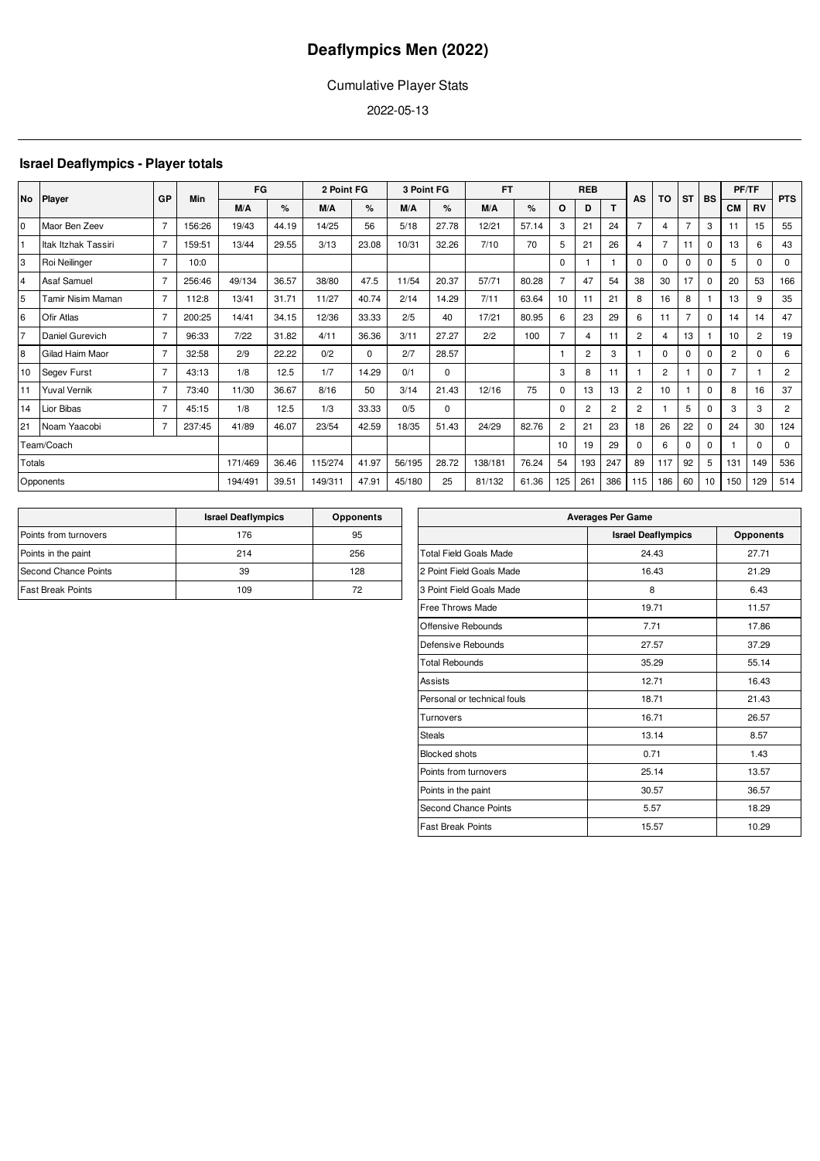## Cumulative Player Stats

2022-05-13

## **Israel Deaflympics - Player totals**

| <b>No</b>       |                     | GP             | Min    | FG      |       | 2 Point FG |          | 3 Point FG |          | <b>FT</b> |       |                | <b>REB</b>     |                | AS             | TO             | <b>ST</b>      | <b>BS</b> | PF/TF          |                | <b>PTS</b>     |
|-----------------|---------------------|----------------|--------|---------|-------|------------|----------|------------|----------|-----------|-------|----------------|----------------|----------------|----------------|----------------|----------------|-----------|----------------|----------------|----------------|
|                 | Player              |                |        | M/A     | $\%$  | M/A        | $\%$     | M/A        | $\%$     | M/A       | $\%$  | O              | D              | T.             |                |                |                |           | <b>CM</b>      | <b>RV</b>      |                |
| I0              | Maor Ben Zeev       | $\overline{7}$ | 156:26 | 19/43   | 44.19 | 14/25      | 56       | 5/18       | 27.78    | 12/21     | 57.14 | 3              | 21             | 24             | $\overline{7}$ | 4              | $\overline{7}$ | 3         | 11             | 15             | 55             |
|                 | ltak Itzhak Tassiri | 7              | 159:51 | 13/44   | 29.55 | 3/13       | 23.08    | 10/31      | 32.26    | 7/10      | 70    | 5              | 21             | 26             | 4              |                | 11             | $\Omega$  | 13             | 6              | 43             |
| 3               | Roi Neilinger       | $\overline{7}$ | 10:0   |         |       |            |          |            |          |           |       | $\Omega$       |                |                | $\Omega$       | $\Omega$       | 0              | $\Omega$  | 5              | $\Omega$       | 0              |
| $\overline{4}$  | Asaf Samuel         | $\overline{7}$ | 256:46 | 49/134  | 36.57 | 38/80      | 47.5     | 11/54      | 20.37    | 57/71     | 80.28 | $\overline{7}$ | 47             | 54             | 38             | 30             | 17             | $\Omega$  | 20             | 53             | 166            |
| 5               | Tamir Nisim Maman   | $\overline{7}$ | 112:8  | 13/41   | 31.71 | 11/27      | 40.74    | 2/14       | 14.29    | 7/11      | 63.64 | 10             | 11             | 21             | 8              | 16             | 8              |           | 13             | 9              | 35             |
| 6               | Ofir Atlas          | 7              | 200:25 | 14/41   | 34.15 | 12/36      | 33.33    | 2/5        | 40       | 17/21     | 80.95 | 6              | 23             | 29             | 6              | 11             | $\overline{7}$ | $\Omega$  | 14             | 14             | 47             |
| 17              | Daniel Gurevich     | $\overline{7}$ | 96:33  | 7/22    | 31.82 | 4/11       | 36.36    | 3/11       | 27.27    | 2/2       | 100   | $\overline{7}$ | $\overline{4}$ | 11             | $\overline{2}$ | 4              | 13             |           | 10             | $\overline{c}$ | 19             |
| 8               | Gilad Haim Maor     | $\overline{7}$ | 32:58  | 2/9     | 22.22 | 0/2        | $\Omega$ | 2/7        | 28.57    |           |       |                | $\overline{2}$ | 3              |                | $\Omega$       | 0              | $\Omega$  | $\overline{2}$ | $\Omega$       | 6              |
| 10 <sup>1</sup> | Segev Furst         | $\overline{7}$ | 43:13  | 1/8     | 12.5  | 1/7        | 14.29    | 0/1        | 0        |           |       | 3              | 8              | 11             |                | $\overline{2}$ |                | $\Omega$  | $\overline{7}$ |                | $\overline{c}$ |
|                 | <b>Yuval Vernik</b> | $\overline{7}$ | 73:40  | 11/30   | 36.67 | 8/16       | 50       | 3/14       | 21.43    | 12/16     | 75    | 0              | 13             | 13             | $\overline{2}$ | 10             |                | $\Omega$  | 8              | 16             | 37             |
| 14              | Lior Bibas          | $\overline{7}$ | 45:15  | 1/8     | 12.5  | 1/3        | 33.33    | 0/5        | $\Omega$ |           |       | $\Omega$       | $\overline{c}$ | $\overline{2}$ | $\overline{2}$ |                | 5              | $\Omega$  | 3              | 3              | $\overline{c}$ |
| 21              | Noam Yaacobi        | 7              | 237:45 | 41/89   | 46.07 | 23/54      | 42.59    | 18/35      | 51.43    | 24/29     | 82.76 | $\overline{2}$ | 21             | 23             | 18             | 26             | 22             | $\Omega$  | 24             | 30             | 124            |
|                 | Team/Coach          |                |        |         |       |            |          |            |          |           |       | 10             | 19             | 29             | $\Omega$       | 6              | 0              | $\Omega$  |                | <sup>0</sup>   | $\mathbf 0$    |
| Totals          |                     |                |        | 171/469 | 36.46 | 115/274    | 41.97    | 56/195     | 28.72    | 138/181   | 76.24 | 54             | 193            | 247            | 89             | 117            | 92             | 5         | 131            | 149            | 536            |
|                 | Opponents           |                |        | 194/491 | 39.51 | 149/311    | 47.91    | 45/180     | 25       | 81/132    | 61.36 | 125            | 261            | 386            | 115            | 186            | 60             | 10        | 150            | 129            | 514            |

|                          | <b>Israel Deaflympics</b> | <b>Opponents</b> |
|--------------------------|---------------------------|------------------|
| Points from turnovers    | 176                       | 95               |
| Points in the paint      | 214                       | 256              |
| Second Chance Points     | 39                        | 128              |
| <b>Fast Break Points</b> | 109                       | 72               |

| <b>Averages Per Game</b>      |                           |                  |  |  |  |  |  |  |  |  |
|-------------------------------|---------------------------|------------------|--|--|--|--|--|--|--|--|
|                               | <b>Israel Deaflympics</b> | <b>Opponents</b> |  |  |  |  |  |  |  |  |
| <b>Total Field Goals Made</b> | 24.43                     | 27.71            |  |  |  |  |  |  |  |  |
| 2 Point Field Goals Made      | 16.43                     | 21.29            |  |  |  |  |  |  |  |  |
| 3 Point Field Goals Made      | 8                         | 6.43             |  |  |  |  |  |  |  |  |
| Free Throws Made              | 19.71                     | 11.57            |  |  |  |  |  |  |  |  |
| Offensive Rebounds            | 7.71                      | 17.86            |  |  |  |  |  |  |  |  |
| Defensive Rebounds            | 27.57                     | 37.29            |  |  |  |  |  |  |  |  |
| <b>Total Rebounds</b>         | 35.29                     | 55.14            |  |  |  |  |  |  |  |  |
| Assists                       | 12.71                     | 16.43            |  |  |  |  |  |  |  |  |
| Personal or technical fouls   | 18.71                     | 21.43            |  |  |  |  |  |  |  |  |
| Turnovers                     | 16.71                     | 26.57            |  |  |  |  |  |  |  |  |
| <b>Steals</b>                 | 13.14                     | 8.57             |  |  |  |  |  |  |  |  |
| <b>Blocked shots</b>          | 0.71                      | 1.43             |  |  |  |  |  |  |  |  |
| Points from turnovers         | 25.14                     | 13.57            |  |  |  |  |  |  |  |  |
| Points in the paint           | 30.57                     | 36.57            |  |  |  |  |  |  |  |  |
| <b>Second Chance Points</b>   | 5.57                      | 18.29            |  |  |  |  |  |  |  |  |
| <b>Fast Break Points</b>      | 15.57                     | 10.29            |  |  |  |  |  |  |  |  |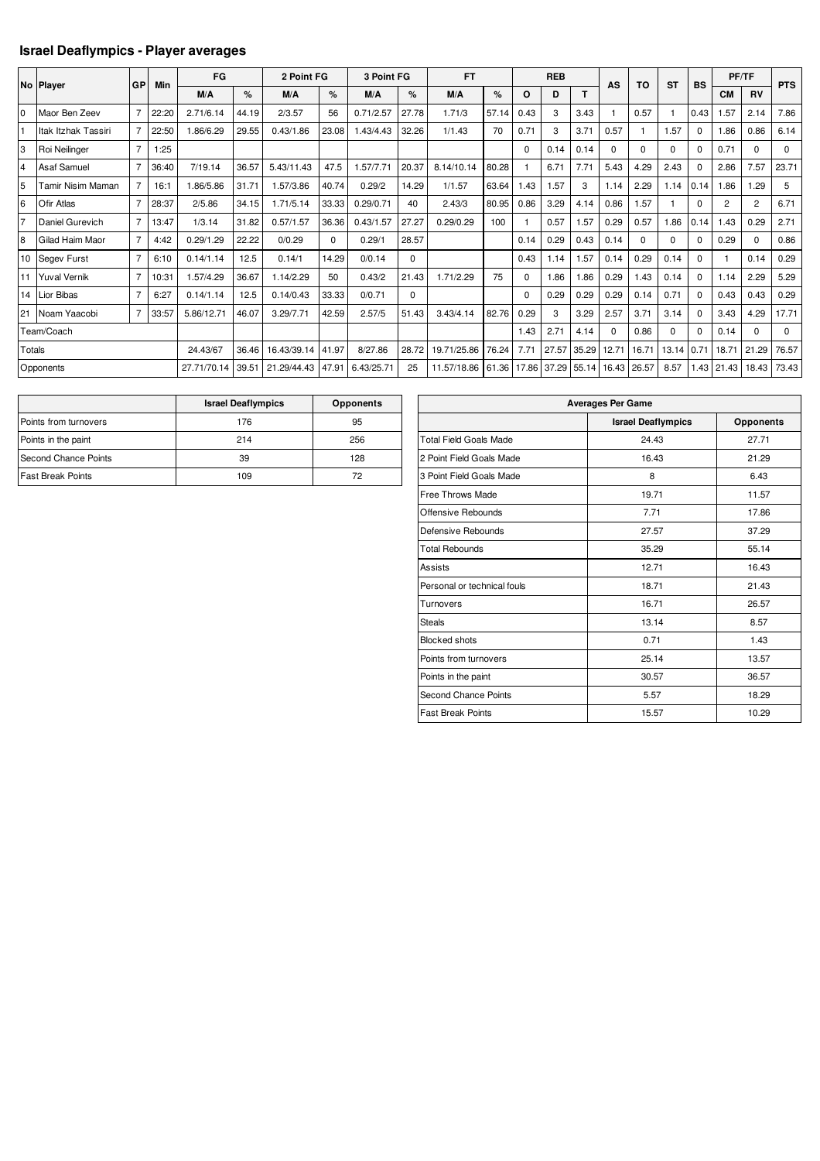## **Israel Deaflympics - Player averages**

|                | No Player           | GP             | Min   | FG          |       | 2 Point FG  |          | 3 Point FG |          | <b>FT</b>   |       |          | <b>REB</b> |       | AS       | TO       | <b>ST</b> | <b>BS</b> |                | PF/TF          | <b>PTS</b>  |
|----------------|---------------------|----------------|-------|-------------|-------|-------------|----------|------------|----------|-------------|-------|----------|------------|-------|----------|----------|-----------|-----------|----------------|----------------|-------------|
|                |                     |                |       | M/A         | %     | M/A         | %        | M/A        | %        | M/A         | %     | O        | D          | т     |          |          |           |           | <b>CM</b>      | <b>RV</b>      |             |
| l <sub>0</sub> | Maor Ben Zeev       | $\overline{7}$ | 22:20 | 2.71/6.14   | 44.19 | 2/3.57      | 56       | 0.71/2.57  | 27.78    | 1.71/3      | 57.14 | 0.43     | 3          | 3.43  |          | 0.57     |           | 0.43      | 1.57           | 2.14           | 7.86        |
|                | Itak Itzhak Tassiri | $\overline{7}$ | 22:50 | .86/6.29    | 29.55 | 0.43/1.86   | 23.08    | 1.43/4.43  | 32.26    | 1/1.43      | 70    | 0.71     | 3          | 3.71  | 0.57     |          | 1.57      | $\Omega$  | 1.86           | 0.86           | 6.14        |
| 3              | Roi Neilinger       | $\overline{7}$ | :25   |             |       |             |          |            |          |             |       | $\Omega$ | 0.14       | 0.14  | 0        | $\Omega$ | $\Omega$  | $\Omega$  | 0.71           | $\Omega$       | $\mathbf 0$ |
| $\overline{4}$ | <b>Asaf Samuel</b>  | $\overline{7}$ | 36:40 | 7/19.14     | 36.57 | 5.43/11.43  | 47.5     | 1.57/7.71  | 20.37    | 8.14/10.14  | 80.28 |          | 6.71       | 7.71  | 5.43     | 4.29     | 2.43      | $\Omega$  | 2.86           | 7.57           | 23.71       |
| 5              | Tamir Nisim Maman   | $\overline{7}$ | 16:1  | 86/5.86     | 31.71 | .57/3.86    | 40.74    | 0.29/2     | 14.29    | 1/1.57      | 63.64 | .43      | 1.57       | 3     | 1.14     | 2.29     | 1.14      | 0.14      | .86            | 1.29           | 5           |
| 6              | <b>Ofir Atlas</b>   | $\overline{7}$ | 28:37 | 2/5.86      | 34.15 | 1.71/5.14   | 33.33    | 0.29/0.71  | 40       | 2.43/3      | 80.95 | 0.86     | 3.29       | 4.14  | 0.86     | 1.57     |           | $\Omega$  | $\overline{c}$ | $\overline{2}$ | 6.71        |
| 17             | Daniel Gurevich     | $\overline{7}$ | 13:47 | 1/3.14      | 31.82 | 0.57/1.57   | 36.36    | 0.43/1.57  | 27.27    | 0.29/0.29   | 100   |          | 0.57       | 1.57  | 0.29     | 0.57     | 1.86      | 0.14      | 1.43           | 0.29           | 2.71        |
| 8              | Gilad Haim Maor     | $\overline{7}$ | 4:42  | 0.29/1.29   | 22.22 | 0/0.29      | $\Omega$ | 0.29/1     | 28.57    |             |       | 0.14     | 0.29       | 0.43  | 0.14     | $\Omega$ | $\Omega$  | $\Omega$  | 0.29           | $\Omega$       | 0.86        |
|                | 10 Segev Furst      | $\overline{7}$ | 6:10  | 0.14/1.14   | 12.5  | 0.14/1      | 14.29    | 0/0.14     | $\Omega$ |             |       | 0.43     | 1.14       | 1.57  | 0.14     | 0.29     | 0.14      | $\Omega$  |                | 0.14           | 0.29        |
| 11             | <b>Yuval Vernik</b> | $\overline{7}$ | 10:31 | 1.57/4.29   | 36.67 | 1.14/2.29   | 50       | 0.43/2     | 21.43    | 1.71/2.29   | 75    | $\Omega$ | 1.86       | 1.86  | 0.29     | 1.43     | 0.14      | $\Omega$  | 1.14           | 2.29           | 5.29        |
|                | 14 Lior Bibas       | $\overline{7}$ | 6:27  | 0.14/1.14   | 12.5  | 0.14/0.43   | 33.33    | 0/0.71     | $\Omega$ |             |       | $\Omega$ | 0.29       | 0.29  | 0.29     | 0.14     | 0.71      | 0         | 0.43           | 0.43           | 0.29        |
| 21             | Noam Yaacobi        | $\overline{7}$ | 33:57 | 5.86/12.71  | 46.07 | 3.29/7.71   | 42.59    | 2.57/5     | 51.43    | 3.43/4.14   | 82.76 | 0.29     | 3          | 3.29  | 2.57     | 3.71     | 3.14      | 0         | 3.43           | 4.29           | 17.71       |
|                | Team/Coach          |                |       |             |       |             |          |            |          |             |       | 1.43     | 2.71       | 4.14  | $\Omega$ | 0.86     | $\Omega$  | 0         | 0.14           | $\Omega$       | $\Omega$    |
| Totals         |                     |                |       | 24.43/67    | 36.46 | 16.43/39.14 | 41.97    | 8/27.86    | 28.72    | 19.71/25.86 | 76.24 | 7.71     | 27.57      | 35.29 | 12.71    | 16.71    | 13.14     | 0.71      | 18.71          | 21.29          | 76.57       |
|                | Opponents           |                |       | 27.71/70.14 | 39.51 | 21.29/44.43 | 47.91    | 6.43/25.71 | 25       | 11.57/18.86 | 61.36 | 17.86    | 37.29      | 55.14 | 16.43    | 26.57    | 8.57      | .43       | 21.43          | 18.43          | 73.43       |

|                          | <b>Israel Deaflympics</b> | <b>Opponents</b> |
|--------------------------|---------------------------|------------------|
| Points from turnovers    | 176                       | 95               |
| Points in the paint      | 214                       | 256              |
| Second Chance Points     | 39                        | 128              |
| <b>Fast Break Points</b> | 109                       | 72               |

| <b>Averages Per Game</b>      |                           |           |  |  |  |  |  |  |  |  |  |
|-------------------------------|---------------------------|-----------|--|--|--|--|--|--|--|--|--|
|                               | <b>Israel Deaflympics</b> | Opponents |  |  |  |  |  |  |  |  |  |
| <b>Total Field Goals Made</b> | 24.43                     | 27.71     |  |  |  |  |  |  |  |  |  |
| 2 Point Field Goals Made      | 16.43                     | 21.29     |  |  |  |  |  |  |  |  |  |
| 3 Point Field Goals Made      | 8                         | 6.43      |  |  |  |  |  |  |  |  |  |
| Free Throws Made              | 19.71                     | 11.57     |  |  |  |  |  |  |  |  |  |
| Offensive Rebounds            | 7.71                      | 17.86     |  |  |  |  |  |  |  |  |  |
| Defensive Rebounds            | 27.57                     | 37.29     |  |  |  |  |  |  |  |  |  |
| <b>Total Rebounds</b>         | 35.29                     | 55.14     |  |  |  |  |  |  |  |  |  |
| Assists                       | 12.71                     | 16.43     |  |  |  |  |  |  |  |  |  |
| Personal or technical fouls   | 18.71                     | 21.43     |  |  |  |  |  |  |  |  |  |
| Turnovers                     | 16.71                     | 26.57     |  |  |  |  |  |  |  |  |  |
| <b>Steals</b>                 | 13.14                     | 8.57      |  |  |  |  |  |  |  |  |  |
| <b>Blocked shots</b>          | 0.71                      | 1.43      |  |  |  |  |  |  |  |  |  |
| Points from turnovers         | 25.14                     | 13.57     |  |  |  |  |  |  |  |  |  |
| Points in the paint           | 30.57                     | 36.57     |  |  |  |  |  |  |  |  |  |
| Second Chance Points          | 5.57                      | 18.29     |  |  |  |  |  |  |  |  |  |
| <b>Fast Break Points</b>      | 15.57                     | 10.29     |  |  |  |  |  |  |  |  |  |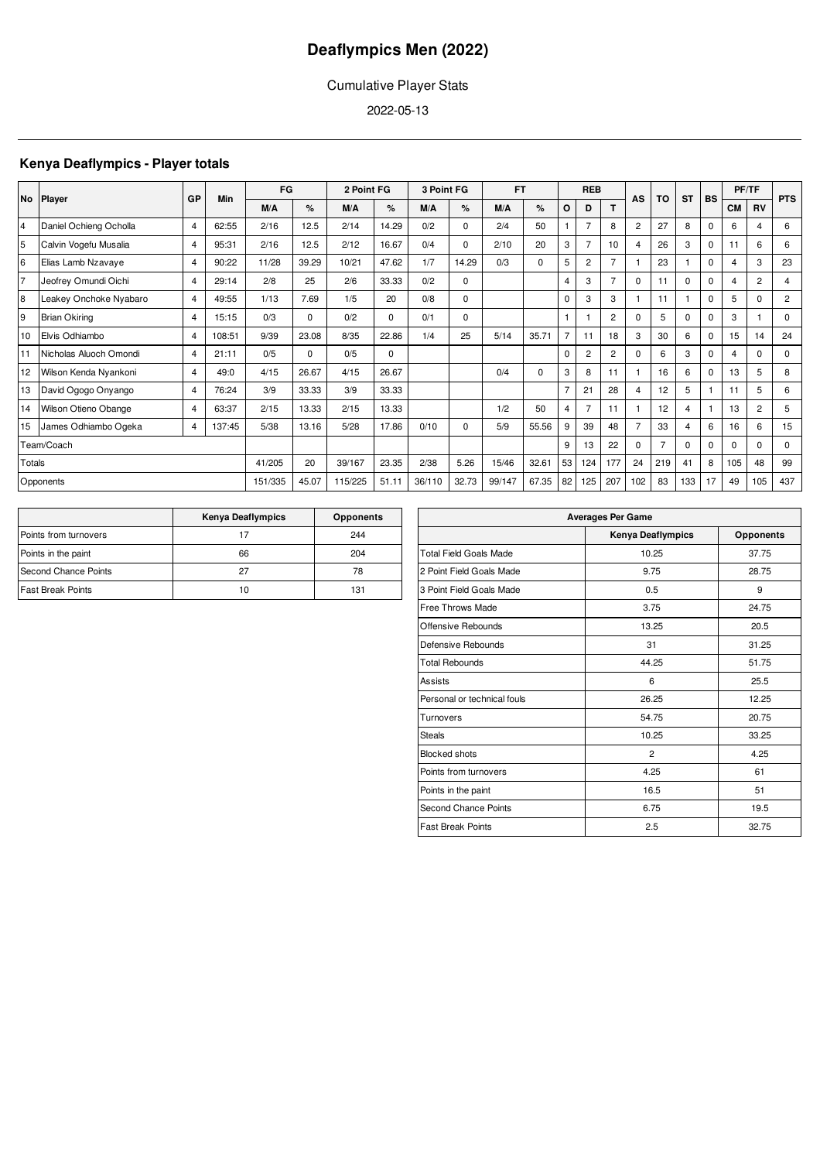## Cumulative Player Stats

2022-05-13

## **Kenya Deaflympics - Player totals**

|                | No Player               |                | Min    | FG      |       | 2 Point FG |             | 3 Point FG |          | <b>FT</b> |       |                | <b>REB</b>     |                | AS                      | TO             | <b>ST</b> |             |           | <b>PF/TF</b>   | <b>PTS</b>     |
|----------------|-------------------------|----------------|--------|---------|-------|------------|-------------|------------|----------|-----------|-------|----------------|----------------|----------------|-------------------------|----------------|-----------|-------------|-----------|----------------|----------------|
|                |                         | GP             |        | M/A     | %     | M/A        | %           | M/A        | %        | M/A       | %     | O              | D              | T              |                         |                |           | BS          | <b>CM</b> | <b>RV</b>      |                |
| 4              | Daniel Ochieng Ocholla  | 4              | 62:55  | 2/16    | 12.5  | 2/14       | 14.29       | 0/2        | $\Omega$ | 2/4       | 50    |                | $\overline{7}$ | 8              | $\overline{2}$          | 27             | 8         | $\mathbf 0$ | 6         | 4              | 6              |
| 5              | Calvin Vogefu Musalia   | 4              | 95:31  | 2/16    | 12.5  | 2/12       | 16.67       | 0/4        | $\Omega$ | 2/10      | 20    | 3              | $\overline{7}$ | 10             | $\overline{\mathbf{4}}$ | 26             | 3         | $\Omega$    | 11        | 6              | 6              |
| 6              | Elias Lamb Nzavaye      | 4              | 90:22  | 11/28   | 39.29 | 10/21      | 47.62       | 1/7        | 14.29    | 0/3       | 0     | 5              | $\overline{c}$ |                |                         | 23             |           | $\mathbf 0$ | 4         | 3              | 23             |
| 7              | Jeofrey Omundi Oichi    | 4              | 29:14  | 2/8     | 25    | 2/6        | 33.33       | 0/2        | 0        |           |       | $\overline{4}$ | 3              |                | 0                       | 11             | 0         | 0           | 4         | $\overline{2}$ | 4              |
| 8              | Leakey Onchoke Nyabaro  | 4              | 49:55  | 1/13    | 7.69  | 1/5        | 20          | 0/8        | $\Omega$ |           |       | $\Omega$       | 3              | 3              | 1                       | 11             |           | $\Omega$    | 5         | $\Omega$       | $\overline{2}$ |
| $\overline{9}$ | <b>Brian Okiring</b>    | 4              | 15:15  | 0/3     | 0     | 0/2        | $\Omega$    | 0/1        | $\Omega$ |           |       |                |                | $\overline{2}$ | $\Omega$                | 5              | $\Omega$  | $\mathbf 0$ | 3         |                | $\Omega$       |
| 10             | Elvis Odhiambo          | $\overline{4}$ | 108:51 | 9/39    | 23.08 | 8/35       | 22.86       | 1/4        | 25       | 5/14      | 35.71 | $\overline{7}$ | 11             | 18             | 3                       | 30             | 6         | $\mathbf 0$ | 15        | 14             | 24             |
| 11             | Nicholas Aluoch Omondi  | 4              | 21:11  | 0/5     | 0     | 0/5        | $\mathbf 0$ |            |          |           |       | $\mathbf 0$    | $\overline{c}$ | $\overline{2}$ | $\Omega$                | 6              | 3         | $\mathbf 0$ | 4         | $\Omega$       | $\mathbf 0$    |
| 12             | Wilson Kenda Nyankoni   | 4              | 49:0   | 4/15    | 26.67 | 4/15       | 26.67       |            |          | 0/4       | 0     | 3              | 8              | 11             |                         | 16             | 6         | $\mathbf 0$ | 13        | 5              | 8              |
| 13             | David Ogogo Onyango     | 4              | 76:24  | 3/9     | 33.33 | 3/9        | 33.33       |            |          |           |       | $\overline{7}$ | 21             | 28             | 4                       | 12             | 5         |             | 11        | 5              | 6              |
|                | 14 Wilson Otieno Obange | 4              | 63:37  | 2/15    | 13.33 | 2/15       | 13.33       |            |          | 1/2       | 50    | $\overline{4}$ | $\overline{7}$ | 11             |                         | 12             | 4         |             | 13        | $\overline{2}$ | 5              |
| 15             | James Odhiambo Ogeka    | 4              | 137:45 | 5/38    | 13.16 | 5/28       | 17.86       | 0/10       | $\Omega$ | 5/9       | 55.56 | 9              | 39             | 48             | $\overline{7}$          | 33             | 4         | 6           | 16        | 6              | 15             |
|                | Team/Coach              |                |        |         |       |            |             |            |          |           |       | 9              | 13             | 22             | 0                       | $\overline{7}$ | $\Omega$  | $\mathbf 0$ | $\Omega$  | $\Omega$       | $\mathbf 0$    |
| Totals         |                         |                |        | 41/205  | 20    | 39/167     | 23.35       | 2/38       | 5.26     | 15/46     | 32.61 | 53             | 124            | 177            | 24                      | 219            | 41        | 8           | 105       | 48             | 99             |
|                | Opponents               |                |        | 151/335 | 45.07 | 115/225    | 51.11       | 36/110     | 32.73    | 99/147    | 67.35 | 82             | 125            | 207            | 102                     | 83             | 133       | 17          | 49        | 105            | 437            |

|                          | <b>Kenya Deaflympics</b> | <b>Opponents</b> |
|--------------------------|--------------------------|------------------|
| Points from turnovers    | 17                       | 244              |
| Points in the paint      | 66                       | 204              |
| Second Chance Points     | 27                       | 78               |
| <b>Fast Break Points</b> | 10                       | 131              |

| <b>Averages Per Game</b>      |                          |                  |  |  |  |  |  |  |  |  |
|-------------------------------|--------------------------|------------------|--|--|--|--|--|--|--|--|
|                               | <b>Kenya Deaflympics</b> | <b>Opponents</b> |  |  |  |  |  |  |  |  |
| <b>Total Field Goals Made</b> | 10.25                    | 37.75            |  |  |  |  |  |  |  |  |
| 2 Point Field Goals Made      | 9.75                     | 28.75            |  |  |  |  |  |  |  |  |
| 3 Point Field Goals Made      | 0.5                      | 9                |  |  |  |  |  |  |  |  |
| <b>Free Throws Made</b>       | 3.75                     | 24.75            |  |  |  |  |  |  |  |  |
| Offensive Rebounds            | 13.25                    | 20.5             |  |  |  |  |  |  |  |  |
| Defensive Rebounds            | 31                       | 31.25            |  |  |  |  |  |  |  |  |
| <b>Total Rebounds</b>         | 44.25                    | 51.75            |  |  |  |  |  |  |  |  |
| Assists                       | 6                        | 25.5             |  |  |  |  |  |  |  |  |
| Personal or technical fouls   | 26.25                    | 12.25            |  |  |  |  |  |  |  |  |
| Turnovers                     | 54.75                    | 20.75            |  |  |  |  |  |  |  |  |
| <b>Steals</b>                 | 10.25                    | 33.25            |  |  |  |  |  |  |  |  |
| <b>Blocked shots</b>          | $\overline{2}$           | 4.25             |  |  |  |  |  |  |  |  |
| Points from turnovers         | 4.25                     | 61               |  |  |  |  |  |  |  |  |
| Points in the paint           | 16.5                     | 51               |  |  |  |  |  |  |  |  |
| <b>Second Chance Points</b>   | 6.75                     | 19.5             |  |  |  |  |  |  |  |  |
| <b>Fast Break Points</b>      | 2.5                      | 32.75            |  |  |  |  |  |  |  |  |
|                               |                          |                  |  |  |  |  |  |  |  |  |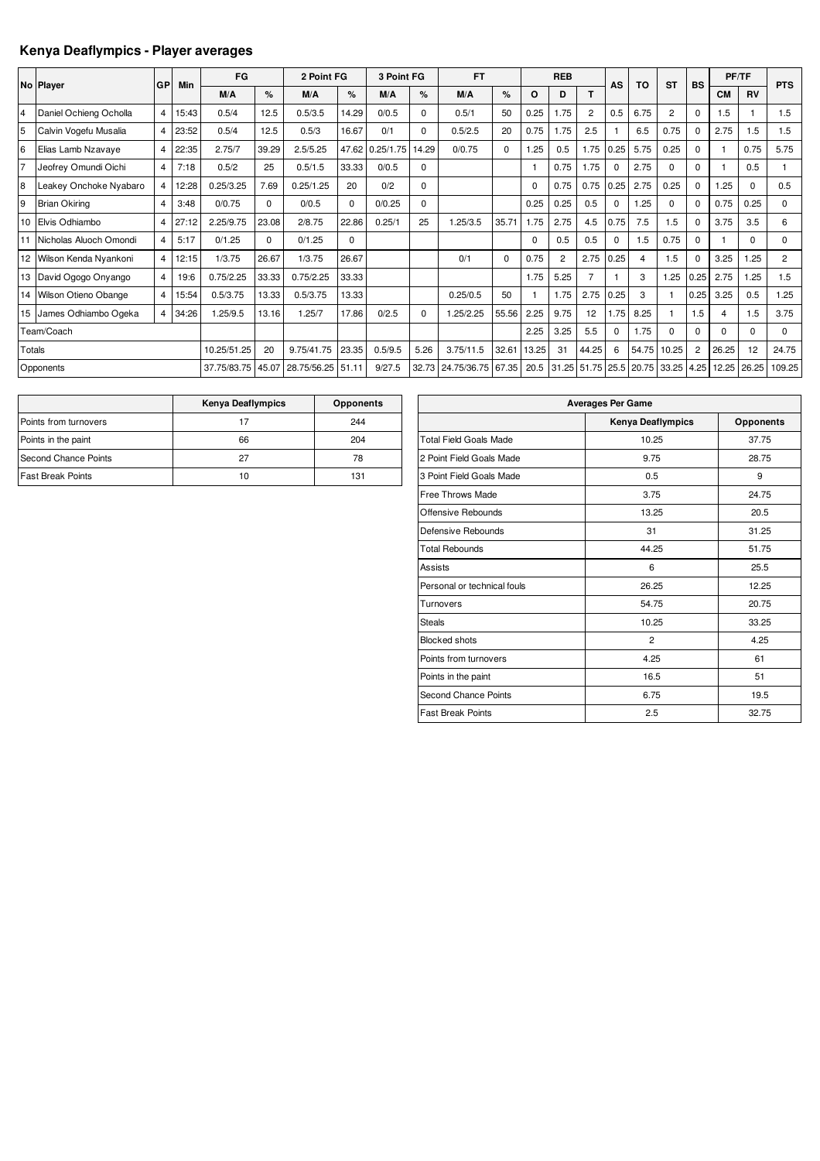## **Kenya Deaflympics - Player averages**

|                | No Player                | GP | Min   | FG          |       | 2 Point FG  |          | 3 Point FG |          | <b>FT</b>   |          |          | <b>REB</b>     |                 | AS          | <b>TO</b>  | <b>ST</b>      | <b>BS</b>      |           | PF/TF       | <b>PTS</b>     |
|----------------|--------------------------|----|-------|-------------|-------|-------------|----------|------------|----------|-------------|----------|----------|----------------|-----------------|-------------|------------|----------------|----------------|-----------|-------------|----------------|
|                |                          |    |       | M/A         | %     | M/A         | %        | M/A        | %        | M/A         | %        | O        | D              | т               |             |            |                |                | <b>CM</b> | <b>RV</b>   |                |
| $\overline{4}$ | Daniel Ochieng Ocholla   | 4  | 15:43 | 0.5/4       | 12.5  | 0.5/3.5     | 14.29    | 0/0.5      | $\Omega$ | 0.5/1       | 50       | 0.25     | 1.75           | $\overline{2}$  | 0.5         | 6.75       | $\overline{2}$ | $\Omega$       | 1.5       |             | 1.5            |
| 5              | Calvin Vogefu Musalia    | 4  | 23:52 | 0.5/4       | 12.5  | 0.5/3       | 16.67    | 0/1        | $\Omega$ | 0.5/2.5     | 20       | 0.75     | 1.75           | 2.5             |             | 6.5        | 0.75           | $\Omega$       | 2.75      | 1.5         | 1.5            |
| 6              | Elias Lamb Nzavaye       | 4  | 22:35 | 2.75/7      | 39.29 | 2.5/5.25    | 47.62    | 0.25/1.75  | 14.29    | 0/0.75      | $\Omega$ | 1.25     | 0.5            | .75             | 0.25        | 5.75       | 0.25           | $\Omega$       |           | 0.75        | 5.75           |
| 17             | Jeofrey Omundi Oichi     | 4  | 7:18  | 0.5/2       | 25    | 0.5/1.5     | 33.33    | 0/0.5      | 0        |             |          |          | 0.75           | 1.75            | $\mathbf 0$ | 2.75       | $\Omega$       | <sup>0</sup>   |           | 0.5         |                |
| 8              | Leakey Onchoke Nyabaro   | 4  | 2:28  | 0.25/3.25   | 7.69  | 0.25/1.25   | 20       | 0/2        | $\Omega$ |             |          | $\Omega$ | 0.75           | 0.75            | 0.25        | 2.75       | 0.25           | $\Omega$       | 1.25      | $\Omega$    | 0.5            |
| 9              | <b>Brian Okiring</b>     | 4  | 3:48  | 0/0.75      | 0     | 0/0.5       | 0        | 0/0.25     | $\Omega$ |             |          | 0.25     | 0.25           | 0.5             | $\mathbf 0$ | 1.25       | $\mathbf 0$    | $\Omega$       | 0.75      | 0.25        | 0              |
| 10             | Elvis Odhiambo           | 4  | 27:12 | 2.25/9.75   | 23.08 | 2/8.75      | 22.86    | 0.25/1     | 25       | 1.25/3.5    | 35.71    | 1.75     | 2.75           | 4.5             | 0.75        | 7.5        | 1.5            | $\Omega$       | 3.75      | 3.5         | 6              |
| 11             | Nicholas Aluoch Omondi   | 4  | 5:17  | 0/1.25      | 0     | 0/1.25      | $\Omega$ |            |          |             |          | $\Omega$ | 0.5            | 0.5             | $\mathbf 0$ | 1.5        | 0.75           | $\Omega$       |           | $\Omega$    | $\Omega$       |
|                | 12 Wilson Kenda Nyankoni | 4  | 12:15 | 1/3.75      | 26.67 | 1/3.75      | 26.67    |            |          | 0/1         | $\Omega$ | 0.75     | $\overline{2}$ | 2.75            | 0.25        | 4          | 1.5            | $\Omega$       | 3.25      | .25         | $\overline{c}$ |
| 13             | David Ogogo Onyango      | 4  | 19:6  | 0.75/2.25   | 33.33 | 0.75/2.25   | 33.33    |            |          |             |          | 1.75     | 5.25           | 7               |             | 3          | 1.25           | 0.25           | 2.75      | .25         | 1.5            |
|                | 14 Wilson Otieno Obange  | 4  | 15:54 | 0.5/3.75    | 13.33 | 0.5/3.75    | 13.33    |            |          | 0.25/0.5    | 50       |          | 1.75           | 2.75            | 0.25        | 3          |                | 0.25           | 3.25      | 0.5         | 1.25           |
| 15             | James Odhiambo Ogeka     | 4  | 34:26 | 1.25/9.5    | 13.16 | 1.25/7      | 17.86    | 0/2.5      | $\Omega$ | 1.25/2.25   | 55.56    | 2.25     | 9.75           | 12 <sup>2</sup> | 1.75        | 8.25       |                | 1.5            | 4         | 1.5         | 3.75           |
|                | Team/Coach               |    |       |             |       |             |          |            |          |             |          | 2.25     | 3.25           | 5.5             | $\mathbf 0$ | 1.75       | $\Omega$       | $\Omega$       | $\Omega$  | $\mathbf 0$ | $\Omega$       |
| Totals         |                          |    |       | 10.25/51.25 | 20    | 9.75/41.75  | 23.35    | 0.5/9.5    | 5.26     | 3.75/11.5   | 32.61    | 13.25    | 31             | 44.25           | 6           | 54.75      | 10.25          | $\overline{2}$ | 26.25     | 12          | 24.75          |
|                | Opponents                |    |       | 37.75/83.75 | 45.07 | 28.75/56.25 | 51.11    | 9/27.5     | 32.73    | 24.75/36.75 | 67.35    | 20.5     | 31.25 51.75    |                 |             | 25.5 20.75 | 33.25          | 4.25           | 12.25     | 26.25       | 109.25         |

|                          | <b>Kenya Deaflympics</b> | <b>Opponents</b> |
|--------------------------|--------------------------|------------------|
| Points from turnovers    |                          | 244              |
| Points in the paint      | 66                       | 204              |
| Second Chance Points     | 27                       | 78               |
| <b>Fast Break Points</b> | 10                       | 131              |

| <b>Averages Per Game</b>      |                   |                  |  |  |  |  |  |  |  |  |  |
|-------------------------------|-------------------|------------------|--|--|--|--|--|--|--|--|--|
|                               | Kenya Deaflympics | <b>Opponents</b> |  |  |  |  |  |  |  |  |  |
| <b>Total Field Goals Made</b> | 10.25             | 37.75            |  |  |  |  |  |  |  |  |  |
| 2 Point Field Goals Made      | 9.75              | 28.75            |  |  |  |  |  |  |  |  |  |
| 3 Point Field Goals Made      | 0.5               | 9                |  |  |  |  |  |  |  |  |  |
| Free Throws Made              | 3.75              | 24.75            |  |  |  |  |  |  |  |  |  |
| Offensive Rebounds            | 13.25             | 20.5             |  |  |  |  |  |  |  |  |  |
| Defensive Rebounds            | 31                | 31.25            |  |  |  |  |  |  |  |  |  |
| <b>Total Rebounds</b>         | 44.25             | 51.75            |  |  |  |  |  |  |  |  |  |
| Assists                       | 6                 | 25.5             |  |  |  |  |  |  |  |  |  |
| Personal or technical fouls   | 26.25             | 12.25            |  |  |  |  |  |  |  |  |  |
| Turnovers                     | 54.75             | 20.75            |  |  |  |  |  |  |  |  |  |
| <b>Steals</b>                 | 10.25             | 33.25            |  |  |  |  |  |  |  |  |  |
| <b>Blocked shots</b>          | $\overline{2}$    | 4.25             |  |  |  |  |  |  |  |  |  |
| Points from turnovers         | 4.25              | 61               |  |  |  |  |  |  |  |  |  |
| Points in the paint           | 16.5              | 51               |  |  |  |  |  |  |  |  |  |
| Second Chance Points          | 6.75              | 19.5             |  |  |  |  |  |  |  |  |  |
| <b>Fast Break Points</b>      | 2.5               | 32.75            |  |  |  |  |  |  |  |  |  |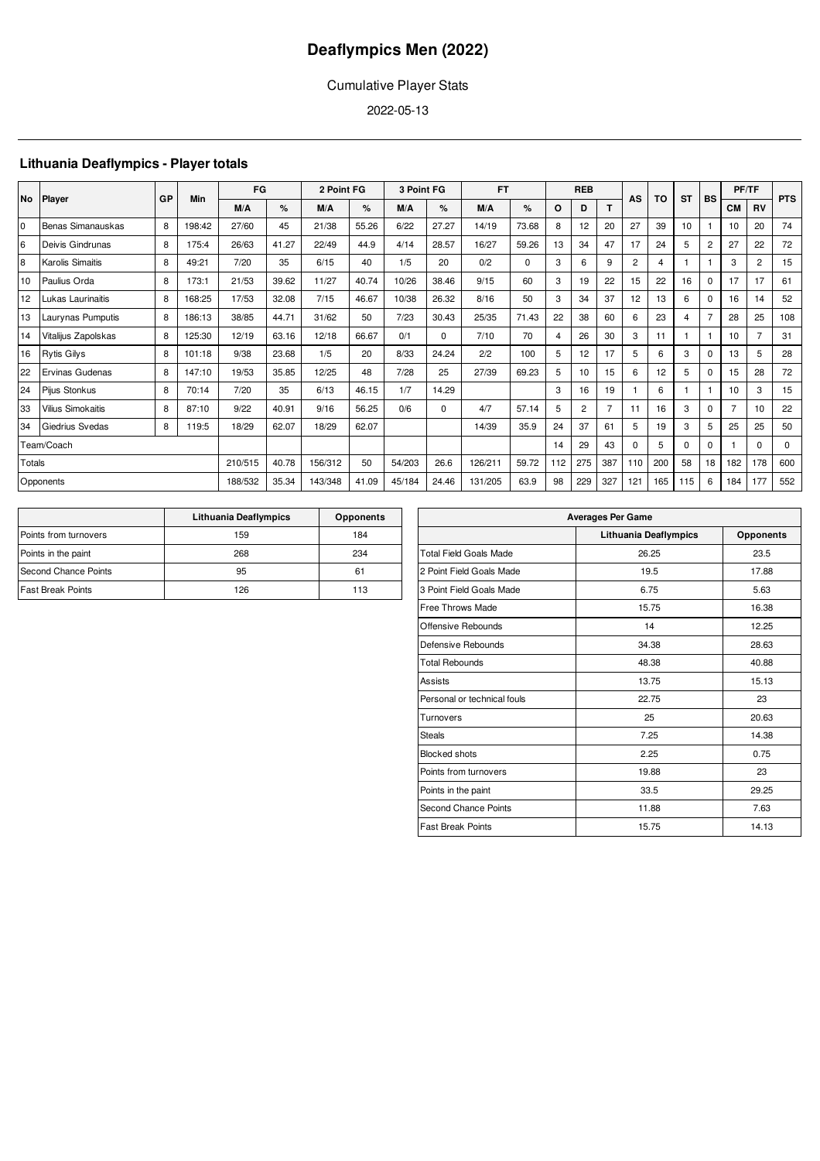## Cumulative Player Stats

2022-05-13

## **Lithuania Deaflympics - Player totals**

| <b>No</b> | <b>Player</b>            |    | Min    | FG      |       | 2 Point FG |       | 3 Point FG |             | <b>FT</b> | <b>REB</b>  |     | AS  | TO             | <b>ST</b>      | <b>BS</b> | PF/TF    |                | <b>PTS</b>     |                |             |
|-----------|--------------------------|----|--------|---------|-------|------------|-------|------------|-------------|-----------|-------------|-----|-----|----------------|----------------|-----------|----------|----------------|----------------|----------------|-------------|
|           |                          | GP |        | M/A     | %     | M/A        | %     | M/A        | %           | M/A       | %           | O   | D   |                |                |           |          |                | <b>CM</b>      | <b>RV</b>      |             |
| l0        | Benas Simanauskas        | 8  | 198:42 | 27/60   | 45    | 21/38      | 55.26 | 6/22       | 27.27       | 14/19     | 73.68       | 8   | 12  | 20             | 27             | 39        | 10       |                | 10             | 20             | 74          |
| 6         | Deivis Gindrunas         | 8  | 175:4  | 26/63   | 41.27 | 22/49      | 44.9  | 4/14       | 28.57       | 16/27     | 59.26       | 13  | 34  | 47             | 17             | 24        | 5        | $\overline{2}$ | 27             | 22             | 72          |
| 8         | Karolis Simaitis         | 8  | 49:21  | 7/20    | 35    | 6/15       | 40    | 1/5        | 20          | 0/2       | $\mathbf 0$ | 3   | 6   | 9              | $\overline{2}$ | 4         |          |                | 3              | $\overline{2}$ | 15          |
| 10        | Paulius Orda             | 8  | 173:1  | 21/53   | 39.62 | 11/27      | 40.74 | 10/26      | 38.46       | 9/15      | 60          | 3   | 19  | 22             | 15             | 22        | 16       | $\mathbf{0}$   | 17             | 17             | 61          |
| 12        | Lukas Laurinaitis        | 8  | 168:25 | 17/53   | 32.08 | 7/15       | 46.67 | 10/38      | 26.32       | 8/16      | 50          | 3   | 34  | 37             | 12             | 13        | 6        | $\Omega$       | 16             | 14             | 52          |
| 13        | Laurynas Pumputis        | 8  | 186:13 | 38/85   | 44.71 | 31/62      | 50    | 7/23       | 30.43       | 25/35     | 71.43       | 22  | 38  | 60             | 6              | 23        | 4        | 7              | 28             | 25             | 108         |
| 14        | Vitalijus Zapolskas      | 8  | 125:30 | 12/19   | 63.16 | 12/18      | 66.67 | 0/1        | $\mathbf 0$ | 7/10      | 70          | 4   | 26  | 30             | 3              | 11        |          |                | 10             |                | 31          |
| 16        | <b>Rytis Gilys</b>       | 8  | 101:18 | 9/38    | 23.68 | 1/5        | 20    | 8/33       | 24.24       | 2/2       | 100         | 5   | 12  | 17             | 5              | 6         | 3        | $\Omega$       | 13             | 5              | 28          |
| 22        | Ervinas Gudenas          | 8  | 147:10 | 19/53   | 35.85 | 12/25      | 48    | 7/28       | 25          | 27/39     | 69.23       | 5   | 10  | 15             | 6              | 12        | 5        | $\Omega$       | 15             | 28             | 72          |
| 24        | Pijus Stonkus            | 8  | 70:14  | 7/20    | 35    | 6/13       | 46.15 | 1/7        | 14.29       |           |             | 3   | 16  | 19             |                | 6         |          |                | 10             | 3              | 15          |
| 33        | <b>Vilius Simokaitis</b> | 8  | 87:10  | 9/22    | 40.91 | 9/16       | 56.25 | 0/6        | $\Omega$    | 4/7       | 57.14       | 5   | 2   | $\overline{7}$ | 11             | 16        | 3        | $\Omega$       | $\overline{7}$ | 10             | 22          |
| 34        | Giedrius Svedas          | 8  | 119:5  | 18/29   | 62.07 | 18/29      | 62.07 |            |             | 14/39     | 35.9        | 24  | 37  | 61             | 5              | 19        | 3        | 5              | 25             | 25             | 50          |
|           | Team/Coach               |    |        |         |       |            |       |            |             |           |             | 14  | 29  | 43             | $\Omega$       | 5         | $\Omega$ | $\Omega$       |                | 0              | $\mathbf 0$ |
| Totals    |                          |    |        | 210/515 | 40.78 | 156/312    | 50    | 54/203     | 26.6        | 126/211   | 59.72       | 112 | 275 | 387            | 110            | 200       | 58       | 18             | 182            | 178            | 600         |
|           | Opponents                |    |        | 188/532 | 35.34 | 143/348    | 41.09 | 45/184     | 24.46       | 131/205   | 63.9        | 98  | 229 | 327            | 121            | 165       | 115      | 6              | 184            | 177            | 552         |

|                          | Lithuania Deaflympics | <b>Opponents</b> |
|--------------------------|-----------------------|------------------|
| Points from turnovers    | 159                   | 184              |
| Points in the paint      | 268                   | 234              |
| Second Chance Points     | 95                    | 61               |
| <b>Fast Break Points</b> | 126                   | 113              |

|                               | <b>Averages Per Game</b>     |           |
|-------------------------------|------------------------------|-----------|
|                               | <b>Lithuania Deaflympics</b> | Opponents |
| <b>Total Field Goals Made</b> | 26.25                        | 23.5      |
| 2 Point Field Goals Made      | 19.5                         | 17.88     |
| 3 Point Field Goals Made      | 6.75                         | 5.63      |
| <b>Free Throws Made</b>       | 15.75                        | 16.38     |
| Offensive Rebounds            | 14                           | 12.25     |
| Defensive Rebounds            | 34.38                        | 28.63     |
| <b>Total Rebounds</b>         | 48.38                        | 40.88     |
| Assists                       | 13.75                        | 15.13     |
| Personal or technical fouls   | 22.75                        | 23        |
| Turnovers                     | 25                           | 20.63     |
| <b>Steals</b>                 | 7.25                         | 14.38     |
| <b>Blocked shots</b>          | 2.25                         | 0.75      |
| Points from turnovers         | 19.88                        | 23        |
| Points in the paint           | 33.5                         | 29.25     |
| Second Chance Points          | 11.88                        | 7.63      |
| <b>Fast Break Points</b>      | 15.75                        | 14.13     |
|                               |                              |           |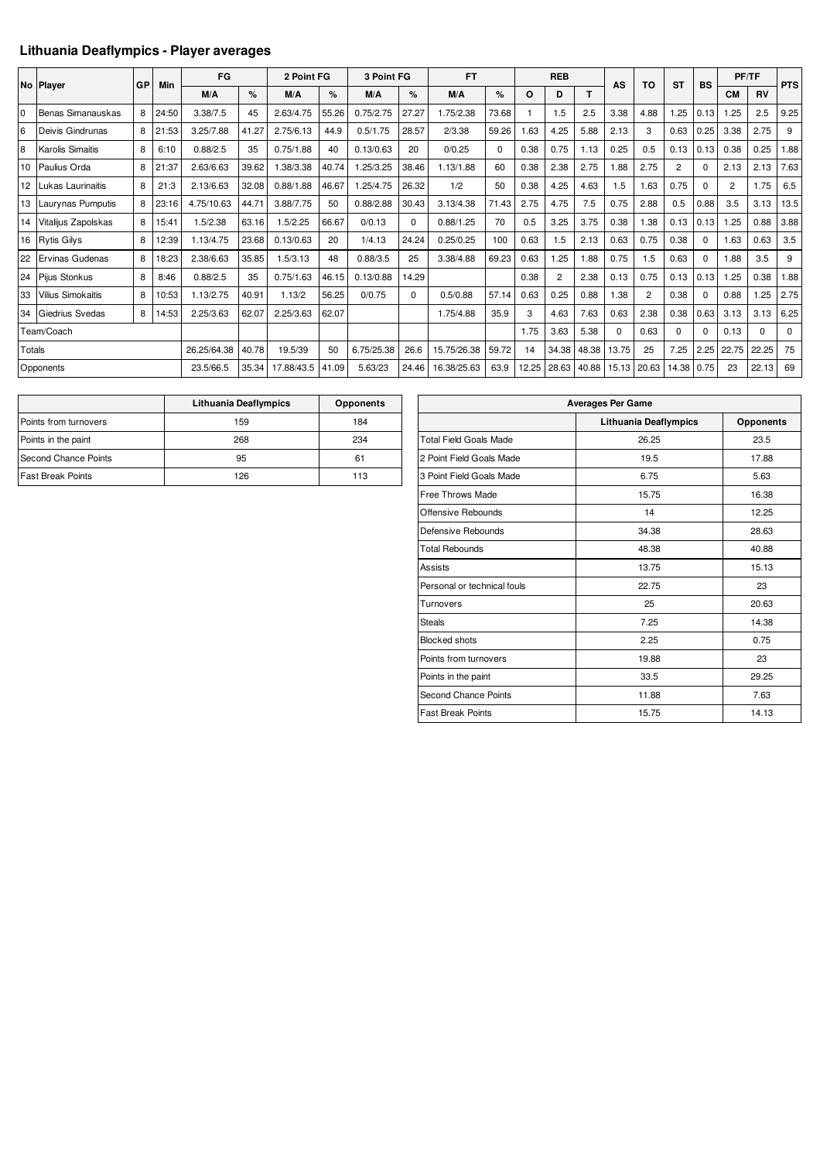## **Lithuania Deaflympics - Player averages**

|        |                          |    |       | FG          |       | 2 Point FG |       | 3 Point FG |          | <b>FT</b>   |       |       | <b>REB</b>     |       |          |                |                |           |                | PF/TF     |            |
|--------|--------------------------|----|-------|-------------|-------|------------|-------|------------|----------|-------------|-------|-------|----------------|-------|----------|----------------|----------------|-----------|----------------|-----------|------------|
|        | No Player                | GP | Min   | M/A         | $\%$  | M/A        | %     | M/A        | $\%$     | M/A         | %     | O     | D              | T     | AS       | TO             | <b>ST</b>      | <b>BS</b> | <b>CM</b>      | <b>RV</b> | <b>PTS</b> |
| l0     | Benas Simanauskas        | 8  |       | 3.38/7.5    | 45    | 2.63/4.75  | 55.26 | 0.75/2.75  | 27.27    | 1.75/2.38   | 73.68 |       | 1.5            | 2.5   | 3.38     |                | 1.25           | 0.13      | 1.25           | 2.5       | 9.25       |
|        |                          |    | 24:50 |             |       |            |       |            |          |             |       |       |                |       |          | 4.88           |                |           |                |           |            |
| 6      | Deivis Gindrunas         | 8  | 21:53 | 3.25/7.88   | 41.27 | 2.75/6.13  | 44.9  | 0.5/1.75   | 28.57    | 2/3.38      | 59.26 | .63   | 4.25           | 5.88  | 2.13     | 3              | 0.63           | 0.25      | 3.38           | 2.75      | 9          |
| 8      | <b>Karolis Simaitis</b>  | 8  | 6:10  | 0.88/2.5    | 35    | 0.75/1.88  | 40    | 0.13/0.63  | 20       | 0/0.25      | 0     | 0.38  | 0.75           | 1.13  | 0.25     | 0.5            | 0.13           | 0.13      | 0.38           | 0.25      | 88.        |
|        | 10 Paulius Orda          | 8  | 21:37 | 2.63/6.63   | 39.62 | 1.38/3.38  | 40.74 | 1.25/3.25  | 38.46    | 1.13/1.88   | 60    | 0.38  | 2.38           | 2.75  | 1.88     | 2.75           | $\overline{2}$ | $\Omega$  | 2.13           | 2.13      | 7.63       |
|        | 12 Lukas Laurinaitis     | 8  | 21:3  | 2.13/6.63   | 32.08 | 0.88/1.88  | 46.67 | .25/4.75   | 26.32    | 1/2         | 50    | 0.38  | 4.25           | 4.63  | 1.5      | .63            | 0.75           | $\Omega$  | $\overline{2}$ | 1.75      | 6.5        |
|        | 13 Laurynas Pumputis     | 8  | 23:16 | 4.75/10.63  | 44.71 | 3.88/7.75  | 50    | 0.88/2.88  | 30.43    | 3.13/4.38   | 71.43 | 2.75  | 4.75           | 7.5   | 0.75     | 2.88           | 0.5            | 0.88      | 3.5            | 3.13      | 13.5       |
| 14     | Vitalijus Zapolskas      | 8  | 15:41 | 1.5/2.38    | 63.16 | 1.5/2.25   | 66.67 | 0/0.13     | 0        | 0.88/1.25   | 70    | 0.5   | 3.25           | 3.75  | 0.38     | 1.38           | 0.13           | 0.13      | 1.25           | 0.88      | 3.88       |
|        | 16 Rytis Gilys           | 8  | 12:39 | 1.13/4.75   | 23.68 | 0.13/0.63  | 20    | 1/4.13     | 24.24    | 0.25/0.25   | 100   | 0.63  | 1.5            | 2.13  | 0.63     | 0.75           | 0.38           | $\Omega$  | 1.63           | 0.63      | 3.5        |
| 22     | <b>Ervinas Gudenas</b>   | 8  | 18:23 | 2.38/6.63   | 35.85 | 1.5/3.13   | 48    | 0.88/3.5   | 25       | 3.38/4.88   | 69.23 | 0.63  | 1.25           | 1.88  | 0.75     | 1.5            | 0.63           | $\Omega$  | 1.88           | 3.5       | 9          |
|        | 24 Pijus Stonkus         | 8  | 8:46  | 0.88/2.5    | 35    | 0.75/1.63  | 46.15 | 0.13/0.88  | 14.29    |             |       | 0.38  | $\overline{2}$ | 2.38  | 0.13     | 0.75           | 0.13           | 0.13      | 1.25           | 0.38      | 1.88       |
| 33     | <b>Vilius Simokaitis</b> | 8  | 10:53 | 1.13/2.75   | 40.91 | 1.13/2     | 56.25 | 0/0.75     | $\Omega$ | 0.5/0.88    | 57.14 | 0.63  | 0.25           | 0.88  | 1.38     | $\overline{2}$ | 0.38           | $\Omega$  | 0.88           | .25       | 2.75       |
| 34     | Giedrius Svedas          | 8  | 14:53 | 2.25/3.63   | 62.07 | 2.25/3.63  | 62.07 |            |          | 1.75/4.88   | 35.9  | 3     | 4.63           | 7.63  | 0.63     | 2.38           | 0.38           | 0.63      | 3.13           | 3.13      | 6.25       |
|        | Team/Coach               |    |       |             |       |            |       |            |          |             |       | 1.75  | 3.63           | 5.38  | $\Omega$ | 0.63           | $\Omega$       | $\Omega$  | 0.13           | $\Omega$  | $\Omega$   |
| Totals |                          |    |       | 26.25/64.38 | 40.78 | 19.5/39    | 50    | 6.75/25.38 | 26.6     | 15.75/26.38 | 59.72 | 14    | 34.38          | 48.38 | 13.75    | 25             | 7.25           | 2.25      | 22.75          | 22.25     | 75         |
|        | Opponents                |    |       | 23.5/66.5   | 35.34 | 17.88/43.5 | 41.09 | 5.63/23    | 24.46    | 16.38/25.63 | 63.9  | 12.25 | 28.63          | 40.88 | 15.13    | 20.63          | 14.38          | 0.75      | 23             | 22.13     | 69         |

|                          | Lithuania Deaflympics | <b>Opponents</b> |
|--------------------------|-----------------------|------------------|
| Points from turnovers    | 159                   | 184              |
| Points in the paint      | 268                   | 234              |
| Second Chance Points     | 95                    | 61               |
| <b>Fast Break Points</b> | 126                   | 113              |

| <b>Averages Per Game</b>      |                       |                  |  |  |  |  |  |  |  |  |
|-------------------------------|-----------------------|------------------|--|--|--|--|--|--|--|--|
|                               | Lithuania Deaflympics | <b>Opponents</b> |  |  |  |  |  |  |  |  |
| <b>Total Field Goals Made</b> | 26.25                 | 23.5             |  |  |  |  |  |  |  |  |
| 2 Point Field Goals Made      | 19.5                  | 17.88            |  |  |  |  |  |  |  |  |
| 3 Point Field Goals Made      | 6.75                  | 5.63             |  |  |  |  |  |  |  |  |
| Free Throws Made              | 15.75                 | 16.38            |  |  |  |  |  |  |  |  |
| Offensive Rebounds            | 14                    | 12.25            |  |  |  |  |  |  |  |  |
| Defensive Rebounds            | 34.38                 | 28.63            |  |  |  |  |  |  |  |  |
| <b>Total Rebounds</b>         | 48.38                 | 40.88            |  |  |  |  |  |  |  |  |
| <b>Assists</b>                | 13.75                 | 15.13            |  |  |  |  |  |  |  |  |
| Personal or technical fouls   | 22.75                 | 23               |  |  |  |  |  |  |  |  |
| Turnovers                     | 25                    | 20.63            |  |  |  |  |  |  |  |  |
| <b>Steals</b>                 | 7.25                  | 14.38            |  |  |  |  |  |  |  |  |
| <b>Blocked shots</b>          | 2.25                  | 0.75             |  |  |  |  |  |  |  |  |
| Points from turnovers         | 19.88                 | 23               |  |  |  |  |  |  |  |  |
| Points in the paint           | 33.5                  | 29.25            |  |  |  |  |  |  |  |  |
| Second Chance Points          | 11.88                 | 7.63             |  |  |  |  |  |  |  |  |
| <b>Fast Break Points</b>      | 15.75                 | 14.13            |  |  |  |  |  |  |  |  |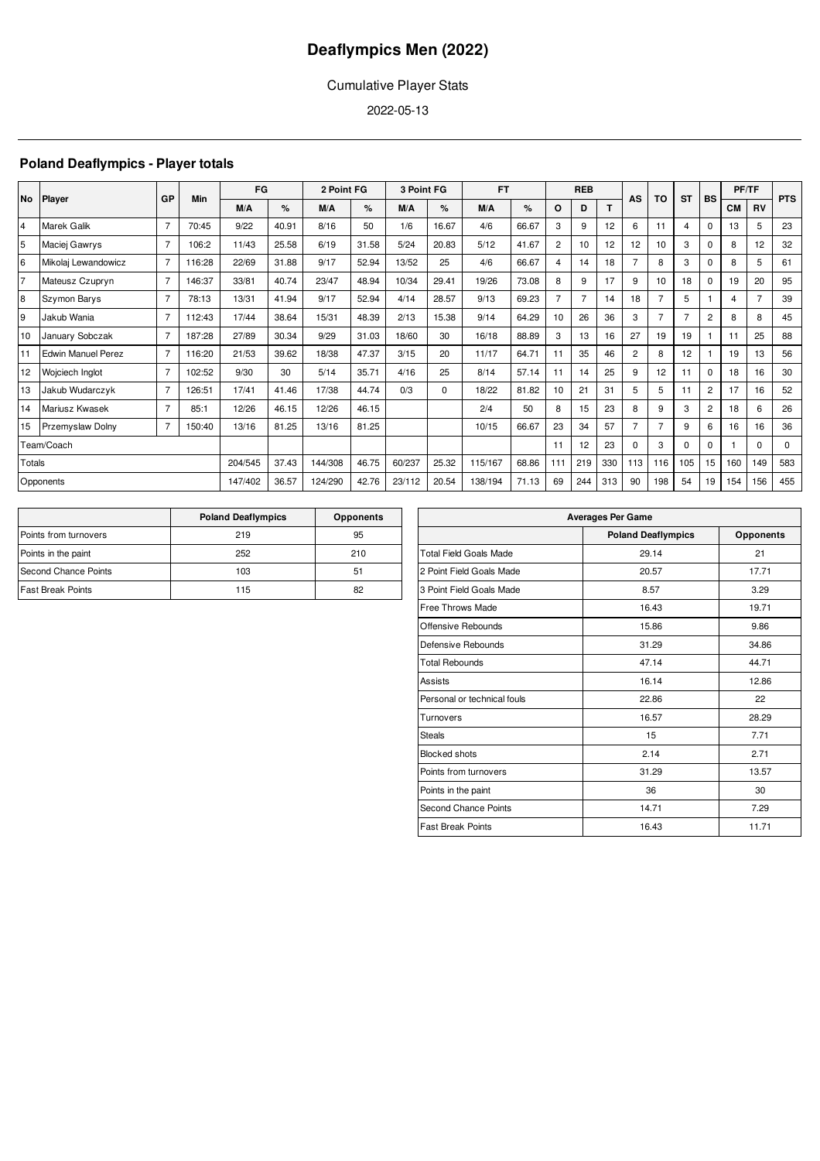## Cumulative Player Stats

2022-05-13

## **Poland Deaflympics - Player totals**

| No             | <b>Player</b>             | GP             | Min    | FG      |       | 2 Point FG |       | 3 Point FG |          | <b>FT</b> |       |                | <b>REB</b>     |     | AS             | TO             | <b>ST</b> | <b>BS</b>      |           | PF/TF        | <b>PTS</b> |
|----------------|---------------------------|----------------|--------|---------|-------|------------|-------|------------|----------|-----------|-------|----------------|----------------|-----|----------------|----------------|-----------|----------------|-----------|--------------|------------|
|                |                           |                |        | M/A     | $\%$  | M/A        | %     | M/A        | $\%$     | M/A       | $\%$  | O              | D              |     |                |                |           |                | <b>CM</b> | <b>RV</b>    |            |
| $\overline{4}$ | Marek Galik               | $\overline{7}$ | 70:45  | 9/22    | 40.91 | 8/16       | 50    | 1/6        | 16.67    | 4/6       | 66.67 | 3              | 9              | 12  | 6              | 11             | 4         | $\Omega$       | 13        | 5            | 23         |
| 5              | Maciej Gawrys             | $\overline{7}$ | 106:2  | 11/43   | 25.58 | 6/19       | 31.58 | 5/24       | 20.83    | 5/12      | 41.67 | $\overline{2}$ | 10             | 12  | 12             | 10             | 3         | $\Omega$       | 8         | 12           | 32         |
| 6              | Mikolaj Lewandowicz       | $\overline{7}$ | 116:28 | 22/69   | 31.88 | 9/17       | 52.94 | 13/52      | 25       | 4/6       | 66.67 | 4              | 14             | 18  | $\overline{7}$ | 8              | 3         | 0              | 8         | 5            | 61         |
| $\overline{7}$ | Mateusz Czupryn           | $\overline{7}$ | 146:37 | 33/81   | 40.74 | 23/47      | 48.94 | 10/34      | 29.41    | 19/26     | 73.08 | 8              | 9              | 17  | 9              | 10             | 18        | 0              | 19        | 20           | 95         |
| 8              | Szymon Barys              | $\overline{7}$ | 78:13  | 13/31   | 41.94 | 9/17       | 52.94 | 4/14       | 28.57    | 9/13      | 69.23 | 7              | $\overline{7}$ | 14  | 18             | $\overline{7}$ | 5         |                | 4         | 7            | 39         |
| 9              | Jakub Wania               | $\overline{7}$ | 112:43 | 17/44   | 38.64 | 15/31      | 48.39 | 2/13       | 15.38    | 9/14      | 64.29 | 10             | 26             | 36  | 3              |                |           | 2              | 8         | 8            | 45         |
| 10             | January Sobczak           | $\overline{7}$ | 187:28 | 27/89   | 30.34 | 9/29       | 31.03 | 18/60      | 30       | 16/18     | 88.89 | 3              | 13             | 16  | 27             | 19             | 19        |                | 11        | 25           | 88         |
| 11             | <b>Edwin Manuel Perez</b> | $\overline{7}$ | 116:20 | 21/53   | 39.62 | 18/38      | 47.37 | 3/15       | 20       | 11/17     | 64.71 | 11             | 35             | 46  | $\overline{2}$ | 8              | 12        |                | 19        | 13           | 56         |
| 12             | Wojciech Inglot           | $\overline{7}$ | 102:52 | 9/30    | 30    | 5/14       | 35.71 | 4/16       | 25       | 8/14      | 57.14 | 11             | 14             | 25  | 9              | 12             | 11        | $\Omega$       | 18        | 16           | 30         |
| 13             | Jakub Wudarczyk           | $\overline{7}$ | 126:51 | 17/41   | 41.46 | 17/38      | 44.74 | 0/3        | $\Omega$ | 18/22     | 81.82 | 10             | 21             | 31  | 5              | 5              | 11        | $\overline{2}$ | 17        | 16           | 52         |
| 14             | Mariusz Kwasek            | $\overline{7}$ | 85:1   | 12/26   | 46.15 | 12/26      | 46.15 |            |          | 2/4       | 50    | 8              | 15             | 23  | 8              | 9              | 3         | $\overline{2}$ | 18        | 6            | 26         |
| 15             | <b>Przemyslaw Dolny</b>   | $\overline{7}$ | 150:40 | 13/16   | 81.25 | 13/16      | 81.25 |            |          | 10/15     | 66.67 | 23             | 34             | 57  | $\overline{7}$ |                | 9         | 6              | 16        | 16           | 36         |
|                | Team/Coach                |                |        |         |       |            |       |            |          |           |       | 11             | 12             | 23  | $\Omega$       | 3              | $\Omega$  | $\Omega$       |           | <sup>0</sup> | $\Omega$   |
| Totals         |                           |                |        | 204/545 | 37.43 | 144/308    | 46.75 | 60/237     | 25.32    | 115/167   | 68.86 | 111            | 219            | 330 | 113            | 116            | 105       | 15             | 160       | 149          | 583        |
|                | Opponents                 |                |        | 147/402 | 36.57 | 124/290    | 42.76 | 23/112     | 20.54    | 138/194   | 71.13 | 69             | 244            | 313 | 90             | 198            | 54        | 19             | 154       | 156          | 455        |

|                          | <b>Poland Deaflympics</b> | <b>Opponents</b> |
|--------------------------|---------------------------|------------------|
| Points from turnovers    | 219                       | 95               |
| Points in the paint      | 252                       | 210              |
| Second Chance Points     | 103                       | 51               |
| <b>Fast Break Points</b> | 115                       | 82               |

| <b>Averages Per Game</b>      |                           |                  |  |  |  |  |  |  |  |
|-------------------------------|---------------------------|------------------|--|--|--|--|--|--|--|
|                               | <b>Poland Deaflympics</b> | <b>Opponents</b> |  |  |  |  |  |  |  |
| <b>Total Field Goals Made</b> | 29.14                     | 21               |  |  |  |  |  |  |  |
| 2 Point Field Goals Made      | 20.57                     | 17.71            |  |  |  |  |  |  |  |
| 3 Point Field Goals Made      | 8.57                      | 3.29             |  |  |  |  |  |  |  |
| <b>Free Throws Made</b>       | 16.43                     | 19.71            |  |  |  |  |  |  |  |
| Offensive Rebounds            | 15.86                     | 9.86             |  |  |  |  |  |  |  |
| Defensive Rebounds            | 31.29                     | 34.86            |  |  |  |  |  |  |  |
| <b>Total Rebounds</b>         | 47.14                     | 44.71            |  |  |  |  |  |  |  |
| Assists                       | 16.14                     | 12.86            |  |  |  |  |  |  |  |
| Personal or technical fouls   | 22.86                     | 22               |  |  |  |  |  |  |  |
| Turnovers                     | 16.57                     | 28.29            |  |  |  |  |  |  |  |
| <b>Steals</b>                 | 15                        | 7.71             |  |  |  |  |  |  |  |
| <b>Blocked shots</b>          | 2.14                      | 2.71             |  |  |  |  |  |  |  |
| Points from turnovers         | 31.29                     | 13.57            |  |  |  |  |  |  |  |
| Points in the paint           | 36                        | 30               |  |  |  |  |  |  |  |
| <b>Second Chance Points</b>   | 14.71                     | 7.29             |  |  |  |  |  |  |  |
| <b>Fast Break Points</b>      | 16.43                     | 11.71            |  |  |  |  |  |  |  |
|                               |                           |                  |  |  |  |  |  |  |  |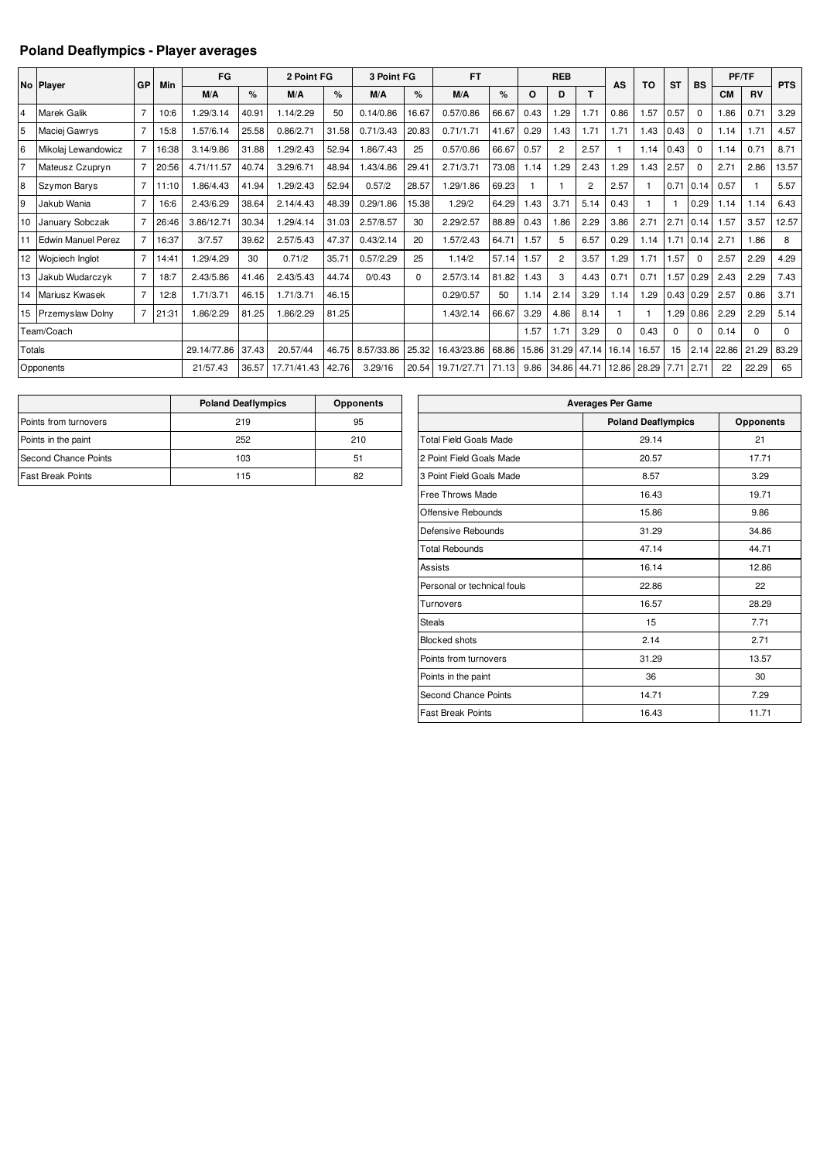## **Poland Deaflympics - Player averages**

|                | No Player              | GP             | Min   | FG          |       | 2 Point FG  |       | 3 Point FG |             | <b>FT</b>   |       |       | <b>REB</b>     |                | AS       | <b>TO</b> | <b>ST</b> | <b>BS</b>     |           | PF/TF     | <b>PTS</b> |
|----------------|------------------------|----------------|-------|-------------|-------|-------------|-------|------------|-------------|-------------|-------|-------|----------------|----------------|----------|-----------|-----------|---------------|-----------|-----------|------------|
|                |                        |                |       | M/A         | %     | M/A         | $\%$  | M/A        | %           | M/A         | %     | O     | D              | т              |          |           |           |               | <b>CM</b> | <b>RV</b> |            |
| $\overline{4}$ | Marek Galik            |                | 10:6  | 1.29/3.14   | 40.91 | 1.14/2.29   | 50    | 0.14/0.86  | 16.67       | 0.57/0.86   | 66.67 | 0.43  | .29            | 1.71           | 0.86     | 1.57      | 0.57      | $\mathbf 0$   | 1.86      | 0.71      | 3.29       |
| 5              | Maciej Gawrys          |                | 15:8  | 1.57/6.14   | 25.58 | 0.86/2.71   | 31.58 | 0.71/3.43  | 20.83       | 0.71/1.71   | 41.67 | 0.29  | 1.43           | 1.71           | 1.71     | 1.43      | 0.43      | $\Omega$      | 1.14      | 1.71      | 4.57       |
| 6              | Mikolaj Lewandowicz    |                | 16:38 | 3.14/9.86   | 31.88 | 1.29/2.43   | 52.94 | 1.86/7.43  | 25          | 0.57/0.86   | 66.67 | 0.57  | $\overline{2}$ | 2.57           |          | 1.14      | 0.43      | $\Omega$      | 1.14      | 0.71      | 8.71       |
| l7             | Mateusz Czupryn        |                | 20:56 | 4.71/11.57  | 40.74 | 3.29/6.71   | 48.94 | 1.43/4.86  | 29.41       | 2.71/3.71   | 73.08 | 1.14  | 1.29           | 2.43           | 1.29     | 1.43      | 2.57      | $\mathbf 0$   | 2.71      | 2.86      | 13.57      |
| l8             | <b>Szymon Barys</b>    |                | 11:10 | 1.86/4.43   | 41.94 | 1.29/2.43   | 52.94 | 0.57/2     | 28.57       | 1.29/1.86   | 69.23 |       |                | $\overline{2}$ | 2.57     |           | 0.71      | 0.14          | 0.57      |           | 5.57       |
| l9             | Jakub Wania            |                | 16:6  | 2.43/6.29   | 38.64 | 2.14/4.43   | 48.39 | 0.29/1.86  | 15.38       | 1.29/2      | 64.29 | 1.43  | 3.71           | 5.14           | 0.43     |           |           | 0.29          | 1.14      | 1.14      | 6.43       |
| 10             | January Sobczak        |                | 26:46 | 3.86/12.71  | 30.34 | 1.29/4.14   | 31.03 | 2.57/8.57  | 30          | 2.29/2.57   | 88.89 | 0.43  | 1.86           | 2.29           | 3.86     | 2.71      |           | $2.71 \ 0.14$ | 1.57      | 3.57      | 12.57      |
|                | Edwin Manuel Perez     |                | 16:37 | 3/7.57      | 39.62 | 2.57/5.43   | 47.37 | 0.43/2.14  | 20          | 1.57/2.43   | 64.71 | 1.57  | 5              | 6.57           | 0.29     | 1.14      |           | $1.71$ 0.14   | 2.71      | 1.86      | 8          |
| 12             | <b>Wojciech Inglot</b> | $\overline{7}$ | 14:41 | .29/4.29    | 30    | 0.71/2      | 35.71 | 0.57/2.29  | 25          | 1.14/2      | 57.14 | .57   | $\overline{2}$ | 3.57           | 1.29     | 1.71      | .57       | $\Omega$      | 2.57      | 2.29      | 4.29       |
| 13             | Jakub Wudarczyk        | $\overline{7}$ | 18:7  | 2.43/5.86   | 41.46 | 2.43/5.43   | 44.74 | 0/0.43     | $\mathbf 0$ | 2.57/3.14   | 81.82 | 1.43  | 3              | 4.43           | 0.71     | 0.71      | .57       | 0.29          | 2.43      | 2.29      | 7.43       |
| 14             | Mariusz Kwasek         |                | 12:8  | 1.71/3.71   | 46.15 | 1.71/3.71   | 46.15 |            |             | 0.29/0.57   | 50    | 1.14  | 2.14           | 3.29           | 1.14     | 1.29      | 0.43      | 0.29          | 2.57      | 0.86      | 3.71       |
|                | 15 Przemyslaw Dolny    | $\overline{7}$ | 21:31 | 1.86/2.29   | 81.25 | 1.86/2.29   | 81.25 |            |             | 1.43/2.14   | 66.67 | 3.29  | 4.86           | 8.14           |          |           | .29       | 0.86          | 2.29      | 2.29      | 5.14       |
|                | Team/Coach             |                |       |             |       |             |       |            |             |             |       | 1.57  | 1.71           | 3.29           | $\Omega$ | 0.43      | $\Omega$  | $\Omega$      | 0.14      | $\Omega$  | 0          |
| Totals         |                        |                |       | 29.14/77.86 | 37.43 | 20.57/44    | 46.75 | 8.57/33.86 | 25.32       | 16.43/23.86 | 68.86 | 15.86 | 31.29          | 47.14          | 16.14    | 16.57     | 15        | 2.14          | 22.86     | 21.29     | 83.29      |
|                | Opponents              |                |       | 21/57.43    | 36.57 | 17.71/41.43 | 42.76 | 3.29/16    | 20.54       | 19.71/27.71 | 71.13 | 9.86  | 34.86          | 44.71          | 12.86    | 28.29     | 7.71 2.71 |               | 22        | 22.29     | 65         |

|                             | <b>Poland Deaflympics</b> | <b>Opponents</b> |
|-----------------------------|---------------------------|------------------|
| Points from turnovers       | 219                       | 95               |
| Points in the paint         | 252                       | 210              |
| <b>Second Chance Points</b> | 103                       | 51               |
| <b>Fast Break Points</b>    | 115                       | 82               |

| <b>Averages Per Game</b>      |                           |                  |  |  |  |  |  |  |  |  |
|-------------------------------|---------------------------|------------------|--|--|--|--|--|--|--|--|
|                               | <b>Poland Deaflympics</b> | <b>Opponents</b> |  |  |  |  |  |  |  |  |
| <b>Total Field Goals Made</b> | 29.14                     | 21               |  |  |  |  |  |  |  |  |
| 2 Point Field Goals Made      | 20.57                     | 17.71            |  |  |  |  |  |  |  |  |
| 3 Point Field Goals Made      | 8.57                      | 3.29             |  |  |  |  |  |  |  |  |
| Free Throws Made              | 16.43                     | 19.71            |  |  |  |  |  |  |  |  |
| Offensive Rebounds            | 15.86                     | 9.86             |  |  |  |  |  |  |  |  |
| Defensive Rebounds            | 31.29                     | 34.86            |  |  |  |  |  |  |  |  |
| <b>Total Rebounds</b>         | 47.14                     | 44.71            |  |  |  |  |  |  |  |  |
| <b>Assists</b>                | 16.14                     | 12.86            |  |  |  |  |  |  |  |  |
| Personal or technical fouls   | 22.86                     | 22               |  |  |  |  |  |  |  |  |
| Turnovers                     | 16.57                     | 28.29            |  |  |  |  |  |  |  |  |
| <b>Steals</b>                 | 15                        | 7.71             |  |  |  |  |  |  |  |  |
| <b>Blocked shots</b>          | 2.14                      | 2.71             |  |  |  |  |  |  |  |  |
| Points from turnovers         | 31.29                     | 13.57            |  |  |  |  |  |  |  |  |
| Points in the paint           | 36                        | 30               |  |  |  |  |  |  |  |  |
| Second Chance Points          | 14.71                     | 7.29             |  |  |  |  |  |  |  |  |
| <b>Fast Break Points</b>      | 16.43                     | 11.71            |  |  |  |  |  |  |  |  |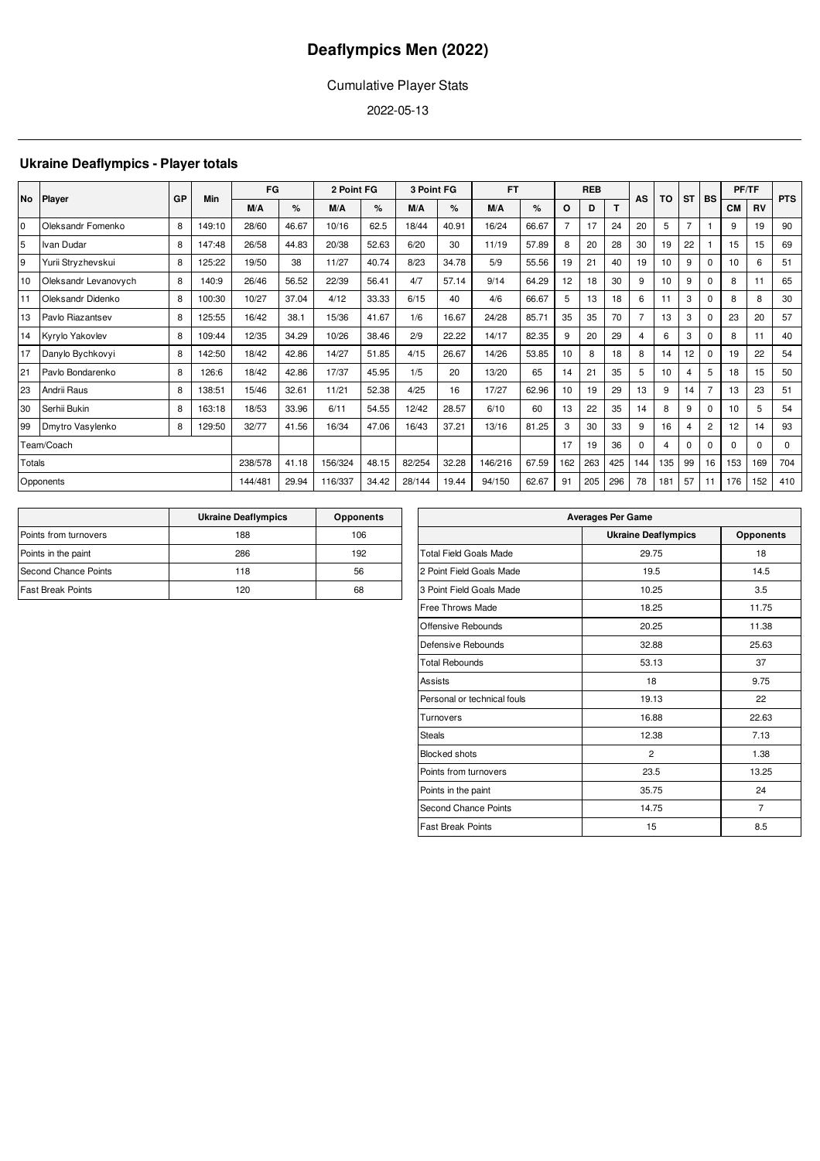## Cumulative Player Stats

2022-05-13

## **Ukraine Deaflympics - Player totals**

|        |                      | GP | Min    | FG      |       | 2 Point FG |       | 3 Point FG |       | <b>FT</b> |       |                | <b>REB</b> |     | AS       | TO               | <b>ST</b>      | <b>BS</b>      | PF/TF     |           | <b>PTS</b>  |
|--------|----------------------|----|--------|---------|-------|------------|-------|------------|-------|-----------|-------|----------------|------------|-----|----------|------------------|----------------|----------------|-----------|-----------|-------------|
|        | No Player            |    |        | M/A     | %     | M/A        | %     | M/A        | %     | M/A       | %     | O              | D          | T   |          |                  |                |                | <b>CM</b> | <b>RV</b> |             |
| l0     | Oleksandr Fomenko    | 8  | 149:10 | 28/60   | 46.67 | 10/16      | 62.5  | 18/44      | 40.91 | 16/24     | 66.67 | $\overline{7}$ | 17         | 24  | 20       | 5                | $\overline{7}$ |                | 9         | 19        | 90          |
| 5      | Ivan Dudar           | 8  | 147:48 | 26/58   | 44.83 | 20/38      | 52.63 | 6/20       | 30    | 11/19     | 57.89 | 8              | 20         | 28  | 30       | 19               | 22             |                | 15        | 15        | 69          |
| 9      | Yurii Stryzhevskui   | 8  | 125:22 | 19/50   | 38    | 11/27      | 40.74 | 8/23       | 34.78 | 5/9       | 55.56 | 19             | 21         | 40  | 19       | 10 <sup>10</sup> | 9              | 0              | 10        | 6         | 51          |
| 10     | Oleksandr Levanovych | 8  | 140:9  | 26/46   | 56.52 | 22/39      | 56.41 | 4/7        | 57.14 | 9/14      | 64.29 | 12             | 18         | 30  | 9        | 10 <sup>10</sup> | 9              | 0              | 8         | 11        | 65          |
|        | Oleksandr Didenko    | 8  | 100:30 | 10/27   | 37.04 | 4/12       | 33.33 | 6/15       | 40    | 4/6       | 66.67 | 5              | 13         | 18  | 6        | 11               | 3              | $\Omega$       | 8         | 8         | 30          |
| 13     | Pavlo Riazantsev     | 8  | 125:55 | 16/42   | 38.1  | 15/36      | 41.67 | 1/6        | 16.67 | 24/28     | 85.71 | 35             | 35         | 70  | 7        | 13               | 3              | $\Omega$       | 23        | 20        | 57          |
| 14     | Kyrylo Yakovlev      | 8  | 109:44 | 12/35   | 34.29 | 10/26      | 38.46 | 2/9        | 22.22 | 14/17     | 82.35 | 9              | 20         | 29  | 4        | 6                | 3              | $\Omega$       | 8         | 11        | 40          |
| 17     | Danylo Bychkovyi     | 8  | 142:50 | 18/42   | 42.86 | 14/27      | 51.85 | 4/15       | 26.67 | 14/26     | 53.85 | 10             | 8          | 18  | 8        | 14               | 12             | $\Omega$       | 19        | 22        | 54          |
| 21     | Pavlo Bondarenko     | 8  | 126:6  | 18/42   | 42.86 | 17/37      | 45.95 | 1/5        | 20    | 13/20     | 65    | 14             | 21         | 35  | 5        | 10 <sup>10</sup> | 4              | 5              | 18        | 15        | 50          |
| 23     | Andrii Raus          | 8  | 138:51 | 15/46   | 32.61 | 11/21      | 52.38 | 4/25       | 16    | 17/27     | 62.96 | 10             | 19         | 29  | 13       | 9                | 14             | 7              | 13        | 23        | 51          |
| 30     | Serhii Bukin         | 8  | 163:18 | 18/53   | 33.96 | 6/11       | 54.55 | 12/42      | 28.57 | 6/10      | 60    | 13             | 22         | 35  | 14       | 8                | 9              | $\Omega$       | 10        | 5         | 54          |
| 99     | Dmytro Vasylenko     | 8  | 129:50 | 32/77   | 41.56 | 16/34      | 47.06 | 16/43      | 37.21 | 13/16     | 81.25 | 3              | 30         | 33  | 9        | 16               | 4              | $\overline{2}$ | 12        | 14        | 93          |
|        | Team/Coach           |    |        |         |       |            |       |            |       |           |       | 17             | 19         | 36  | $\Omega$ | 4                | 0              | $\Omega$       | $\Omega$  | $\Omega$  | $\mathbf 0$ |
| Totals |                      |    |        | 238/578 | 41.18 | 156/324    | 48.15 | 82/254     | 32.28 | 146/216   | 67.59 | 162            | 263        | 425 | 144      | 135              | 99             | 16             | 153       | 169       | 704         |
|        | Opponents            |    |        | 144/48  | 29.94 | 116/337    | 34.42 | 28/144     | 19.44 | 94/150    | 62.67 | 91             | 205        | 296 | 78       | 181              | 57             | 11             | 176       | 152       | 410         |

|                          | <b>Ukraine Deaflympics</b> | <b>Opponents</b> |
|--------------------------|----------------------------|------------------|
| Points from turnovers    | 188                        | 106              |
| Points in the paint      | 286                        | 192              |
| Second Chance Points     | 118                        | 56               |
| <b>Fast Break Points</b> | 120                        | 68               |

| <b>Averages Per Game</b> |                            |  |  |  |  |  |  |  |  |  |
|--------------------------|----------------------------|--|--|--|--|--|--|--|--|--|
|                          |                            |  |  |  |  |  |  |  |  |  |
|                          | <b>Opponents</b>           |  |  |  |  |  |  |  |  |  |
| 29.75                    | 18                         |  |  |  |  |  |  |  |  |  |
| 19.5                     | 14.5                       |  |  |  |  |  |  |  |  |  |
| 10.25                    | 3.5                        |  |  |  |  |  |  |  |  |  |
| 18.25                    | 11.75                      |  |  |  |  |  |  |  |  |  |
| 20.25                    | 11.38                      |  |  |  |  |  |  |  |  |  |
| 32.88                    | 25.63                      |  |  |  |  |  |  |  |  |  |
| 53.13                    | 37                         |  |  |  |  |  |  |  |  |  |
| 18                       | 9.75                       |  |  |  |  |  |  |  |  |  |
| 19.13                    | 22                         |  |  |  |  |  |  |  |  |  |
| 16.88                    | 22.63                      |  |  |  |  |  |  |  |  |  |
| 12.38                    | 7.13                       |  |  |  |  |  |  |  |  |  |
| $\overline{2}$           | 1.38                       |  |  |  |  |  |  |  |  |  |
| 23.5                     | 13.25                      |  |  |  |  |  |  |  |  |  |
| 35.75                    | 24                         |  |  |  |  |  |  |  |  |  |
| 14.75                    | $\overline{7}$             |  |  |  |  |  |  |  |  |  |
| 15                       | 8.5                        |  |  |  |  |  |  |  |  |  |
|                          | <b>Ukraine Deaflympics</b> |  |  |  |  |  |  |  |  |  |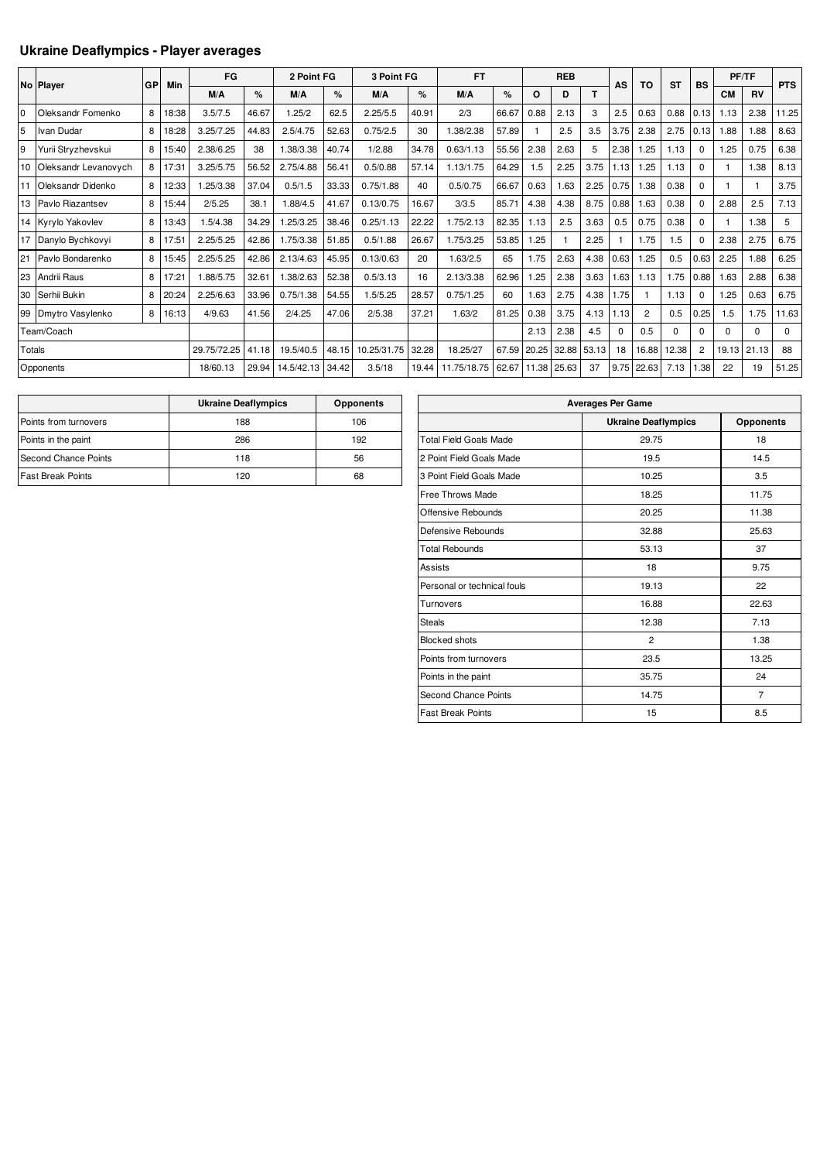## **Ukraine Deaflympics - Player averages**

|                |                      |    |       |             |       |            |       |             |       |             |       |       |              |       |          |                |           |                | PF/TF     |           |            |
|----------------|----------------------|----|-------|-------------|-------|------------|-------|-------------|-------|-------------|-------|-------|--------------|-------|----------|----------------|-----------|----------------|-----------|-----------|------------|
|                | No Player            | GP | Min   | FG          |       | 2 Point FG |       | 3 Point FG  |       | <b>FT</b>   |       |       | <b>REB</b>   |       | AS       | <b>TO</b>      | <b>ST</b> | <b>BS</b>      |           |           | <b>PTS</b> |
|                |                      |    |       | M/A         | %     | M/A        | %     | M/A         | $\%$  | M/A         | $\%$  | O     | D            |       |          |                |           |                | <b>CM</b> | <b>RV</b> |            |
| $\overline{0}$ | Oleksandr Fomenko    | 8  | 18:38 | 3.5/7.5     | 46.67 | 1.25/2     | 62.5  | 2.25/5.5    | 40.91 | 2/3         | 66.67 | 0.88  | 2.13         | 3     | 2.5      | 0.63           | 0.88      | 0.13           | 1.13      | 2.38      | 11.25      |
| 5              | Ivan Dudar           | 8  | 18:28 | 3.25/7.25   | 44.83 | 2.5/4.75   | 52.63 | 0.75/2.5    | 30    | .38/2.38    | 57.89 |       | 2.5          | 3.5   | 3.75     | 2.38           | 2.75      | 0.13           | 1.88      | 1.88      | 8.63       |
| 9              | Yurii Stryzhevskui   | 8  | 15:40 | 2.38/6.25   | 38    | .38/3.38   | 40.74 | 1/2.88      | 34.78 | 0.63/1.13   | 55.56 | 2.38  | 2.63         | 5     | 2.38     | 1.25           | 1.13      | $\Omega$       | 1.25      | 0.75      | 6.38       |
| 10             | Oleksandr Levanovvch | 8  | 17:31 | 3.25/5.75   | 56.52 | 2.75/4.88  | 56.41 | 0.5/0.88    | 57.14 | 1.13/1.75   | 64.29 | 1.5   | 2.25         | 3.75  | 1.13     | 1.25           | 1.13      | $\Omega$       |           | 1.38      | 8.13       |
| 111            | Oleksandr Didenko    | 8  | 12:33 | .25/3.38    | 37.04 | 0.5/1.5    | 33.33 | 0.75/1.88   | 40    | 0.5/0.75    | 66.67 | 0.63  | 1.63         | 2.25  | 0.75     | 1.38           | 0.38      | $\Omega$       |           |           | 3.75       |
|                | 13 Pavlo Riazantsev  | 8  | 15:44 | 2/5.25      | 38.1  | .88/4.5    | 41.67 | 0.13/0.75   | 16.67 | 3/3.5       | 85.71 | 4.38  | 4.38         | 8.75  | 0.88     | 1.63           | 0.38      | $\Omega$       | 2.88      | 2.5       | 7.13       |
|                | 14 Kyrylo Yakovlev   | 8  | 13:43 | 1.5/4.38    | 34.29 | .25/3.25   | 38.46 | 0.25/1.13   | 22.22 | 1.75/2.13   | 82.35 | 1.13  | 2.5          | 3.63  | 0.5      | 0.75           | 0.38      | $\mathbf 0$    |           | 1.38      | 5          |
| 17             | Danylo Bychkovyi     | 8  | 17:51 | 2.25/5.25   | 42.86 | .75/3.38   | 51.85 | 0.5/1.88    | 26.67 | 1.75/3.25   | 53.85 | 1.25  | $\mathbf{1}$ | 2.25  |          | 1.75           | 1.5       | $\Omega$       | 2.38      | 2.75      | 6.75       |
| 21             | Pavlo Bondarenko     | 8  | 15:45 | 2.25/5.25   | 42.86 | 2.13/4.63  | 45.95 | 0.13/0.63   | 20    | 1.63/2.5    | 65    | 1.75  | 2.63         | 4.38  | 0.63     | 1.25           | 0.5       | 0.63           | 2.25      | 1.88      | 6.25       |
| 23             | Andrii Raus          | 8  | 17:21 | .88/5.75    | 32.61 | .38/2.63   | 52.38 | 0.5/3.13    | 16    | 2.13/3.38   | 62.96 | 1.25  | 2.38         | 3.63  | 1.63     | 1.13           | 1.75      | 0.88           | 1.63      | 2.88      | 6.38       |
| 30             | Serhii Bukin         | 8  | 20:24 | 2.25/6.63   | 33.96 | 0.75/1.38  | 54.55 | 1.5/5.25    | 28.57 | 0.75/1.25   | 60    | 1.63  | 2.75         | 4.38  | 1.75     |                | 1.13      | $\mathbf 0$    | 1.25      | 0.63      | 6.75       |
|                | 99 Dmytro Vasylenko  | 8  | 16:13 | 4/9.63      | 41.56 | 2/4.25     | 47.06 | 2/5.38      | 37.21 | 1.63/2      | 81.25 | 0.38  | 3.75         | 4.13  | 1.13     | $\overline{c}$ | 0.5       | 0.25           | 1.5       | 1.75      | 11.63      |
|                | Team/Coach           |    |       |             |       |            |       |             |       |             |       | 2.13  | 2.38         | 4.5   | $\Omega$ | 0.5            | 0         | $\Omega$       | 0         | $\Omega$  | 0          |
| Totals         |                      |    |       | 29.75/72.25 | 41.18 | 19.5/40.5  | 48.15 | 10.25/31.75 | 32.28 | 18.25/27    | 67.59 | 20.25 | 32.88        | 53.13 | 18       | 16.88          | 12.38     | $\overline{2}$ | 19.13     | 21.13     | 88         |
|                | Opponents            |    |       | 18/60.13    | 29.94 | 14.5/42.13 | 34.42 | 3.5/18      | 19.44 | 11.75/18.75 | 62.67 | 11.38 | 25.63        | 37    | 9.75     | 22.63          | 7.13      | 1.38           | 22        | 19        | 51.25      |

|                          | <b>Ukraine Deaflympics</b> | <b>Opponents</b> |
|--------------------------|----------------------------|------------------|
| Points from turnovers    | 188                        | 106              |
| Points in the paint      | 286                        | 192              |
| Second Chance Points     | 118                        | 56               |
| <b>Fast Break Points</b> | 120                        | 68               |

| <b>Averages Per Game</b>      |                            |                  |  |  |  |  |  |  |  |  |
|-------------------------------|----------------------------|------------------|--|--|--|--|--|--|--|--|
|                               | <b>Ukraine Deaflympics</b> | <b>Opponents</b> |  |  |  |  |  |  |  |  |
| <b>Total Field Goals Made</b> | 29.75                      | 18               |  |  |  |  |  |  |  |  |
| 2 Point Field Goals Made      | 19.5                       | 14.5             |  |  |  |  |  |  |  |  |
| 3 Point Field Goals Made      | 10.25                      | 3.5              |  |  |  |  |  |  |  |  |
| Free Throws Made              | 18.25                      | 11.75            |  |  |  |  |  |  |  |  |
| Offensive Rebounds            | 20.25                      | 11.38            |  |  |  |  |  |  |  |  |
| Defensive Rebounds            | 32.88                      | 25.63            |  |  |  |  |  |  |  |  |
| <b>Total Rebounds</b>         | 53.13                      | 37               |  |  |  |  |  |  |  |  |
| <b>Assists</b>                | 18                         | 9.75             |  |  |  |  |  |  |  |  |
| Personal or technical fouls   | 19.13                      | 22               |  |  |  |  |  |  |  |  |
| Turnovers                     | 16.88                      | 22.63            |  |  |  |  |  |  |  |  |
| <b>Steals</b>                 | 12.38                      | 7.13             |  |  |  |  |  |  |  |  |
| <b>Blocked shots</b>          | $\overline{2}$             | 1.38             |  |  |  |  |  |  |  |  |
| Points from turnovers         | 23.5                       | 13.25            |  |  |  |  |  |  |  |  |
| Points in the paint           | 35.75                      | 24               |  |  |  |  |  |  |  |  |
| Second Chance Points          | 14.75                      | $\overline{7}$   |  |  |  |  |  |  |  |  |
| <b>Fast Break Points</b>      | 15                         | 8.5              |  |  |  |  |  |  |  |  |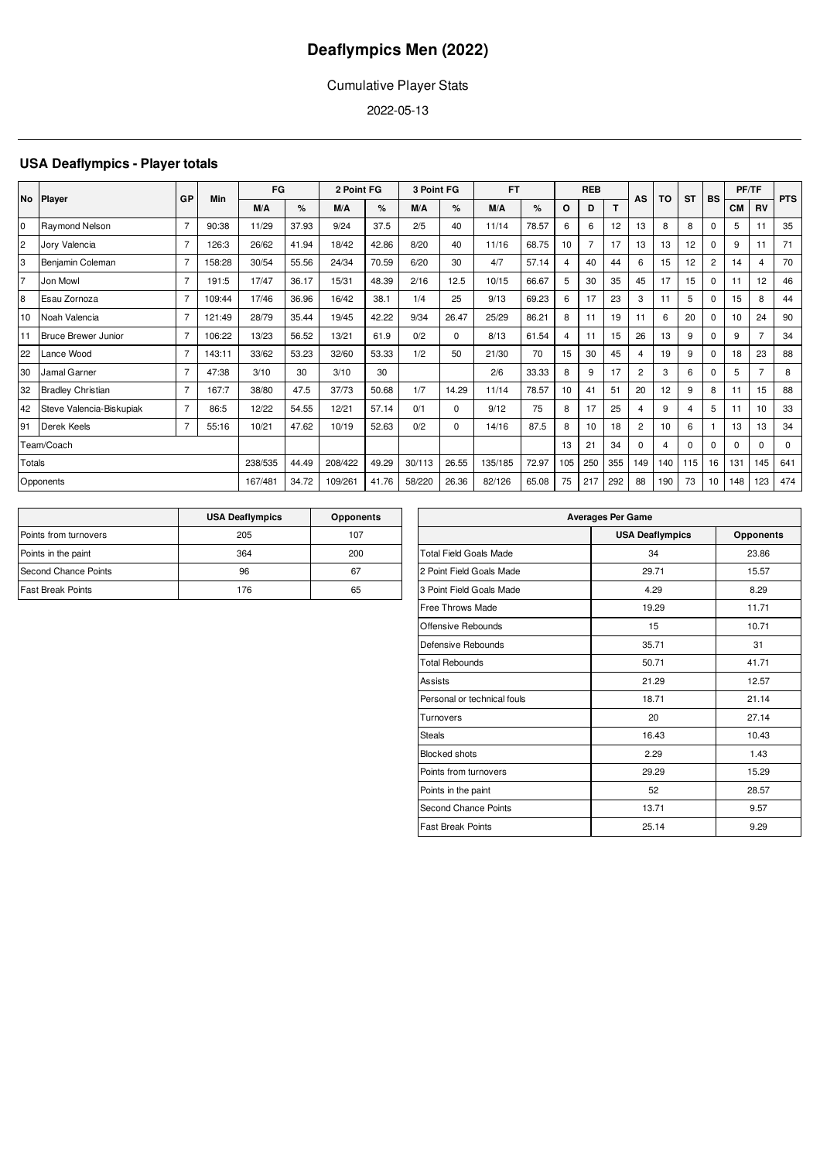## Cumulative Player Stats

2022-05-13

## **USA Deaflympics - Player totals**

|                |                            | GP             | Min    | FG      |       | 2 Point FG |       | 3 Point FG |          | <b>FT</b> |       |         |     | <b>REB</b> |                | TO  | <b>ST</b> | <b>BS</b>      |           | PF/TF          | <b>PTS</b> |
|----------------|----------------------------|----------------|--------|---------|-------|------------|-------|------------|----------|-----------|-------|---------|-----|------------|----------------|-----|-----------|----------------|-----------|----------------|------------|
|                | No Player                  |                |        | M/A     | %     | M/A        | %     | M/A        | %        | M/A       | %     | $\circ$ | D   | T.         | AS             |     |           |                | <b>CM</b> | <b>RV</b>      |            |
| l0             | Raymond Nelson             |                | 90:38  | 11/29   | 37.93 | 9/24       | 37.5  | 2/5        | 40       | 11/14     | 78.57 | 6       | 6   | 12         | 13             | 8   | 8         | $\Omega$       | 5         | 11             | 35         |
| $\overline{2}$ | Jory Valencia              | $\overline{7}$ | 126:3  | 26/62   | 41.94 | 18/42      | 42.86 | 8/20       | 40       | 11/16     | 68.75 | 10      |     | 17         | 13             | 13  | 12        | $\mathbf 0$    | 9         | 11             | 71         |
| 3              | Benjamin Coleman           | 7              | 158:28 | 30/54   | 55.56 | 24/34      | 70.59 | 6/20       | 30       | 4/7       | 57.14 | 4       | 40  | 44         | 6              | 15  | 12        | $\overline{2}$ | 14        | 4              | 70         |
| $\overline{7}$ | Jon Mowl                   | $\overline{7}$ | 191:5  | 17/47   | 36.17 | 15/31      | 48.39 | 2/16       | 12.5     | 10/15     | 66.67 | 5       | 30  | 35         | 45             | 17  | 15        | $\mathbf 0$    | 11        | 12             | 46         |
| 8              | Esau Zornoza               | 7              | 109:44 | 17/46   | 36.96 | 16/42      | 38.1  | 1/4        | 25       | 9/13      | 69.23 | 6       | 17  | 23         | 3              | 11  | 5         | $\Omega$       | 15        | 8              | 44         |
| 10             | Noah Valencia              | $\overline{7}$ | 121:49 | 28/79   | 35.44 | 19/45      | 42.22 | 9/34       | 26.47    | 25/29     | 86.21 | 8       | 11  | 19         | 11             | 6   | 20        | $\Omega$       | 10        | 24             | 90         |
|                | <b>Bruce Brewer Junior</b> |                | 106:22 | 13/23   | 56.52 | 13/21      | 61.9  | 0/2        | $\Omega$ | 8/13      | 61.54 | 4       | 11  | 15         | 26             | 13  | 9         | $\Omega$       | 9         |                | 34         |
| 22             | Lance Wood                 |                | 143:11 | 33/62   | 53.23 | 32/60      | 53.33 | 1/2        | 50       | 21/30     | 70    | 15      | 30  | 45         | 4              | 19  | 9         | $\Omega$       | 18        | 23             | 88         |
| 30             | Jamal Garner               | $\overline{7}$ | 47:38  | 3/10    | 30    | 3/10       | 30    |            |          | 2/6       | 33.33 | 8       | 9   | 17         | $\overline{2}$ | 3   | 6         | $\mathbf 0$    | 5         | $\overline{7}$ | 8          |
| 32             | <b>Bradley Christian</b>   | $\overline{7}$ | 167:7  | 38/80   | 47.5  | 37/73      | 50.68 | 1/7        | 14.29    | 11/14     | 78.57 | 10      | 41  | 51         | 20             | 12  | 9         | 8              | 11        | 15             | 88         |
| 42             | Steve Valencia-Biskupiak   | $\overline{7}$ | 86:5   | 12/22   | 54.55 | 12/21      | 57.14 | 0/1        | $\Omega$ | 9/12      | 75    | 8       | 17  | 25         | 4              | 9   | 4         | 5              | 11        | 10             | 33         |
| 91             | Derek Keels                | $\overline{7}$ | 55:16  | 10/21   | 47.62 | 10/19      | 52.63 | 0/2        | 0        | 14/16     | 87.5  | 8       | 10  | 18         | $\overline{c}$ | 10  | 6         | 1              | 13        | 13             | 34         |
|                | Team/Coach                 |                |        |         |       |            |       |            |          |           |       | 13      | 21  | 34         | $\Omega$       | Δ   | $\Omega$  | $\Omega$       | $\Omega$  | <sup>0</sup>   | $\Omega$   |
| Totals         |                            |                |        | 238/535 | 44.49 | 208/422    | 49.29 | 30/113     | 26.55    | 135/185   | 72.97 | 105     | 250 | 355        | 149            | 140 | 115       | 16             | 131       | 145            | 641        |
|                | Opponents                  |                |        | 167/481 | 34.72 | 109/261    | 41.76 | 58/220     | 26.36    | 82/126    | 65.08 | 75      | 217 | 292        | 88             | 190 | 73        | 10             | 148       | 123            | 474        |

|                             | <b>USA Deaflympics</b> | <b>Opponents</b> |
|-----------------------------|------------------------|------------------|
| Points from turnovers       | 205                    | 107              |
| Points in the paint         | 364                    | 200              |
| <b>Second Chance Points</b> | 96                     | 67               |
| <b>Fast Break Points</b>    | 176                    | 65               |

| <b>Averages Per Game</b>      |                        |                  |  |  |  |  |  |  |  |  |
|-------------------------------|------------------------|------------------|--|--|--|--|--|--|--|--|
|                               | <b>USA Deaflympics</b> | <b>Opponents</b> |  |  |  |  |  |  |  |  |
| <b>Total Field Goals Made</b> | 34                     | 23.86            |  |  |  |  |  |  |  |  |
| 2 Point Field Goals Made      | 29.71                  | 15.57            |  |  |  |  |  |  |  |  |
| 3 Point Field Goals Made      | 4.29                   | 8.29             |  |  |  |  |  |  |  |  |
| <b>Free Throws Made</b>       | 19.29                  | 11.71            |  |  |  |  |  |  |  |  |
| Offensive Rebounds            | 15                     | 10.71            |  |  |  |  |  |  |  |  |
| Defensive Rebounds            | 35.71                  | 31               |  |  |  |  |  |  |  |  |
| <b>Total Rebounds</b>         | 50.71                  | 41.71            |  |  |  |  |  |  |  |  |
| Assists                       | 21.29                  | 12.57            |  |  |  |  |  |  |  |  |
| Personal or technical fouls   | 18.71                  | 21.14            |  |  |  |  |  |  |  |  |
| Turnovers                     | 20                     | 27.14            |  |  |  |  |  |  |  |  |
| <b>Steals</b>                 | 16.43                  | 10.43            |  |  |  |  |  |  |  |  |
| <b>Blocked shots</b>          | 2.29                   | 1.43             |  |  |  |  |  |  |  |  |
| Points from turnovers         | 29.29                  | 15.29            |  |  |  |  |  |  |  |  |
| Points in the paint           | 52                     | 28.57            |  |  |  |  |  |  |  |  |
| <b>Second Chance Points</b>   | 13.71                  | 9.57             |  |  |  |  |  |  |  |  |
| <b>Fast Break Points</b>      | 25.14                  | 9.29             |  |  |  |  |  |  |  |  |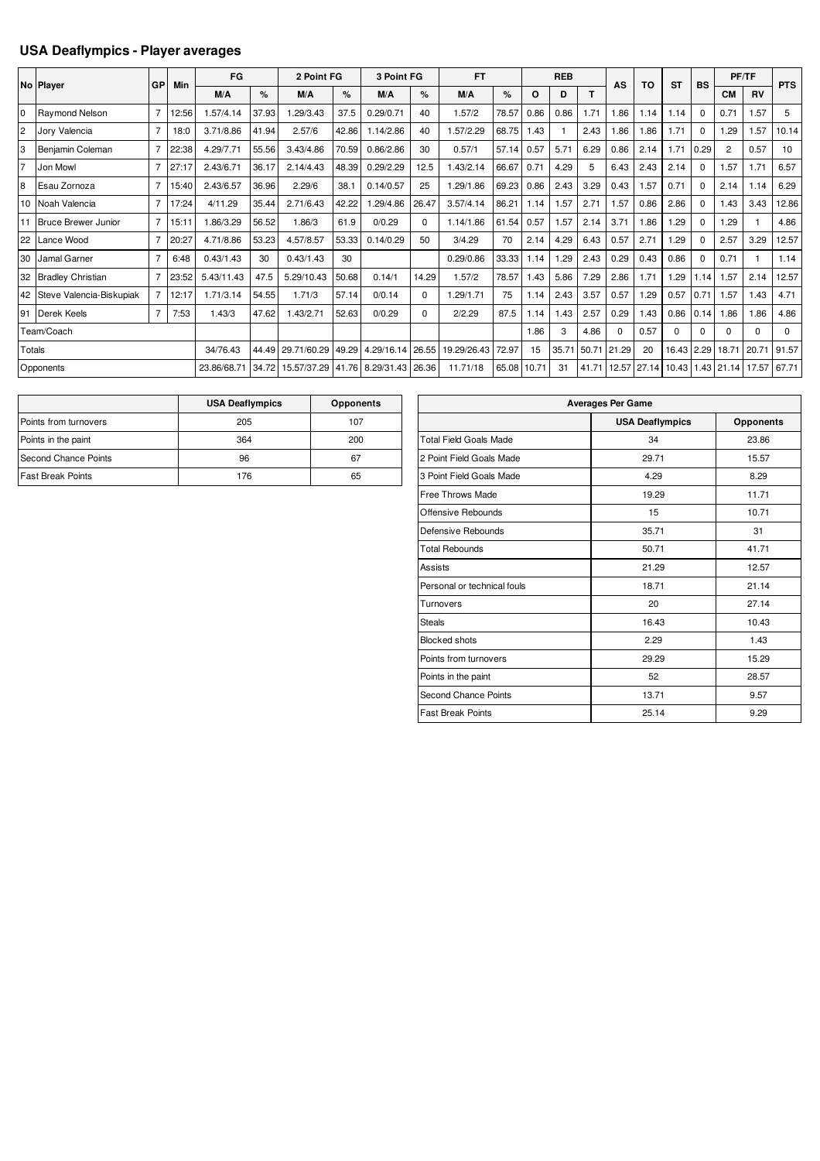## **USA Deaflympics - Player averages**

|                |                             |                |       | FG          |       | 2 Point FG        |       | 3 Point FG       |          | <b>FT</b>   |       |       | <b>REB</b> |       |          |             |           |             |                | PF/TF     |            |
|----------------|-----------------------------|----------------|-------|-------------|-------|-------------------|-------|------------------|----------|-------------|-------|-------|------------|-------|----------|-------------|-----------|-------------|----------------|-----------|------------|
|                | No Player                   | GP             | Min   | M/A         | $\%$  | M/A               | $\%$  | M/A              | $\%$     | M/A         | $\%$  | O     | D          | т     | AS       | TO          | <b>ST</b> | <b>BS</b>   | <b>CM</b>      | <b>RV</b> | <b>PTS</b> |
| l <sub>0</sub> | Ravmond Nelson              | $\overline{7}$ | 12:56 | 1.57/4.14   | 37.93 | 1.29/3.43         | 37.5  | 0.29/0.71        | 40       | 1.57/2      | 78.57 | 0.86  | 0.86       | 1.71  | 1.86     | 1.14        | 1.14      | $\Omega$    | 0.71           | 1.57      | 5          |
| $\overline{2}$ | Jory Valencia               | $\overline{7}$ | 18:0  | 3.71/8.86   | 41.94 | 2.57/6            | 42.86 | 1.14/2.86        | 40       | 1.57/2.29   | 68.75 | 1.43  |            | 2.43  | 1.86     | 1.86        | 1.71      | $\Omega$    | .29            | 1.57      | 10.14      |
| Iз             | Benjamin Coleman            | $\overline{7}$ | 22:38 | 4.29/7.71   | 55.56 | 3.43/4.86         | 70.59 | 0.86/2.86        | 30       | 0.57/1      | 57.14 | 0.57  | 5.71       | 6.29  | 0.86     | 2.14        | .71       | 0.29        | $\overline{2}$ | 0.57      | 10         |
| 17             | Jon Mowl                    | $\overline{7}$ | 27:17 | 2.43/6.71   | 36.17 | 2.14/4.43         | 48.39 | 0.29/2.29        | 12.5     | 1.43/2.14   | 66.67 | 0.7   | 4.29       | 5     | 6.43     | 2.43        | 2.14      | $\Omega$    | .57            | 1.71      | 6.57       |
| 8              | Esau Zornoza                | $\overline{7}$ | 15:40 | 2.43/6.57   | 36.96 | 2.29/6            | 38.1  | 0.14/0.57        | 25       | 1.29/1.86   | 69.23 | 0.86  | 2.43       | 3.29  | 0.43     | 1.57        | 0.71      | $\Omega$    | 2.14           | 1.14      | 6.29       |
|                | 10 Noah Valencia            | $\overline{7}$ | 17:24 | 4/11.29     | 35.44 | 2.71/6.43         | 42.22 | .29/4.86         | 26.47    | 3.57/4.14   | 86.21 | 1.14  | 1.57       | 2.71  | 1.57     | 0.86        | 2.86      | $\Omega$    | .43            | 3.43      | 12.86      |
|                | 11 Bruce Brewer Junior      | $\overline{7}$ | 15:11 | 1.86/3.29   | 56.52 | 1.86/3            | 61.9  | 0/0.29           | 0        | 1.14/1.86   | 61.54 | 0.57  | 1.57       | 2.14  | 3.71     | 1.86        | .29       | $\mathbf 0$ | .29            |           | 4.86       |
| 22             | Lance Wood                  | $\overline{7}$ | 20:27 | 4.71/8.86   | 53.23 | 4.57/8.57         | 53.33 | 0.14/0.29        | 50       | 3/4.29      | 70    | 2.14  | 4.29       | 6.43  | 0.57     | 2.71        | .29       | $\Omega$    | 2.57           | 3.29      | 12.57      |
| 30             | Jamal Garner                | $\overline{7}$ | 6:48  | 0.43/1.43   | 30    | 0.43/1.43         | 30    |                  |          | 0.29/0.86   | 33.33 | 1.14  | .29        | 2.43  | 0.29     | 0.43        | 0.86      | $\Omega$    | 0.71           |           | 1.14       |
|                | 32 Bradley Christian        | $\overline{7}$ | 23:52 | 5.43/11.43  | 47.5  | 5.29/10.43        | 50.68 | 0.14/1           | 14.29    | 1.57/2      | 78.57 | 1.43  | 5.86       | 7.29  | 2.86     | 1.71        | .29       | 1.14        | 1.57           | 2.14      | 12.57      |
|                | 42 Steve Valencia-Biskupiak | $\overline{7}$ | 12:17 | 1.71/3.14   | 54.55 | 1.71/3            | 57.14 | 0/0.14           | 0        | 1.29/1.71   | 75    | 1.14  | 2.43       | 3.57  | 0.57     | 1.29        | 0.57      | 0.71        | 1.57           | 1.43      | 4.71       |
| 91             | Derek Keels                 | $\overline{7}$ | 7:53  | 1.43/3      | 47.62 | 1.43/2.71         | 52.63 | 0/0.29           | $\Omega$ | 2/2.29      | 87.5  | 1.14  | 1.43       | 2.57  | 0.29     | 1.43        | 0.86      | 0.14        | .86            | 1.86      | 4.86       |
|                | Team/Coach                  |                |       |             |       |                   |       |                  |          |             |       | 1.86  | 3          | 4.86  | $\Omega$ | 0.57        | $\Omega$  | $\Omega$    | 0              | $\Omega$  | $\Omega$   |
| Totals         |                             |                |       | 34/76.43    | 44.49 | 29.71/60.29       | 49.29 | 4.29/16.14 26.55 |          | 19.29/26.43 | 72.97 | 15    | 35.71      | 50.71 | 21.29    | 20          | 16.43     | 2.29        | 18.71          | 20.71     | 91.57      |
|                | Opponents                   |                |       | 23.86/68.71 | 34.72 | 15.57/37.29 41.76 |       | 8.29/31.43 26.36 |          | 11.71/18    | 65.08 | 10.71 | 31         | 41.71 |          | 12.57 27.14 | 10.43     |             | 1.43 21.14     | 17.57     | 67.71      |

|                          | <b>USA Deaflympics</b> | <b>Opponents</b> |
|--------------------------|------------------------|------------------|
| Points from turnovers    | 205                    | 107              |
| Points in the paint      | 364                    | 200              |
| Second Chance Points     | 96                     | 67               |
| <b>Fast Break Points</b> | 176                    | 65               |

| <b>Averages Per Game</b>      |                        |                  |  |  |  |  |  |  |  |  |
|-------------------------------|------------------------|------------------|--|--|--|--|--|--|--|--|
|                               | <b>USA Deaflympics</b> | <b>Opponents</b> |  |  |  |  |  |  |  |  |
| <b>Total Field Goals Made</b> | 34                     | 23.86            |  |  |  |  |  |  |  |  |
| 2 Point Field Goals Made      | 29.71                  | 15.57            |  |  |  |  |  |  |  |  |
| 3 Point Field Goals Made      | 4.29                   | 8.29             |  |  |  |  |  |  |  |  |
| Free Throws Made              | 19.29                  | 11.71            |  |  |  |  |  |  |  |  |
| Offensive Rebounds            | 15                     | 10.71            |  |  |  |  |  |  |  |  |
| Defensive Rebounds            | 35.71                  | 31               |  |  |  |  |  |  |  |  |
| <b>Total Rebounds</b>         | 50.71                  | 41.71            |  |  |  |  |  |  |  |  |
| Assists                       | 21.29                  | 12.57            |  |  |  |  |  |  |  |  |
| Personal or technical fouls   | 18.71                  | 21.14            |  |  |  |  |  |  |  |  |
| Turnovers                     | 20                     | 27.14            |  |  |  |  |  |  |  |  |
| <b>Steals</b>                 | 16.43                  | 10.43            |  |  |  |  |  |  |  |  |
| <b>Blocked shots</b>          | 2.29                   | 1.43             |  |  |  |  |  |  |  |  |
| Points from turnovers         | 29.29                  | 15.29            |  |  |  |  |  |  |  |  |
| Points in the paint           | 52                     | 28.57            |  |  |  |  |  |  |  |  |
| <b>Second Chance Points</b>   | 13.71                  | 9.57             |  |  |  |  |  |  |  |  |
| <b>Fast Break Points</b>      | 25.14                  | 9.29             |  |  |  |  |  |  |  |  |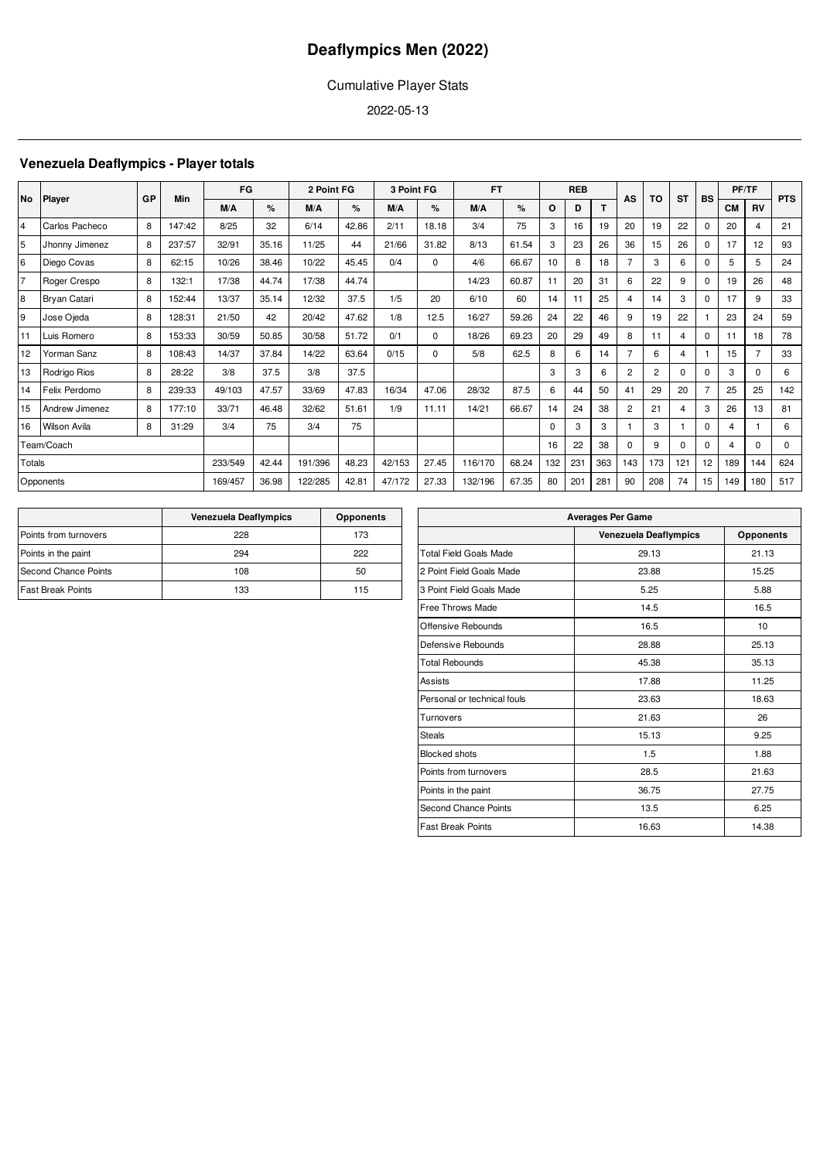## Cumulative Player Stats

2022-05-13

## **Venezuela Deaflympics - Player totals**

| <b>No</b>      | <b>Player</b>       | GP | Min     | FG     |         | 2 Point FG |        | 3 Point FG |          | <b>FT</b> |       |          | <b>REB</b> |          | AS             | TO             | <b>ST</b>      | <b>BS</b>      |           | PF/TF       | <b>PTS</b> |
|----------------|---------------------|----|---------|--------|---------|------------|--------|------------|----------|-----------|-------|----------|------------|----------|----------------|----------------|----------------|----------------|-----------|-------------|------------|
|                |                     |    |         | M/A    | %       | M/A        | %      | M/A        | %        | M/A       | %     | O        | D          | T.       |                |                |                |                | <b>CM</b> | <b>RV</b>   |            |
| 4              | Carlos Pacheco      | 8  | 147:42  | 8/25   | 32      | 6/14       | 42.86  | 2/11       | 18.18    | 3/4       | 75    | 3        | 16         | 19       | 20             | 19             | 22             | $\Omega$       | 20        | 4           | 21         |
| 5              | Jhonny Jimenez      | 8  | 237:57  | 32/91  | 35.16   | 11/25      | 44     | 21/66      | 31.82    | 8/13      | 61.54 | 3        | 23         | 26       | 36             | 15             | 26             | $\Omega$       | 17        | 12          | 93         |
| 6              | Diego Covas         | 8  | 62:15   | 10/26  | 38.46   | 10/22      | 45.45  | 0/4        | $\Omega$ | 4/6       | 66.67 | 10       | 8          | 18       | $\overline{7}$ | 3              | 6              | $\Omega$       | 5         | 5           | 24         |
| $\overline{7}$ | Roger Crespo        | 8  | 132:1   | 17/38  | 44.74   | 17/38      | 44.74  |            |          | 14/23     | 60.87 | 11       | 20         | 31       | 6              | 22             | 9              | 0              | 19        | 26          | 48         |
| $\overline{8}$ | <b>Bryan Catari</b> | 8  | 152:44  | 13/37  | 35.14   | 12/32      | 37.5   | 1/5        | 20       | 6/10      | 60    | 14       | 11         | 25       | $\overline{4}$ | 14             | 3              | $\Omega$       | 17        | 9           | 33         |
| 9              | Jose Ojeda          | 8  | 128:31  | 21/50  | 42      | 20/42      | 47.62  | 1/8        | 12.5     | 16/27     | 59.26 | 24       | 22         | 46       | 9              | 19             | 22             |                | 23        | 24          | 59         |
| 11             | Luis Romero         | 8  | 153:33  | 30/59  | 50.85   | 30/58      | 51.72  | 0/1        | $\Omega$ | 18/26     | 69.23 | 20       | 29         | 49       | 8              | 11             | $\overline{4}$ | 0              | 11        | 18          | 78         |
| 12             | Yorman Sanz         | 8  | 108:43  | 14/37  | 37.84   | 14/22      | 63.64  | 0/15       | 0        | 5/8       | 62.5  | 8        | 6          | 14       | $\overline{7}$ | 6              | $\overline{4}$ |                | 15        |             | 33         |
| 13             | Rodrigo Rios        | 8  | 28:22   | 3/8    | 37.5    | 3/8        | 37.5   |            |          |           |       | 3        | 3          | 6        | $\overline{2}$ | $\overline{2}$ | $\Omega$       | $\Omega$       | 3         | $\Omega$    | 6          |
| 14             | Felix Perdomo       | 8  | 239:33  | 49/103 | 47.57   | 33/69      | 47.83  | 16/34      | 47.06    | 28/32     | 87.5  | 6        | 44         | 50       | 41             | 29             | 20             | 7              | 25        | 25          | 142        |
| 15             | Andrew Jimenez      | 8  | 177:10  | 33/71  | 46.48   | 32/62      | 51.61  | 1/9        | 11.11    | 14/21     | 66.67 | 14       | 24         | 38       | $\overline{2}$ | 21             | 4              | 3              | 26        | 13          | 81         |
| 16             | <b>Wilson Avila</b> | 8  | 31:29   | 3/4    | 75      | 3/4        | 75     |            |          |           |       | $\Omega$ | 3          | 3        |                | 3              |                | 0              | 4         |             | 6          |
| Team/Coach     |                     |    |         |        |         |            |        |            |          |           | 16    | 22       | 38         | $\Omega$ | 9              | $\Omega$       | $\Omega$       | $\overline{4}$ | $\Omega$  | $\mathbf 0$ |            |
| Totals         |                     |    | 233/549 | 42.44  | 191/396 | 48.23      | 42/153 | 27.45      | 116/170  | 68.24     | 132   | 231      | 363        | 143      | 173            | 121            | 12             | 189            | 144       | 624         |            |
| Opponents      |                     |    | 169/457 | 36.98  | 122/285 | 42.81      | 47/172 | 27.33      | 132/196  | 67.35     | 80    | 201      | 281        | 90       | 208            | 74             | 15             | 149            | 180       | 517         |            |

|                          | <b>Venezuela Deaflympics</b> | <b>Opponents</b> |
|--------------------------|------------------------------|------------------|
| Points from turnovers    | 228                          | 173              |
| Points in the paint      | 294                          | 222              |
| Second Chance Points     | 108                          | 50               |
| <b>Fast Break Points</b> | 133                          | 115              |

| <b>Averages Per Game</b>     |                  |  |  |  |  |  |  |  |  |
|------------------------------|------------------|--|--|--|--|--|--|--|--|
| <b>Venezuela Deaflympics</b> | <b>Opponents</b> |  |  |  |  |  |  |  |  |
| 29.13                        | 21.13            |  |  |  |  |  |  |  |  |
| 23.88                        | 15.25            |  |  |  |  |  |  |  |  |
| 5.25                         | 5.88             |  |  |  |  |  |  |  |  |
| 14.5                         | 16.5             |  |  |  |  |  |  |  |  |
| 16.5                         | 10               |  |  |  |  |  |  |  |  |
| 28.88                        | 25.13            |  |  |  |  |  |  |  |  |
| 45.38                        | 35.13            |  |  |  |  |  |  |  |  |
| 17.88                        | 11.25            |  |  |  |  |  |  |  |  |
| 23.63                        | 18.63            |  |  |  |  |  |  |  |  |
| 21.63                        | 26               |  |  |  |  |  |  |  |  |
| 15.13                        | 9.25             |  |  |  |  |  |  |  |  |
| 1.5                          | 1.88             |  |  |  |  |  |  |  |  |
| 28.5                         | 21.63            |  |  |  |  |  |  |  |  |
| 36.75                        | 27.75            |  |  |  |  |  |  |  |  |
| 13.5                         | 6.25             |  |  |  |  |  |  |  |  |
| 16.63                        | 14.38            |  |  |  |  |  |  |  |  |
|                              |                  |  |  |  |  |  |  |  |  |